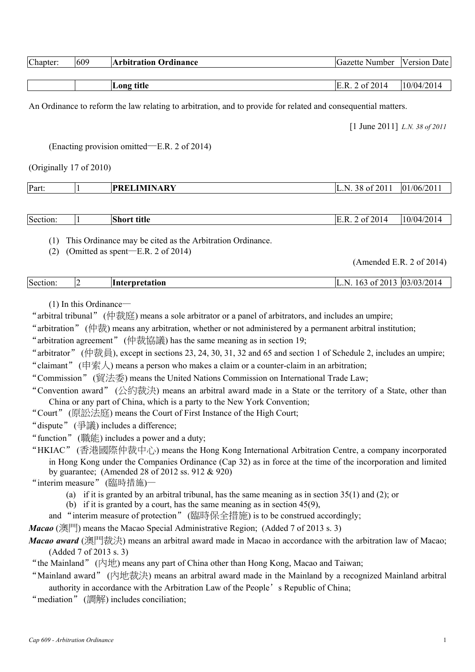| Chapter:                | 609                    | <b>Arbitration Ordinance</b>                                                                                                                                                                                                                                                                                                                                                                                                                                                                                                                                                                                                                                                                                                                                                                                                                                                                                                                                                                                                                                                                                                                                                                                                                                                                                                                                                                                                                                                                                                                                                                                                                                                                                                                                                                                                                                                                                                                                                                                                                                                                                                               | Gazette Number              | <b>Version Date</b>           |
|-------------------------|------------------------|--------------------------------------------------------------------------------------------------------------------------------------------------------------------------------------------------------------------------------------------------------------------------------------------------------------------------------------------------------------------------------------------------------------------------------------------------------------------------------------------------------------------------------------------------------------------------------------------------------------------------------------------------------------------------------------------------------------------------------------------------------------------------------------------------------------------------------------------------------------------------------------------------------------------------------------------------------------------------------------------------------------------------------------------------------------------------------------------------------------------------------------------------------------------------------------------------------------------------------------------------------------------------------------------------------------------------------------------------------------------------------------------------------------------------------------------------------------------------------------------------------------------------------------------------------------------------------------------------------------------------------------------------------------------------------------------------------------------------------------------------------------------------------------------------------------------------------------------------------------------------------------------------------------------------------------------------------------------------------------------------------------------------------------------------------------------------------------------------------------------------------------------|-----------------------------|-------------------------------|
|                         |                        | Long title                                                                                                                                                                                                                                                                                                                                                                                                                                                                                                                                                                                                                                                                                                                                                                                                                                                                                                                                                                                                                                                                                                                                                                                                                                                                                                                                                                                                                                                                                                                                                                                                                                                                                                                                                                                                                                                                                                                                                                                                                                                                                                                                 | E.R. 2 of 2014              | 10/04/2014                    |
|                         |                        | An Ordinance to reform the law relating to arbitration, and to provide for related and consequential matters.                                                                                                                                                                                                                                                                                                                                                                                                                                                                                                                                                                                                                                                                                                                                                                                                                                                                                                                                                                                                                                                                                                                                                                                                                                                                                                                                                                                                                                                                                                                                                                                                                                                                                                                                                                                                                                                                                                                                                                                                                              |                             |                               |
|                         |                        |                                                                                                                                                                                                                                                                                                                                                                                                                                                                                                                                                                                                                                                                                                                                                                                                                                                                                                                                                                                                                                                                                                                                                                                                                                                                                                                                                                                                                                                                                                                                                                                                                                                                                                                                                                                                                                                                                                                                                                                                                                                                                                                                            |                             | [1 June 2011] L.N. 38 of 2011 |
|                         |                        | (Enacting provision omitted—E.R. 2 of 2014)                                                                                                                                                                                                                                                                                                                                                                                                                                                                                                                                                                                                                                                                                                                                                                                                                                                                                                                                                                                                                                                                                                                                                                                                                                                                                                                                                                                                                                                                                                                                                                                                                                                                                                                                                                                                                                                                                                                                                                                                                                                                                                |                             |                               |
| (Originally 17 of 2010) |                        |                                                                                                                                                                                                                                                                                                                                                                                                                                                                                                                                                                                                                                                                                                                                                                                                                                                                                                                                                                                                                                                                                                                                                                                                                                                                                                                                                                                                                                                                                                                                                                                                                                                                                                                                                                                                                                                                                                                                                                                                                                                                                                                                            |                             |                               |
| Part:                   |                        | <b>PRELIMINARY</b>                                                                                                                                                                                                                                                                                                                                                                                                                                                                                                                                                                                                                                                                                                                                                                                                                                                                                                                                                                                                                                                                                                                                                                                                                                                                                                                                                                                                                                                                                                                                                                                                                                                                                                                                                                                                                                                                                                                                                                                                                                                                                                                         | L.N. 38 of 2011             | 01/06/2011                    |
|                         |                        |                                                                                                                                                                                                                                                                                                                                                                                                                                                                                                                                                                                                                                                                                                                                                                                                                                                                                                                                                                                                                                                                                                                                                                                                                                                                                                                                                                                                                                                                                                                                                                                                                                                                                                                                                                                                                                                                                                                                                                                                                                                                                                                                            |                             |                               |
| Section:                |                        | <b>Short title</b>                                                                                                                                                                                                                                                                                                                                                                                                                                                                                                                                                                                                                                                                                                                                                                                                                                                                                                                                                                                                                                                                                                                                                                                                                                                                                                                                                                                                                                                                                                                                                                                                                                                                                                                                                                                                                                                                                                                                                                                                                                                                                                                         | E.R. 2 of 2014              | 10/04/2014                    |
| (1)                     |                        | This Ordinance may be cited as the Arbitration Ordinance.                                                                                                                                                                                                                                                                                                                                                                                                                                                                                                                                                                                                                                                                                                                                                                                                                                                                                                                                                                                                                                                                                                                                                                                                                                                                                                                                                                                                                                                                                                                                                                                                                                                                                                                                                                                                                                                                                                                                                                                                                                                                                  |                             |                               |
| (2)                     |                        | (Omitted as spent-E.R. 2 of 2014)                                                                                                                                                                                                                                                                                                                                                                                                                                                                                                                                                                                                                                                                                                                                                                                                                                                                                                                                                                                                                                                                                                                                                                                                                                                                                                                                                                                                                                                                                                                                                                                                                                                                                                                                                                                                                                                                                                                                                                                                                                                                                                          |                             |                               |
|                         |                        |                                                                                                                                                                                                                                                                                                                                                                                                                                                                                                                                                                                                                                                                                                                                                                                                                                                                                                                                                                                                                                                                                                                                                                                                                                                                                                                                                                                                                                                                                                                                                                                                                                                                                                                                                                                                                                                                                                                                                                                                                                                                                                                                            |                             | (Amended E.R. 2 of 2014)      |
| Section:                | $\overline{c}$         | Interpretation                                                                                                                                                                                                                                                                                                                                                                                                                                                                                                                                                                                                                                                                                                                                                                                                                                                                                                                                                                                                                                                                                                                                                                                                                                                                                                                                                                                                                                                                                                                                                                                                                                                                                                                                                                                                                                                                                                                                                                                                                                                                                                                             | L.N. 163 of 2013 03/03/2014 |                               |
|                         | (Added 7 of 2013 s. 3) | "arbitral tribunal" (仲裁庭) means a sole arbitrator or a panel of arbitrators, and includes an umpire;<br>"arbitration" (仲裁) means any arbitration, whether or not administered by a permanent arbitral institution;<br>"arbitration agreement" (仲裁協議) has the same meaning as in section 19;<br>"arbitrator" (仲裁員), except in sections 23, 24, 30, 31, 32 and 65 and section 1 of Schedule 2, includes an umpire;<br>"claimant" ( $\oplus \overrightarrow{g} \wedge$ ) means a person who makes a claim or a counter-claim in an arbitration;<br>"Commission" (貿法委) means the United Nations Commission on International Trade Law;<br>"Convention award" (公約裁決) means an arbitral award made in a State or the territory of a State, other than<br>China or any part of China, which is a party to the New York Convention;<br>"Court" (原訟法庭) means the Court of First Instance of the High Court;<br>"dispute" $(\frac{4\pi}{3})$ includes a difference;<br>"function" (職能) includes a power and a duty;<br>"HKIAC" (香港國際仲裁中心) means the Hong Kong International Arbitration Centre, a company incorporated<br>in Hong Kong under the Companies Ordinance (Cap 32) as in force at the time of the incorporation and limited<br>by guarantee; (Amended 28 of 2012 ss. 912 $&$ 920)<br>"interim measure" (臨時措施)–<br>(a) if it is granted by an arbitral tribunal, has the same meaning as in section $35(1)$ and (2); or<br>(b) if it is granted by a court, has the same meaning as in section $45(9)$ ,<br>and "interim measure of protection" (臨時保全措施) is to be construed accordingly;<br><b>Macao</b> (澳門) means the Macao Special Administrative Region; (Added 7 of 2013 s. 3)<br><b>Macao award</b> (澳門裁決) means an arbitral award made in Macao in accordance with the arbitration law of Macao;<br>"the Mainland" (內地) means any part of China other than Hong Kong, Macao and Taiwan;<br>"Mainland award" (內地裁決) means an arbitral award made in the Mainland by a recognized Mainland arbitral<br>authority in accordance with the Arbitration Law of the People's Republic of China;<br>"mediation" (調解) includes conciliation; |                             |                               |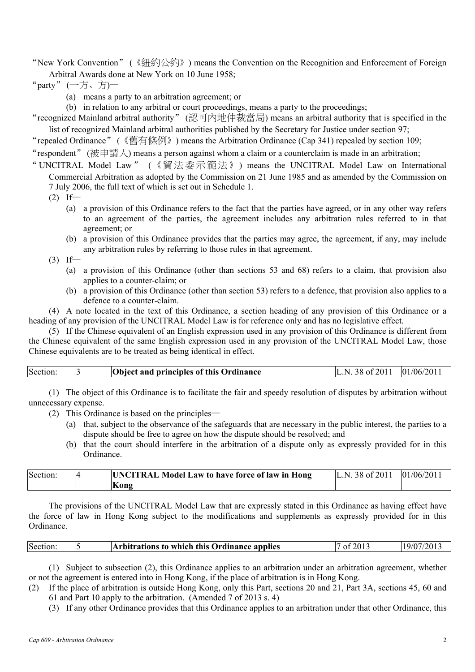"New York Convention" (《紐約公約》) means the Convention on the Recognition and Enforcement of Foreign Arbitral Awards done at New York on 10 June 1958;

- "party" $(-\overline{f}, \overline{f})$ 
	- (a) means a party to an arbitration agreement; or
	- (b) in relation to any arbitral or court proceedings, means a party to the proceedings;

"recognized Mainland arbitral authority" (認可內地仲裁當局) means an arbitral authority that is specified in the list of recognized Mainland arbitral authorities published by the Secretary for Justice under section 97;

"repealed Ordinance" (《舊有條例》) means the Arbitration Ordinance (Cap 341) repealed by section 109;

"respondent" (被申請人) means a person against whom a claim or a counterclaim is made in an arbitration;

"UNCITRAL Model Law" (《貿法委示範法》) means the UNCITRAL Model Law on International Commercial Arbitration as adopted by the Commission on 21 June 1985 and as amended by the Commission on 7 July 2006, the full text of which is set out in Schedule 1.

- $(2)$  If—
	- (a) a provision of this Ordinance refers to the fact that the parties have agreed, or in any other way refers to an agreement of the parties, the agreement includes any arbitration rules referred to in that agreement; or
	- (b) a provision of this Ordinance provides that the parties may agree, the agreement, if any, may include any arbitration rules by referring to those rules in that agreement.
- $(3)$  If-
	- (a) a provision of this Ordinance (other than sections 53 and 68) refers to a claim, that provision also applies to a counter-claim; or
	- (b) a provision of this Ordinance (other than section 53) refers to a defence, that provision also applies to a defence to a counter-claim.

(4) A note located in the text of this Ordinance, a section heading of any provision of this Ordinance or a heading of any provision of the UNCITRAL Model Law is for reference only and has no legislative effect.

(5) If the Chinese equivalent of an English expression used in any provision of this Ordinance is different from the Chinese equivalent of the same English expression used in any provision of the UNCITRAL Model Law, those Chinese equivalents are to be treated as being identical in effect.

| Section: |  | <b>Object and principles of this Ordinance</b> | 38 of 2011 | 01/06/2011 |
|----------|--|------------------------------------------------|------------|------------|
|----------|--|------------------------------------------------|------------|------------|

(1) The object of this Ordinance is to facilitate the fair and speedy resolution of disputes by arbitration without unnecessary expense.

- (2) This Ordinance is based on the principles—
	- (a) that, subject to the observance of the safeguards that are necessary in the public interest, the parties to a dispute should be free to agree on how the dispute should be resolved; and
	- (b) that the court should interfere in the arbitration of a dispute only as expressly provided for in this Ordinance.

| Section: | UNCITRAL Model Law to have force of law in Hong | L.N. 38 of 2011 $ 01/06/2011 $ |  |
|----------|-------------------------------------------------|--------------------------------|--|
|          | Kong                                            |                                |  |

The provisions of the UNCITRAL Model Law that are expressly stated in this Ordinance as having effect have the force of law in Hong Kong subject to the modifications and supplements as expressly provided for in this Ordinance.

| Section: | Arbitrations to which this Ordinance applies | 2013<br>- of | /2013<br>$19/07$ . |
|----------|----------------------------------------------|--------------|--------------------|
|          |                                              |              |                    |

(1) Subject to subsection (2), this Ordinance applies to an arbitration under an arbitration agreement, whether or not the agreement is entered into in Hong Kong, if the place of arbitration is in Hong Kong.

- (2) If the place of arbitration is outside Hong Kong, only this Part, sections 20 and 21, Part 3A, sections 45, 60 and 61 and Part 10 apply to the arbitration. (Amended 7 of 2013 s. 4)
	- (3) If any other Ordinance provides that this Ordinance applies to an arbitration under that other Ordinance, this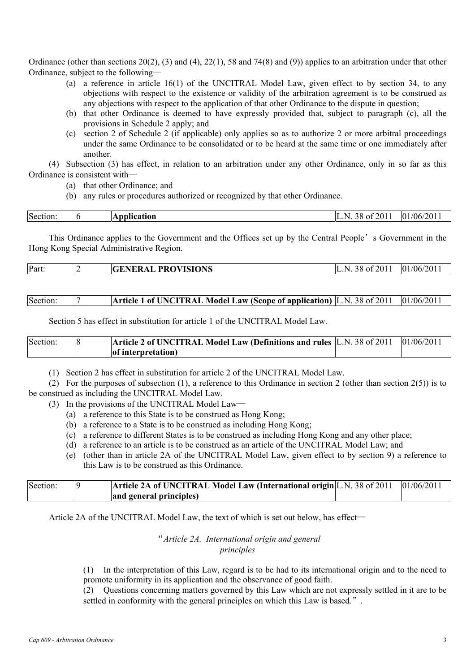Ordinance (other than sections 20(2), (3) and (4), 22(1), 58 and 74(8) and (9)) applies to an arbitration under that other Ordinance, subject to the following—

- (a) a reference in article 16(1) of the UNCITRAL Model Law, given effect to by section 34, to any objections with respect to the existence or validity of the arbitration agreement is to be construed as any objections with respect to the application of that other Ordinance to the dispute in question;
- (b) that other Ordinance is deemed to have expressly provided that, subject to paragraph (c), all the provisions in Schedule 2 apply; and
- (c) section 2 of Schedule 2 (if applicable) only applies so as to authorize 2 or more arbitral proceedings under the same Ordinance to be consolidated or to be heard at the same time or one immediately after another.

(4) Subsection (3) has effect, in relation to an arbitration under any other Ordinance, only in so far as this Ordinance is consistent with—

- (a) that other Ordinance; and
- (b) any rules or procedures authorized or recognized by that other Ordinance.

| Section: | Ib | ication | $\sim$<br>201<br>N<br>ി 1<br>``<br>. .<br> | 6/201<br>$\vert$ 01<br>/06/ |
|----------|----|---------|--------------------------------------------|-----------------------------|

This Ordinance applies to the Government and the Offices set up by the Central People's Government in the Hong Kong Special Administrative Region.

| Part | <b>GENERAL PROVISIONS</b> | L.N. $38$ of $2011$ | 01/06/201 |
|------|---------------------------|---------------------|-----------|

# Section: 7 **Article 1 of UNCITRAL Model Law (Scope of application)** L.N. 38 of 2011 **01/06/2011**

Section 5 has effect in substitution for article 1 of the UNCITRAL Model Law.

| Section: | $\vert$ Article 2 of UNCITRAL Model Law (Definitions and rules L.N. 38 of 2011 $\vert$ 01/06/2011 |  |
|----------|---------------------------------------------------------------------------------------------------|--|
|          | of interpretation)                                                                                |  |

(1) Section 2 has effect in substitution for article 2 of the UNCITRAL Model Law.

- (2) For the purposes of subsection (1), a reference to this Ordinance in section 2 (other than section  $2(5)$ ) is to
- be construed as including the UNCITRAL Model Law.
	- (3) In the provisions of the UNCITRAL Model Law—
		- (a) a reference to this State is to be construed as Hong Kong;
		- (b) a reference to a State is to be construed as including Hong Kong;
		- (c) a reference to different States is to be construed as including Hong Kong and any other place;
		- (d) a reference to an article is to be construed as an article of the UNCITRAL Model Law; and
		- (e) (other than in article 2A of the UNCITRAL Model Law, given effect to by section 9) a reference to this Law is to be construed as this Ordinance.

| Section: | <b>Article 2A of UNCITRAL Model Law (International origin</b> L.N. 38 of 2011   01/06/2011 |  |
|----------|--------------------------------------------------------------------------------------------|--|
|          | and general principles)                                                                    |  |

Article 2A of the UNCITRAL Model Law, the text of which is set out below, has effect—

# "*Article 2A. International origin and general principles*

(1) In the interpretation of this Law, regard is to be had to its international origin and to the need to promote uniformity in its application and the observance of good faith.

(2) Questions concerning matters governed by this Law which are not expressly settled in it are to be settled in conformity with the general principles on which this Law is based.".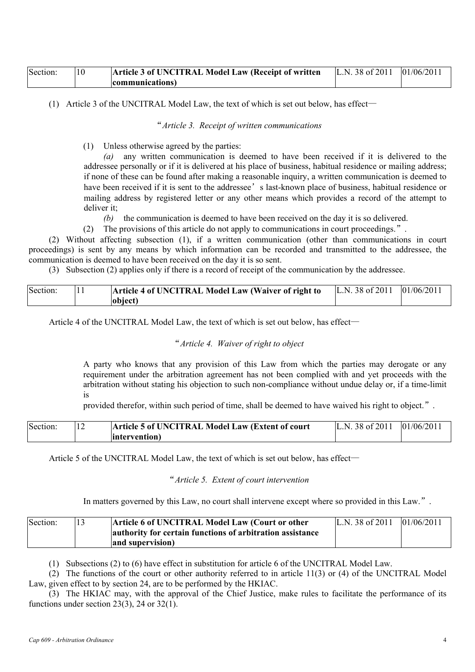| Section: | 10 | <b>Article 3 of UNCITRAL Model Law (Receipt of written</b> | L.N. 38 of 2011 | 01/06/201 |
|----------|----|------------------------------------------------------------|-----------------|-----------|
|          |    | communications)                                            |                 |           |

(1) Article 3 of the UNCITRAL Model Law, the text of which is set out below, has effect—

"*Article 3. Receipt of written communications* 

(1) Unless otherwise agreed by the parties:

*(a)* any written communication is deemed to have been received if it is delivered to the addressee personally or if it is delivered at his place of business, habitual residence or mailing address; if none of these can be found after making a reasonable inquiry, a written communication is deemed to have been received if it is sent to the addressee's last-known place of business, habitual residence or mailing address by registered letter or any other means which provides a record of the attempt to deliver it;

*(b)* the communication is deemed to have been received on the day it is so delivered.

(2) The provisions of this article do not apply to communications in court proceedings.".

(2) Without affecting subsection (1), if a written communication (other than communications in court proceedings) is sent by any means by which information can be recorded and transmitted to the addressee, the communication is deemed to have been received on the day it is so sent.

(3) Subsection (2) applies only if there is a record of receipt of the communication by the addressee.

| Section: | <b>Article 4 of UNCITRAL Model Law (Waiver of right to</b> | L.N. 38 of 2011 $ 01/06/2011$ |  |
|----------|------------------------------------------------------------|-------------------------------|--|
|          | (object)                                                   |                               |  |

Article 4 of the UNCITRAL Model Law, the text of which is set out below, has effect—

# "*Article 4. Waiver of right to object*

A party who knows that any provision of this Law from which the parties may derogate or any requirement under the arbitration agreement has not been complied with and yet proceeds with the arbitration without stating his objection to such non-compliance without undue delay or, if a time-limit is

provided therefor, within such period of time, shall be deemed to have waived his right to object.".

| Section: | <b>Article 5 of UNCITRAL Model Law (Extent of court</b> | L.N. 38 of 2011 $ 01/06/2011 $ |  |
|----------|---------------------------------------------------------|--------------------------------|--|
|          | lintervention)                                          |                                |  |

Article 5 of the UNCITRAL Model Law, the text of which is set out below, has effect—

### "*Article 5. Extent of court intervention*

In matters governed by this Law, no court shall intervene except where so provided in this Law.".

| Section: | Article 6 of UNCITRAL Model Law (Court or other           | L.N. 38 of 2011 $ 01/06/2011 $ |  |
|----------|-----------------------------------------------------------|--------------------------------|--|
|          | authority for certain functions of arbitration assistance |                                |  |
|          | and supervision)                                          |                                |  |

(1) Subsections (2) to (6) have effect in substitution for article 6 of the UNCITRAL Model Law.

(2) The functions of the court or other authority referred to in article 11(3) or (4) of the UNCITRAL Model Law, given effect to by section 24, are to be performed by the HKIAC.

(3) The HKIAC may, with the approval of the Chief Justice, make rules to facilitate the performance of its functions under section 23(3), 24 or 32(1).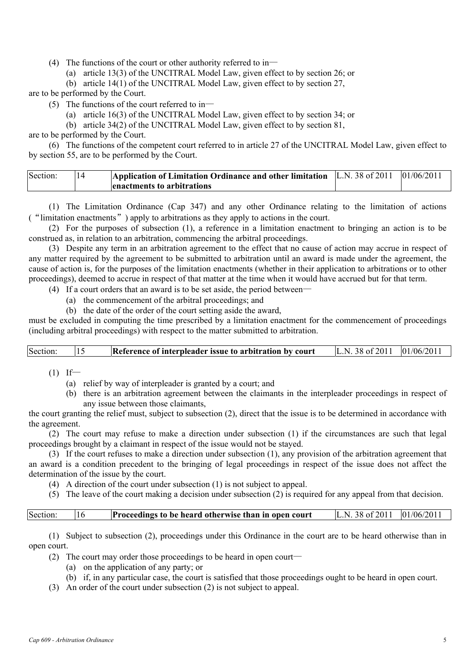(4) The functions of the court or other authority referred to in—

- (a) article 13(3) of the UNCITRAL Model Law, given effect to by section 26; or
- (b) article 14(1) of the UNCITRAL Model Law, given effect to by section 27,

are to be performed by the Court.

(5) The functions of the court referred to in—

- (a) article 16(3) of the UNCITRAL Model Law, given effect to by section 34; or
- (b) article 34(2) of the UNCITRAL Model Law, given effect to by section 81,

are to be performed by the Court.

(6) The functions of the competent court referred to in article 27 of the UNCITRAL Model Law, given effect to by section 55, are to be performed by the Court.

| Section: | 14 | <b>Application of Limitation Ordinance and other limitation</b> $ L.N. 38$ of 2011 $ 01/06/2011$ |  |
|----------|----|--------------------------------------------------------------------------------------------------|--|
|          |    | lenactments to arbitrations                                                                      |  |

(1) The Limitation Ordinance (Cap 347) and any other Ordinance relating to the limitation of actions ("limitation enactments") apply to arbitrations as they apply to actions in the court.

(2) For the purposes of subsection (1), a reference in a limitation enactment to bringing an action is to be construed as, in relation to an arbitration, commencing the arbitral proceedings.

(3) Despite any term in an arbitration agreement to the effect that no cause of action may accrue in respect of any matter required by the agreement to be submitted to arbitration until an award is made under the agreement, the cause of action is, for the purposes of the limitation enactments (whether in their application to arbitrations or to other proceedings), deemed to accrue in respect of that matter at the time when it would have accrued but for that term.

(4) If a court orders that an award is to be set aside, the period between—

- (a) the commencement of the arbitral proceedings; and
- (b) the date of the order of the court setting aside the award,

must be excluded in computing the time prescribed by a limitation enactment for the commencement of proceedings (including arbitral proceedings) with respect to the matter submitted to arbitration.

| 01/06/2011<br>L N 38 of 2011 |  | Section: |  | <b>Reference of interpleader issue to arbitration by court</b> |  |  |
|------------------------------|--|----------|--|----------------------------------------------------------------|--|--|
|------------------------------|--|----------|--|----------------------------------------------------------------|--|--|

 $(1)$  If—

- (a) relief by way of interpleader is granted by a court; and
- (b) there is an arbitration agreement between the claimants in the interpleader proceedings in respect of any issue between those claimants,

the court granting the relief must, subject to subsection (2), direct that the issue is to be determined in accordance with the agreement.

(2) The court may refuse to make a direction under subsection (1) if the circumstances are such that legal proceedings brought by a claimant in respect of the issue would not be stayed.

(3) If the court refuses to make a direction under subsection (1), any provision of the arbitration agreement that an award is a condition precedent to the bringing of legal proceedings in respect of the issue does not affect the determination of the issue by the court.

- (4) A direction of the court under subsection (1) is not subject to appeal.
- (5) The leave of the court making a decision under subsection (2) is required for any appeal from that decision.

# Section: 16 **Proceedings to be heard otherwise than in open court** L.N. 38 of 2011 01/06/2011

(1) Subject to subsection (2), proceedings under this Ordinance in the court are to be heard otherwise than in open court.

- (2) The court may order those proceedings to be heard in open court—
	- (a) on the application of any party; or
	- (b) if, in any particular case, the court is satisfied that those proceedings ought to be heard in open court.
- (3) An order of the court under subsection (2) is not subject to appeal.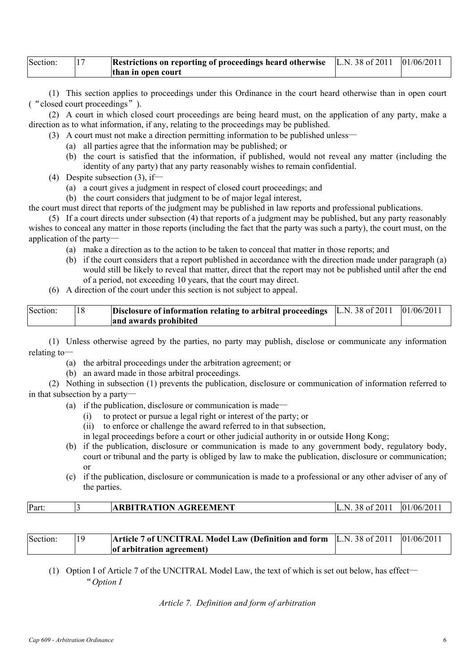| Section: | <b>Restrictions on reporting of proceedings heard otherwise</b> $ L.N. 38 of 2011  01/06/2011$ |  |
|----------|------------------------------------------------------------------------------------------------|--|
|          | than in open court                                                                             |  |

(1) This section applies to proceedings under this Ordinance in the court heard otherwise than in open court ("closed court proceedings").

(2) A court in which closed court proceedings are being heard must, on the application of any party, make a direction as to what information, if any, relating to the proceedings may be published.

- (3) A court must not make a direction permitting information to be published unless—
	- (a) all parties agree that the information may be published; or
	- (b) the court is satisfied that the information, if published, would not reveal any matter (including the identity of any party) that any party reasonably wishes to remain confidential.
- (4) Despite subsection  $(3)$ , if-
	- (a) a court gives a judgment in respect of closed court proceedings; and
	- (b) the court considers that judgment to be of major legal interest,

the court must direct that reports of the judgment may be published in law reports and professional publications.

(5) If a court directs under subsection (4) that reports of a judgment may be published, but any party reasonably wishes to conceal any matter in those reports (including the fact that the party was such a party), the court must, on the application of the party—

- (a) make a direction as to the action to be taken to conceal that matter in those reports; and
- (b) if the court considers that a report published in accordance with the direction made under paragraph (a) would still be likely to reveal that matter, direct that the report may not be published until after the end of a period, not exceeding 10 years, that the court may direct.
- (6) A direction of the court under this section is not subject to appeal.

| Section: | 18 | <b>Disclosure of information relating to arbitral proceedings</b> $\vert L.N. 38$ of 2011 $\vert 01/06/2011$ |  |
|----------|----|--------------------------------------------------------------------------------------------------------------|--|
|          |    | and awards prohibited                                                                                        |  |

(1) Unless otherwise agreed by the parties, no party may publish, disclose or communicate any information relating to—

- (a) the arbitral proceedings under the arbitration agreement; or
- (b) an award made in those arbitral proceedings.

(2) Nothing in subsection (1) prevents the publication, disclosure or communication of information referred to in that subsection by a party—

- (a) if the publication, disclosure or communication is made—
	- (i) to protect or pursue a legal right or interest of the party; or
	- (ii) to enforce or challenge the award referred to in that subsection,
	- in legal proceedings before a court or other judicial authority in or outside Hong Kong;
- (b) if the publication, disclosure or communication is made to any government body, regulatory body, court or tribunal and the party is obliged by law to make the publication, disclosure or communication; or
- (c) if the publication, disclosure or communication is made to a professional or any other adviser of any of the parties.

# Part: 3 **ARBITRATION AGREEMENT** [L.N. 38 of 2011 | 01/06/2011

| Section: | <b>Article 7 of UNCITRAL Model Law (Definition and form</b> L.N. 38 of 2011 $ 01/06/2011 $ |  |
|----------|--------------------------------------------------------------------------------------------|--|
|          | of arbitration agreement)                                                                  |  |

(1) Option I of Article 7 of the UNCITRAL Model Law, the text of which is set out below, has effect— "*Option I* 

### *Article 7. Definition and form of arbitration*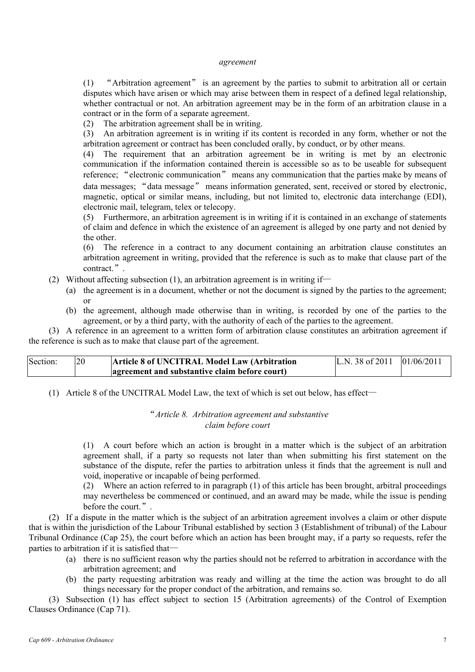#### *agreement*

(1) "Arbitration agreement" is an agreement by the parties to submit to arbitration all or certain disputes which have arisen or which may arise between them in respect of a defined legal relationship, whether contractual or not. An arbitration agreement may be in the form of an arbitration clause in a contract or in the form of a separate agreement.

(2) The arbitration agreement shall be in writing.

(3) An arbitration agreement is in writing if its content is recorded in any form, whether or not the arbitration agreement or contract has been concluded orally, by conduct, or by other means.

(4) The requirement that an arbitration agreement be in writing is met by an electronic communication if the information contained therein is accessible so as to be useable for subsequent reference; "electronic communication" means any communication that the parties make by means of data messages; "data message" means information generated, sent, received or stored by electronic, magnetic, optical or similar means, including, but not limited to, electronic data interchange (EDI), electronic mail, telegram, telex or telecopy.

(5) Furthermore, an arbitration agreement is in writing if it is contained in an exchange of statements of claim and defence in which the existence of an agreement is alleged by one party and not denied by the other.

(6) The reference in a contract to any document containing an arbitration clause constitutes an arbitration agreement in writing, provided that the reference is such as to make that clause part of the contract.".

- (2) Without affecting subsection (1), an arbitration agreement is in writing if—
	- (a) the agreement is in a document, whether or not the document is signed by the parties to the agreement; or
	- (b) the agreement, although made otherwise than in writing, is recorded by one of the parties to the agreement, or by a third party, with the authority of each of the parties to the agreement.

(3) A reference in an agreement to a written form of arbitration clause constitutes an arbitration agreement if the reference is such as to make that clause part of the agreement.

| Section: | 20 | <b>Article 8 of UNCITRAL Model Law (Arbitration</b> | L.N. 38 of 2011 $ 01/06/2011 $ |  |
|----------|----|-----------------------------------------------------|--------------------------------|--|
|          |    | agreement and substantive claim before court)       |                                |  |

(1) Article 8 of the UNCITRAL Model Law, the text of which is set out below, has effect—

"*Article 8. Arbitration agreement and substantive claim before court* 

(1) A court before which an action is brought in a matter which is the subject of an arbitration agreement shall, if a party so requests not later than when submitting his first statement on the substance of the dispute, refer the parties to arbitration unless it finds that the agreement is null and void, inoperative or incapable of being performed.

(2) Where an action referred to in paragraph (1) of this article has been brought, arbitral proceedings may nevertheless be commenced or continued, and an award may be made, while the issue is pending before the court.".

(2) If a dispute in the matter which is the subject of an arbitration agreement involves a claim or other dispute that is within the jurisdiction of the Labour Tribunal established by section 3 (Establishment of tribunal) of the Labour Tribunal Ordinance (Cap 25), the court before which an action has been brought may, if a party so requests, refer the parties to arbitration if it is satisfied that—

- (a) there is no sufficient reason why the parties should not be referred to arbitration in accordance with the arbitration agreement; and
- (b) the party requesting arbitration was ready and willing at the time the action was brought to do all things necessary for the proper conduct of the arbitration, and remains so.

(3) Subsection (1) has effect subject to section 15 (Arbitration agreements) of the Control of Exemption Clauses Ordinance (Cap 71).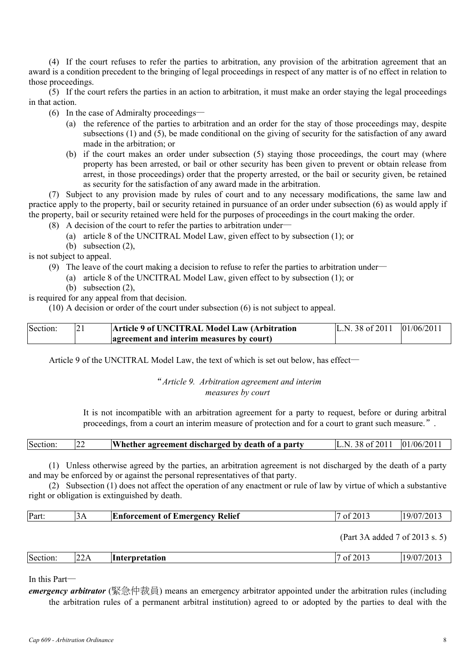(4) If the court refuses to refer the parties to arbitration, any provision of the arbitration agreement that an award is a condition precedent to the bringing of legal proceedings in respect of any matter is of no effect in relation to those proceedings.

(5) If the court refers the parties in an action to arbitration, it must make an order staying the legal proceedings in that action.

- (6) In the case of Admiralty proceedings—
	- (a) the reference of the parties to arbitration and an order for the stay of those proceedings may, despite subsections (1) and (5), be made conditional on the giving of security for the satisfaction of any award made in the arbitration; or
	- (b) if the court makes an order under subsection (5) staying those proceedings, the court may (where property has been arrested, or bail or other security has been given to prevent or obtain release from arrest, in those proceedings) order that the property arrested, or the bail or security given, be retained as security for the satisfaction of any award made in the arbitration.

(7) Subject to any provision made by rules of court and to any necessary modifications, the same law and practice apply to the property, bail or security retained in pursuance of an order under subsection (6) as would apply if the property, bail or security retained were held for the purposes of proceedings in the court making the order.

- (8) A decision of the court to refer the parties to arbitration under—
	- (a) article 8 of the UNCITRAL Model Law, given effect to by subsection (1); or
	- (b) subsection (2),

is not subject to appeal.

- (9) The leave of the court making a decision to refuse to refer the parties to arbitration under—
	- (a) article 8 of the UNCITRAL Model Law, given effect to by subsection (1); or
	- (b) subsection (2),

is required for any appeal from that decision.

(10) A decision or order of the court under subsection (6) is not subject to appeal.

| Section: | <b>Article 9 of UNCITRAL Model Law (Arbitration</b> | L.N. 38 of 2011 $ 01/06/2011 $ |  |
|----------|-----------------------------------------------------|--------------------------------|--|
|          | agreement and interim measures by court)            |                                |  |

Article 9 of the UNCITRAL Model Law, the text of which is set out below, has effect—

"*Article 9. Arbitration agreement and interim* 

*measures by court* 

It is not incompatible with an arbitration agreement for a party to request, before or during arbitral proceedings, from a court an interim measure of protection and for a court to grant such measure.".

| Section: | Whether agreement discharged by death of a party | L.N. 38 of 2011 $ 01/06/2011$ |  |
|----------|--------------------------------------------------|-------------------------------|--|
|          |                                                  |                               |  |

(1) Unless otherwise agreed by the parties, an arbitration agreement is not discharged by the death of a party and may be enforced by or against the personal representatives of that party.

(2) Subsection (1) does not affect the operation of any enactment or rule of law by virtue of which a substantive right or obligation is extinguished by death.

| Part:    | 3A  | <b>Enforcement of Emergency Relief</b> | 7 of 2013 | 19/07/2013                     |
|----------|-----|----------------------------------------|-----------|--------------------------------|
|          |     |                                        |           | (Part 3A added 7 of 2013 s. 5) |
| Section: | 22A | <i>Interpretation</i>                  | 7 of 2013 | 19/07/2013                     |

In this Part—

*emergency arbitrator* (緊急仲裁員) means an emergency arbitrator appointed under the arbitration rules (including the arbitration rules of a permanent arbitral institution) agreed to or adopted by the parties to deal with the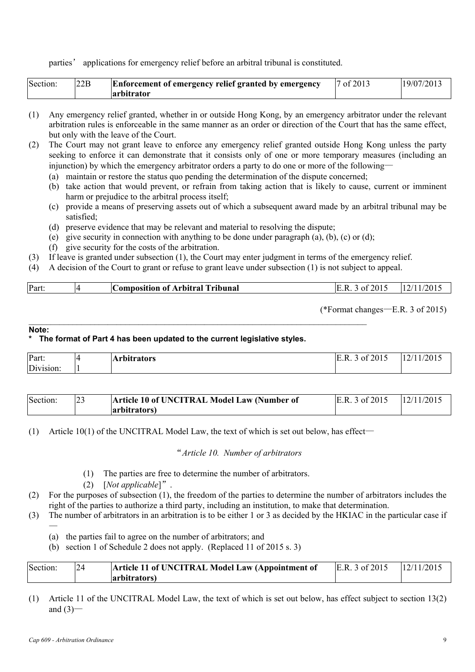parties' applications for emergency relief before an arbitral tribunal is constituted.

| Section: | 22B | Enforcement of emergency relief granted by emergency | 7 of 2013 | 19/07/2013 |
|----------|-----|------------------------------------------------------|-----------|------------|
|          |     | <b>larbitrator</b>                                   |           |            |

- (1) Any emergency relief granted, whether in or outside Hong Kong, by an emergency arbitrator under the relevant arbitration rules is enforceable in the same manner as an order or direction of the Court that has the same effect, but only with the leave of the Court.
- (2) The Court may not grant leave to enforce any emergency relief granted outside Hong Kong unless the party seeking to enforce it can demonstrate that it consists only of one or more temporary measures (including an injunction) by which the emergency arbitrator orders a party to do one or more of the following—
	- (a) maintain or restore the status quo pending the determination of the dispute concerned;
	- (b) take action that would prevent, or refrain from taking action that is likely to cause, current or imminent harm or prejudice to the arbitral process itself;
	- (c) provide a means of preserving assets out of which a subsequent award made by an arbitral tribunal may be satisfied;
	- (d) preserve evidence that may be relevant and material to resolving the dispute;
	- (e) give security in connection with anything to be done under paragraph (a), (b), (c) or (d);
	- (f) give security for the costs of the arbitration.
- (3) If leave is granted under subsection (1), the Court may enter judgment in terms of the emergency relief.
- (4) A decision of the Court to grant or refuse to grant leave under subsection (1) is not subject to appeal.

| Part: | Arbitral<br>$\sim 0^{\rm m}$<br><b>Tibuna</b><br>-01<br>tıon | 201 | 20.1 |
|-------|--------------------------------------------------------------|-----|------|
|       |                                                              |     |      |

(\*Format changes—E.R. 3 of 2015)

### **Note:**

### **\* The format of Part 4 has been updated to the current legislative styles.**

| Part:            | <b>\rbitrators</b> | of 2015<br>к<br>Las | $\sqrt{201}$<br>/2015 |
|------------------|--------------------|---------------------|-----------------------|
| In.<br>Division: |                    |                     |                       |

| Section: | <b>Article 10 of UNCITRAL Model Law (Number of</b> | E.R. 3 of 2015 | 12/11/2015 |
|----------|----------------------------------------------------|----------------|------------|
|          | arbitrators                                        |                |            |

(1) Article 10(1) of the UNCITRAL Model Law, the text of which is set out below, has effect—

 $\mathcal{L}_\mathcal{L} = \{ \mathcal{L}_\mathcal{L} = \{ \mathcal{L}_\mathcal{L} = \{ \mathcal{L}_\mathcal{L} = \{ \mathcal{L}_\mathcal{L} = \{ \mathcal{L}_\mathcal{L} = \{ \mathcal{L}_\mathcal{L} = \{ \mathcal{L}_\mathcal{L} = \{ \mathcal{L}_\mathcal{L} = \{ \mathcal{L}_\mathcal{L} = \{ \mathcal{L}_\mathcal{L} = \{ \mathcal{L}_\mathcal{L} = \{ \mathcal{L}_\mathcal{L} = \{ \mathcal{L}_\mathcal{L} = \{ \mathcal{L}_\mathcal{$ 

### "*Article 10. Number of arbitrators*

- (1) The parties are free to determine the number of arbitrators.
- (2) [*Not applicable*]".
- (2) For the purposes of subsection (1), the freedom of the parties to determine the number of arbitrators includes the right of the parties to authorize a third party, including an institution, to make that determination.
- (3) The number of arbitrators in an arbitration is to be either 1 or 3 as decided by the HKIAC in the particular case if
	- (a) the parties fail to agree on the number of arbitrators; and
	- (b) section 1 of Schedule 2 does not apply. (Replaced 11 of 2015 s. 3)

| Section: | 24 | Article 11 of UNCITRAL Model Law (Appointment of | E.R. $3$ of 2015 | 12/11/2015 |
|----------|----|--------------------------------------------------|------------------|------------|
|          |    | arbitrators)                                     |                  |            |

(1) Article 11 of the UNCITRAL Model Law, the text of which is set out below, has effect subject to section 13(2) and  $(3)$ —

—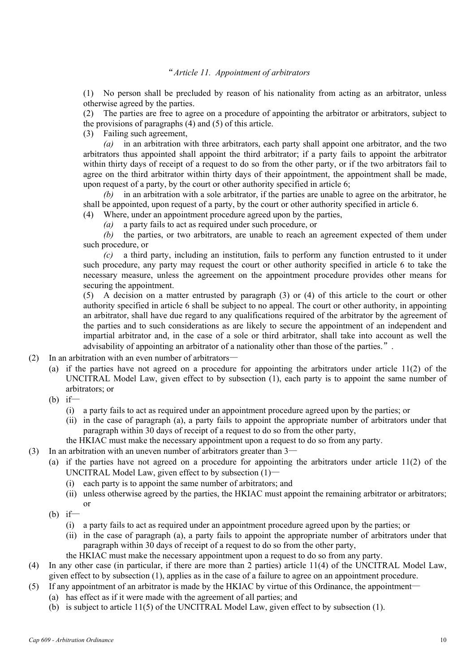(1) No person shall be precluded by reason of his nationality from acting as an arbitrator, unless otherwise agreed by the parties.

(2) The parties are free to agree on a procedure of appointing the arbitrator or arbitrators, subject to the provisions of paragraphs (4) and (5) of this article.

(3) Failing such agreement,

*(a)* in an arbitration with three arbitrators, each party shall appoint one arbitrator, and the two arbitrators thus appointed shall appoint the third arbitrator; if a party fails to appoint the arbitrator within thirty days of receipt of a request to do so from the other party, or if the two arbitrators fail to agree on the third arbitrator within thirty days of their appointment, the appointment shall be made, upon request of a party, by the court or other authority specified in article 6;

*(b)* in an arbitration with a sole arbitrator, if the parties are unable to agree on the arbitrator, he shall be appointed, upon request of a party, by the court or other authority specified in article 6.

(4) Where, under an appointment procedure agreed upon by the parties,

*(a)* a party fails to act as required under such procedure, or

*(b)* the parties, or two arbitrators, are unable to reach an agreement expected of them under such procedure, or

*(c)* a third party, including an institution, fails to perform any function entrusted to it under such procedure, any party may request the court or other authority specified in article 6 to take the necessary measure, unless the agreement on the appointment procedure provides other means for securing the appointment.

(5) A decision on a matter entrusted by paragraph (3) or (4) of this article to the court or other authority specified in article 6 shall be subject to no appeal. The court or other authority, in appointing an arbitrator, shall have due regard to any qualifications required of the arbitrator by the agreement of the parties and to such considerations as are likely to secure the appointment of an independent and impartial arbitrator and, in the case of a sole or third arbitrator, shall take into account as well the advisability of appointing an arbitrator of a nationality other than those of the parties.".

- (2) In an arbitration with an even number of arbitrators—
	- (a) if the parties have not agreed on a procedure for appointing the arbitrators under article 11(2) of the UNCITRAL Model Law, given effect to by subsection (1), each party is to appoint the same number of arbitrators; or
	- $(b)$  if—
		- (i) a party fails to act as required under an appointment procedure agreed upon by the parties; or
		- (ii) in the case of paragraph (a), a party fails to appoint the appropriate number of arbitrators under that paragraph within 30 days of receipt of a request to do so from the other party,

the HKIAC must make the necessary appointment upon a request to do so from any party.

- (3) In an arbitration with an uneven number of arbitrators greater than  $3-$ 
	- (a) if the parties have not agreed on a procedure for appointing the arbitrators under article 11(2) of the UNCITRAL Model Law, given effect to by subsection (1)—
		- (i) each party is to appoint the same number of arbitrators; and
		- (ii) unless otherwise agreed by the parties, the HKIAC must appoint the remaining arbitrator or arbitrators; or
	- $(b)$  if—
		- (i) a party fails to act as required under an appointment procedure agreed upon by the parties; or
		- (ii) in the case of paragraph (a), a party fails to appoint the appropriate number of arbitrators under that paragraph within 30 days of receipt of a request to do so from the other party,
		- the HKIAC must make the necessary appointment upon a request to do so from any party.
- (4) In any other case (in particular, if there are more than 2 parties) article 11(4) of the UNCITRAL Model Law, given effect to by subsection (1), applies as in the case of a failure to agree on an appointment procedure.
- (5) If any appointment of an arbitrator is made by the HKIAC by virtue of this Ordinance, the appointment—
	- (a) has effect as if it were made with the agreement of all parties; and
	- (b) is subject to article 11(5) of the UNCITRAL Model Law, given effect to by subsection (1).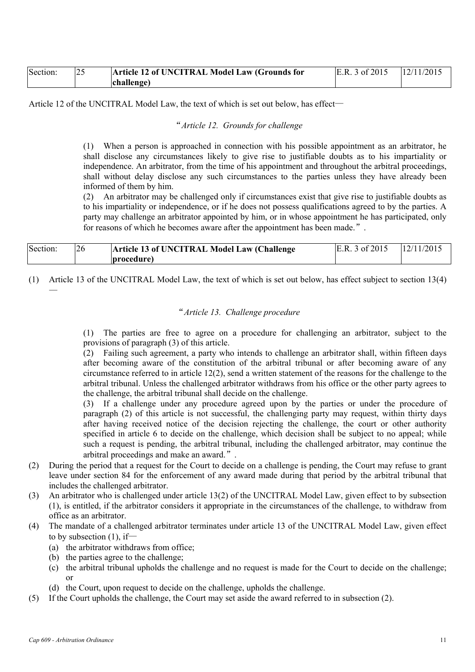| Section: | <b>Article 12 of UNCITRAL Model Law (Grounds for</b> | E.R. $3 \text{ of } 2015$ | 12/11/2015 |
|----------|------------------------------------------------------|---------------------------|------------|
|          | challenge)                                           |                           |            |

Article 12 of the UNCITRAL Model Law, the text of which is set out below, has effect—

### "*Article 12. Grounds for challenge*

(1) When a person is approached in connection with his possible appointment as an arbitrator, he shall disclose any circumstances likely to give rise to justifiable doubts as to his impartiality or independence. An arbitrator, from the time of his appointment and throughout the arbitral proceedings, shall without delay disclose any such circumstances to the parties unless they have already been informed of them by him.

(2) An arbitrator may be challenged only if circumstances exist that give rise to justifiable doubts as to his impartiality or independence, or if he does not possess qualifications agreed to by the parties. A party may challenge an arbitrator appointed by him, or in whose appointment he has participated, only for reasons of which he becomes aware after the appointment has been made.".

| Section: | 26 | <b>Article 13 of UNCITRAL Model Law (Challenge</b> | E.R. $3$ of 2015 | 12/11/2015 |
|----------|----|----------------------------------------------------|------------------|------------|
|          |    | (brocedure)                                        |                  |            |

(1) Article 13 of the UNCITRAL Model Law, the text of which is set out below, has effect subject to section 13(4)

# "*Article 13. Challenge procedure*

(1) The parties are free to agree on a procedure for challenging an arbitrator, subject to the provisions of paragraph (3) of this article.

(2) Failing such agreement, a party who intends to challenge an arbitrator shall, within fifteen days after becoming aware of the constitution of the arbitral tribunal or after becoming aware of any circumstance referred to in article 12(2), send a written statement of the reasons for the challenge to the arbitral tribunal. Unless the challenged arbitrator withdraws from his office or the other party agrees to the challenge, the arbitral tribunal shall decide on the challenge.

(3) If a challenge under any procedure agreed upon by the parties or under the procedure of paragraph (2) of this article is not successful, the challenging party may request, within thirty days after having received notice of the decision rejecting the challenge, the court or other authority specified in article 6 to decide on the challenge, which decision shall be subject to no appeal; while such a request is pending, the arbitral tribunal, including the challenged arbitrator, may continue the arbitral proceedings and make an award.".

- (2) During the period that a request for the Court to decide on a challenge is pending, the Court may refuse to grant leave under section 84 for the enforcement of any award made during that period by the arbitral tribunal that includes the challenged arbitrator.
- (3) An arbitrator who is challenged under article 13(2) of the UNCITRAL Model Law, given effect to by subsection (1), is entitled, if the arbitrator considers it appropriate in the circumstances of the challenge, to withdraw from office as an arbitrator.
- (4) The mandate of a challenged arbitrator terminates under article 13 of the UNCITRAL Model Law, given effect to by subsection  $(1)$ , if-
	- (a) the arbitrator withdraws from office;
	- (b) the parties agree to the challenge;
	- (c) the arbitral tribunal upholds the challenge and no request is made for the Court to decide on the challenge; or
	- (d) the Court, upon request to decide on the challenge, upholds the challenge.
- (5) If the Court upholds the challenge, the Court may set aside the award referred to in subsection (2).

—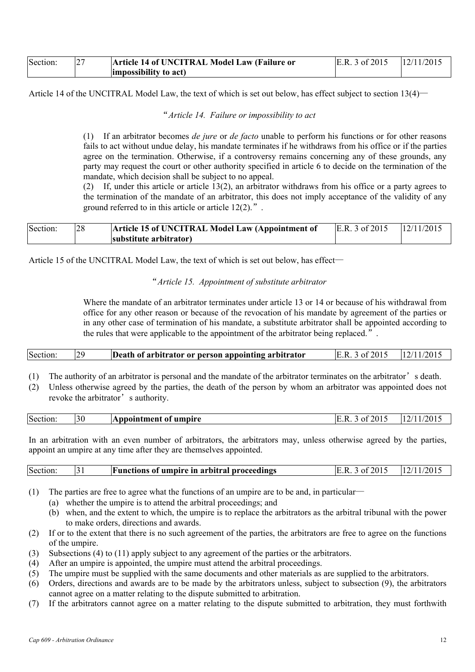| Section: | Article 14 of UNCITRAL Model Law (Failure or | E.R. $3 \text{ of } 2015$ | 12/11/2015 |
|----------|----------------------------------------------|---------------------------|------------|
|          | impossibility to act)                        |                           |            |

Article 14 of the UNCITRAL Model Law, the text of which is set out below, has effect subject to section 13(4)—

"*Article 14. Failure or impossibility to act* 

(1) If an arbitrator becomes *de jure* or *de facto* unable to perform his functions or for other reasons fails to act without undue delay, his mandate terminates if he withdraws from his office or if the parties agree on the termination. Otherwise, if a controversy remains concerning any of these grounds, any party may request the court or other authority specified in article 6 to decide on the termination of the mandate, which decision shall be subject to no appeal.

(2) If, under this article or article 13(2), an arbitrator withdraws from his office or a party agrees to the termination of the mandate of an arbitrator, this does not imply acceptance of the validity of any ground referred to in this article or article 12(2).".

| Section: | 28 | Article 15 of UNCITRAL Model Law (Appointment of | E.R. 3 of 2015 $12/11/2015$ |  |
|----------|----|--------------------------------------------------|-----------------------------|--|
|          |    | substitute arbitrator)                           |                             |  |

Article 15 of the UNCITRAL Model Law, the text of which is set out below, has effect—

### "*Article 15. Appointment of substitute arbitrator*

Where the mandate of an arbitrator terminates under article 13 or 14 or because of his withdrawal from office for any other reason or because of the revocation of his mandate by agreement of the parties or in any other case of termination of his mandate, a substitute arbitrator shall be appointed according to the rules that were applicable to the appointment of the arbitrator being replaced.".

| Section: | <sup>29</sup> | Death of arbitrator or person appointing arbitrator | E.R. 3 of 2015 $12/11/2015$ |  |
|----------|---------------|-----------------------------------------------------|-----------------------------|--|
|----------|---------------|-----------------------------------------------------|-----------------------------|--|

(1) The authority of an arbitrator is personal and the mandate of the arbitrator terminates on the arbitrator's death.

(2) Unless otherwise agreed by the parties, the death of the person by whom an arbitrator was appointed does not revoke the arbitrator's authority.

| Section:<br>30<br>201:<br>oointment of umpire<br>റ:<br>к<br>401. |
|------------------------------------------------------------------|
|------------------------------------------------------------------|

In an arbitration with an even number of arbitrators, the arbitrators may, unless otherwise agreed by the parties, appoint an umpire at any time after they are themselves appointed.

| Section: | <b>Functions of umpire in arbitral proceedings</b> | 3 of 2015<br>E.R.3 | 12/11/2015 |
|----------|----------------------------------------------------|--------------------|------------|
|          |                                                    |                    |            |

- (1) The parties are free to agree what the functions of an umpire are to be and, in particular—
	- (a) whether the umpire is to attend the arbitral proceedings; and
	- (b) when, and the extent to which, the umpire is to replace the arbitrators as the arbitral tribunal with the power to make orders, directions and awards.
- (2) If or to the extent that there is no such agreement of the parties, the arbitrators are free to agree on the functions of the umpire.
- (3) Subsections (4) to (11) apply subject to any agreement of the parties or the arbitrators.
- (4) After an umpire is appointed, the umpire must attend the arbitral proceedings.
- (5) The umpire must be supplied with the same documents and other materials as are supplied to the arbitrators.
- (6) Orders, directions and awards are to be made by the arbitrators unless, subject to subsection (9), the arbitrators cannot agree on a matter relating to the dispute submitted to arbitration.
- (7) If the arbitrators cannot agree on a matter relating to the dispute submitted to arbitration, they must forthwith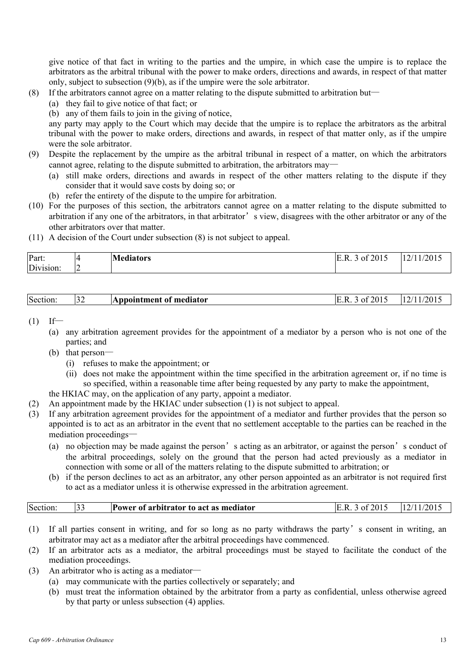give notice of that fact in writing to the parties and the umpire, in which case the umpire is to replace the arbitrators as the arbitral tribunal with the power to make orders, directions and awards, in respect of that matter only, subject to subsection (9)(b), as if the umpire were the sole arbitrator.

- (8) If the arbitrators cannot agree on a matter relating to the dispute submitted to arbitration but—
	- (a) they fail to give notice of that fact; or
	- (b) any of them fails to join in the giving of notice,

any party may apply to the Court which may decide that the umpire is to replace the arbitrators as the arbitral tribunal with the power to make orders, directions and awards, in respect of that matter only, as if the umpire were the sole arbitrator.

- (9) Despite the replacement by the umpire as the arbitral tribunal in respect of a matter, on which the arbitrators cannot agree, relating to the dispute submitted to arbitration, the arbitrators may—
	- (a) still make orders, directions and awards in respect of the other matters relating to the dispute if they consider that it would save costs by doing so; or
	- (b) refer the entirety of the dispute to the umpire for arbitration.
- (10) For the purposes of this section, the arbitrators cannot agree on a matter relating to the dispute submitted to arbitration if any one of the arbitrators, in that arbitrator's view, disagrees with the other arbitrator or any of the other arbitrators over that matter.
- (11) A decision of the Court under subsection (8) is not subject to appeal.

| Part:     |   | $\blacksquare$<br>Mediators | $0.001$ $\tau$<br>2015<br>∩1 | /2015 |
|-----------|---|-----------------------------|------------------------------|-------|
| Division: | ╶ |                             |                              |       |

| Section:<br>201<br>Appointment of mediator<br>. J 4<br>the contract of the contract of |
|----------------------------------------------------------------------------------------|
|----------------------------------------------------------------------------------------|

 $(1)$  If—

- (a) any arbitration agreement provides for the appointment of a mediator by a person who is not one of the parties; and
- (b) that person—
	- (i) refuses to make the appointment; or
	- (ii) does not make the appointment within the time specified in the arbitration agreement or, if no time is so specified, within a reasonable time after being requested by any party to make the appointment,
- the HKIAC may, on the application of any party, appoint a mediator.
- (2) An appointment made by the HKIAC under subsection (1) is not subject to appeal.
- (3) If any arbitration agreement provides for the appointment of a mediator and further provides that the person so appointed is to act as an arbitrator in the event that no settlement acceptable to the parties can be reached in the mediation proceedings—
	- (a) no objection may be made against the person's acting as an arbitrator, or against the person's conduct of the arbitral proceedings, solely on the ground that the person had acted previously as a mediator in connection with some or all of the matters relating to the dispute submitted to arbitration; or
	- (b) if the person declines to act as an arbitrator, any other person appointed as an arbitrator is not required first to act as a mediator unless it is otherwise expressed in the arbitration agreement.

| Section: | <b>Power of arbitrator to act as mediator</b> | 2015<br>ot. | /2015 |
|----------|-----------------------------------------------|-------------|-------|
|          |                                               |             |       |

- (1) If all parties consent in writing, and for so long as no party withdraws the party's consent in writing, an arbitrator may act as a mediator after the arbitral proceedings have commenced.
- (2) If an arbitrator acts as a mediator, the arbitral proceedings must be stayed to facilitate the conduct of the mediation proceedings.
- (3) An arbitrator who is acting as a mediator—
	- (a) may communicate with the parties collectively or separately; and
	- (b) must treat the information obtained by the arbitrator from a party as confidential, unless otherwise agreed by that party or unless subsection (4) applies.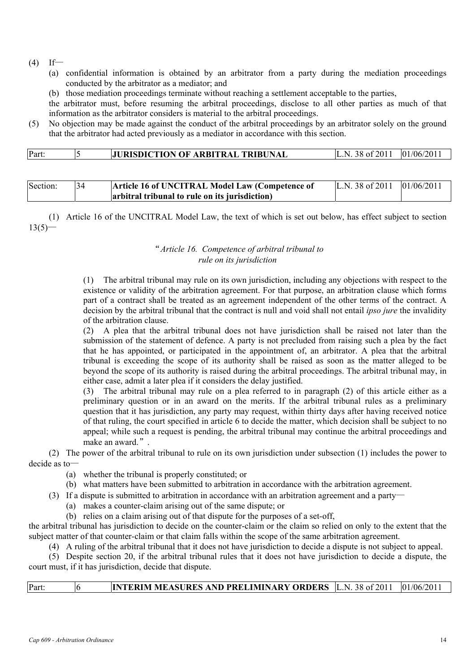$(4)$  If—

- (a) confidential information is obtained by an arbitrator from a party during the mediation proceedings conducted by the arbitrator as a mediator; and
- (b) those mediation proceedings terminate without reaching a settlement acceptable to the parties,
- the arbitrator must, before resuming the arbitral proceedings, disclose to all other parties as much of that information as the arbitrator considers is material to the arbitral proceedings.
- (5) No objection may be made against the conduct of the arbitral proceedings by an arbitrator solely on the ground that the arbitrator had acted previously as a mediator in accordance with this section.

| Part<br><b>JURISDICTION OF ARBITRAL TRIBUNAL</b> | L.N. 38 of 2011 $ 01/06/2011$ |
|--------------------------------------------------|-------------------------------|
|--------------------------------------------------|-------------------------------|

| Section: | 34 | Article 16 of UNCITRAL Model Law (Competence of | L.N. 38 of 2011 $ 01/06/2011 $ |  |
|----------|----|-------------------------------------------------|--------------------------------|--|
|          |    | arbitral tribunal to rule on its jurisdiction)  |                                |  |

(1) Article 16 of the UNCITRAL Model Law, the text of which is set out below, has effect subject to section  $13(5)$ —

# "*Article 16. Competence of arbitral tribunal to rule on its jurisdiction*

(1) The arbitral tribunal may rule on its own jurisdiction, including any objections with respect to the existence or validity of the arbitration agreement. For that purpose, an arbitration clause which forms part of a contract shall be treated as an agreement independent of the other terms of the contract. A decision by the arbitral tribunal that the contract is null and void shall not entail *ipso jure* the invalidity of the arbitration clause.

(2) A plea that the arbitral tribunal does not have jurisdiction shall be raised not later than the submission of the statement of defence. A party is not precluded from raising such a plea by the fact that he has appointed, or participated in the appointment of, an arbitrator. A plea that the arbitral tribunal is exceeding the scope of its authority shall be raised as soon as the matter alleged to be beyond the scope of its authority is raised during the arbitral proceedings. The arbitral tribunal may, in either case, admit a later plea if it considers the delay justified.

(3) The arbitral tribunal may rule on a plea referred to in paragraph (2) of this article either as a preliminary question or in an award on the merits. If the arbitral tribunal rules as a preliminary question that it has jurisdiction, any party may request, within thirty days after having received notice of that ruling, the court specified in article 6 to decide the matter, which decision shall be subject to no appeal; while such a request is pending, the arbitral tribunal may continue the arbitral proceedings and make an award.".

(2) The power of the arbitral tribunal to rule on its own jurisdiction under subsection (1) includes the power to decide as to—

- (a) whether the tribunal is properly constituted; or
- (b) what matters have been submitted to arbitration in accordance with the arbitration agreement.
- (3) If a dispute is submitted to arbitration in accordance with an arbitration agreement and a party—
	- (a) makes a counter-claim arising out of the same dispute; or
	- (b) relies on a claim arising out of that dispute for the purposes of a set-off,

the arbitral tribunal has jurisdiction to decide on the counter-claim or the claim so relied on only to the extent that the subject matter of that counter-claim or that claim falls within the scope of the same arbitration agreement.

(4) A ruling of the arbitral tribunal that it does not have jurisdiction to decide a dispute is not subject to appeal.

(5) Despite section 20, if the arbitral tribunal rules that it does not have jurisdiction to decide a dispute, the court must, if it has jurisdiction, decide that dispute.

### **Part:** 6 **INTERIM MEASURES AND PRELIMINARY ORDERS** L.N. 38 of 2011 01/06/2011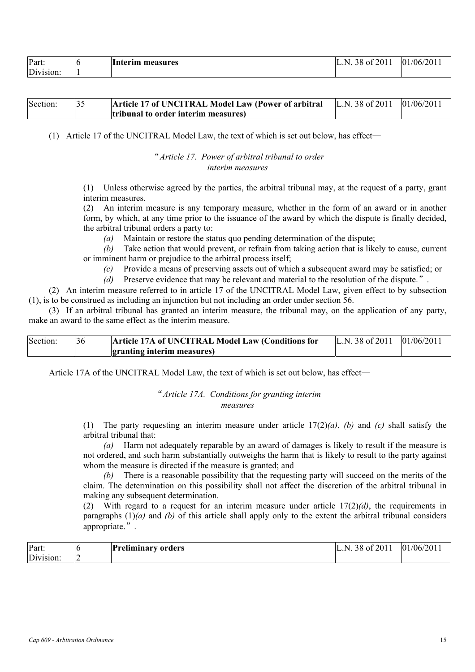| Part:     | Interim measures | f 2011<br>$38$ of | 01/06/2011 |
|-----------|------------------|-------------------|------------|
| Division: |                  |                   |            |

| Section: | Article 17 of UNCITRAL Model Law (Power of arbitral | L.N. 38 of 2011 $ 01/06/2011 $ |  |
|----------|-----------------------------------------------------|--------------------------------|--|
|          | tribunal to order interim measures)                 |                                |  |

(1) Article 17 of the UNCITRAL Model Law, the text of which is set out below, has effect—

"*Article 17. Power of arbitral tribunal to order interim measures* 

(1) Unless otherwise agreed by the parties, the arbitral tribunal may, at the request of a party, grant interim measures.

(2) An interim measure is any temporary measure, whether in the form of an award or in another form, by which, at any time prior to the issuance of the award by which the dispute is finally decided, the arbitral tribunal orders a party to:

*(a)* Maintain or restore the status quo pending determination of the dispute;

*(b)* Take action that would prevent, or refrain from taking action that is likely to cause, current or imminent harm or prejudice to the arbitral process itself;

- *(c)* Provide a means of preserving assets out of which a subsequent award may be satisfied; or
- *(d)* Preserve evidence that may be relevant and material to the resolution of the dispute.".

(2) An interim measure referred to in article 17 of the UNCITRAL Model Law, given effect to by subsection (1), is to be construed as including an injunction but not including an order under section 56.

(3) If an arbitral tribunal has granted an interim measure, the tribunal may, on the application of any party, make an award to the same effect as the interim measure.

| Section: | 36 | <b>Article 17A of UNCITRAL Model Law (Conditions for</b> | L.N. 38 of 2011 $ 01/06/2011$ |  |
|----------|----|----------------------------------------------------------|-------------------------------|--|
|          |    | <b>granting interim measures</b> )                       |                               |  |

Article 17A of the UNCITRAL Model Law, the text of which is set out below, has effect—

"*Article 17A. Conditions for granting interim measures* 

(1) The party requesting an interim measure under article 17(2)*(a)*, *(b)* and *(c)* shall satisfy the arbitral tribunal that:

*(a)* Harm not adequately reparable by an award of damages is likely to result if the measure is not ordered, and such harm substantially outweighs the harm that is likely to result to the party against whom the measure is directed if the measure is granted; and

*(b)* There is a reasonable possibility that the requesting party will succeed on the merits of the claim. The determination on this possibility shall not affect the discretion of the arbitral tribunal in making any subsequent determination.

(2) With regard to a request for an interim measure under article 17(2)*(d)*, the requirements in paragraphs (1)*(a)* and *(b)* of this article shall apply only to the extent the arbitral tribunal considers appropriate.".

| Part:     | <b>Preliminary orders</b> | 38 of 2011<br>N.<br>4L.I | 01/06/201 |
|-----------|---------------------------|--------------------------|-----------|
| Division: |                           |                          |           |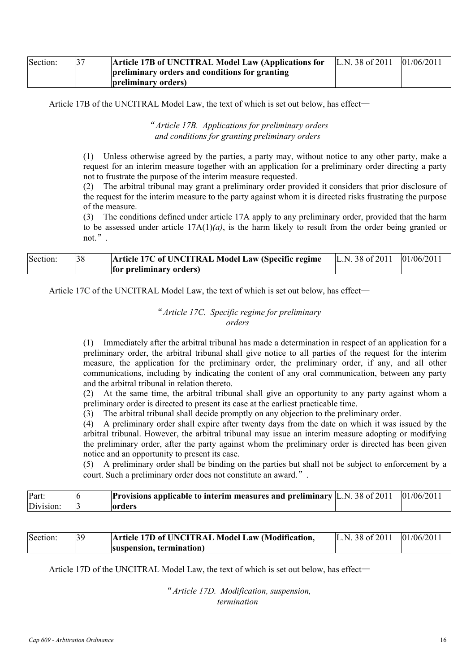| Section: | <b>Article 17B of UNCITRAL Model Law (Applications for</b> | L.N. 38 of 2011 $ 01/06/2011 $ |  |
|----------|------------------------------------------------------------|--------------------------------|--|
|          | preliminary orders and conditions for granting             |                                |  |
|          | preliminary orders)                                        |                                |  |

Article 17B of the UNCITRAL Model Law, the text of which is set out below, has effect—

"*Article 17B. Applications for preliminary orders and conditions for granting preliminary orders* 

(1) Unless otherwise agreed by the parties, a party may, without notice to any other party, make a request for an interim measure together with an application for a preliminary order directing a party not to frustrate the purpose of the interim measure requested.

(2) The arbitral tribunal may grant a preliminary order provided it considers that prior disclosure of the request for the interim measure to the party against whom it is directed risks frustrating the purpose of the measure.

(3) The conditions defined under article 17A apply to any preliminary order, provided that the harm to be assessed under article  $17A(1)(a)$ , is the harm likely to result from the order being granted or not.".

| Section: | 38 | Article 17C of UNCITRAL Model Law (Specific regime | L.N. 38 of 2011 $ 01/06/2011 $ |  |
|----------|----|----------------------------------------------------|--------------------------------|--|
|          |    | for preliminary orders)                            |                                |  |

Article 17C of the UNCITRAL Model Law, the text of which is set out below, has effect—

"*Article 17C. Specific regime for preliminary orders* 

(1) Immediately after the arbitral tribunal has made a determination in respect of an application for a preliminary order, the arbitral tribunal shall give notice to all parties of the request for the interim measure, the application for the preliminary order, the preliminary order, if any, and all other communications, including by indicating the content of any oral communication, between any party and the arbitral tribunal in relation thereto.

(2) At the same time, the arbitral tribunal shall give an opportunity to any party against whom a preliminary order is directed to present its case at the earliest practicable time.

(3) The arbitral tribunal shall decide promptly on any objection to the preliminary order.

(4) A preliminary order shall expire after twenty days from the date on which it was issued by the arbitral tribunal. However, the arbitral tribunal may issue an interim measure adopting or modifying the preliminary order, after the party against whom the preliminary order is directed has been given notice and an opportunity to present its case.

(5) A preliminary order shall be binding on the parties but shall not be subject to enforcement by a court. Such a preliminary order does not constitute an award.".

| Part:     | <b>Provisions applicable to interim measures and preliminary</b> L.N. 38 of 2011 $ 01/06/2011 $ |  |
|-----------|-------------------------------------------------------------------------------------------------|--|
| Division: | <b>Lorders</b>                                                                                  |  |

| Section: | 39 | Article 17D of UNCITRAL Model Law (Modification, | L.N. 38 of 2011 $ 01/06/2011 $ |  |
|----------|----|--------------------------------------------------|--------------------------------|--|
|          |    | suspension, termination)                         |                                |  |

Article 17D of the UNCITRAL Model Law, the text of which is set out below, has effect—

"*Article 17D. Modification, suspension, termination*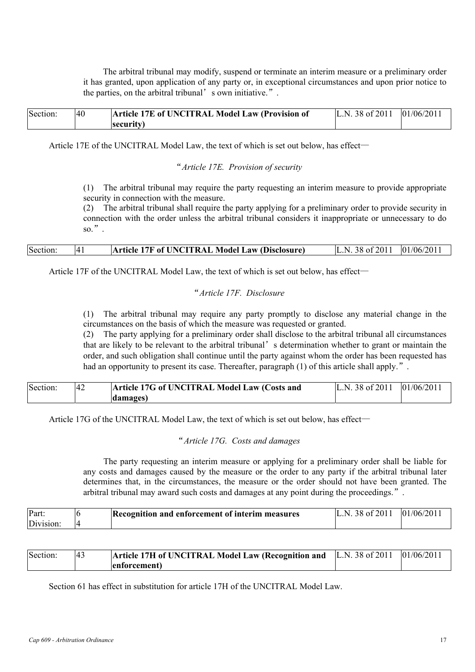The arbitral tribunal may modify, suspend or terminate an interim measure or a preliminary order it has granted, upon application of any party or, in exceptional circumstances and upon prior notice to the parties, on the arbitral tribunal's own initiative.".

| Section: | 40 | <b>Article 17E of UNCITRAL Model Law (Provision of</b> | L.N. 38 of 2011 $ 01/06/2011 $ |  |
|----------|----|--------------------------------------------------------|--------------------------------|--|
|          |    | security)                                              |                                |  |

Article 17E of the UNCITRAL Model Law, the text of which is set out below, has effect—

"*Article 17E. Provision of security* 

(1) The arbitral tribunal may require the party requesting an interim measure to provide appropriate security in connection with the measure.

(2) The arbitral tribunal shall require the party applying for a preliminary order to provide security in connection with the order unless the arbitral tribunal considers it inappropriate or unnecessary to do so." $\cdot$ 

| <b>Article 17F of UNCITRAL Model Law (Disclosure)</b><br>Section: | L.N. 38 of 2011 $ 01/06/2011$ |  |
|-------------------------------------------------------------------|-------------------------------|--|
|-------------------------------------------------------------------|-------------------------------|--|

Article 17F of the UNCITRAL Model Law, the text of which is set out below, has effect—

# "*Article 17F. Disclosure*

(1) The arbitral tribunal may require any party promptly to disclose any material change in the circumstances on the basis of which the measure was requested or granted.

(2) The party applying for a preliminary order shall disclose to the arbitral tribunal all circumstances that are likely to be relevant to the arbitral tribunal's determination whether to grant or maintain the order, and such obligation shall continue until the party against whom the order has been requested has had an opportunity to present its case. Thereafter, paragraph (1) of this article shall apply.".

| Section: | <b>142</b> | Article 17G of UNCITRAL Model Law (Costs and | L.N. 38 of 2011 $ 01/06/2011 $ |  |
|----------|------------|----------------------------------------------|--------------------------------|--|
|          |            | damages)                                     |                                |  |

Article 17G of the UNCITRAL Model Law, the text of which is set out below, has effect—

"*Article 17G. Costs and damages* 

 The party requesting an interim measure or applying for a preliminary order shall be liable for any costs and damages caused by the measure or the order to any party if the arbitral tribunal later determines that, in the circumstances, the measure or the order should not have been granted. The arbitral tribunal may award such costs and damages at any point during the proceedings.".

| Part      | <b>Recognition and enforcement of interim measures</b> | 38 of 2011<br>IL N | $ 01/06/201\rangle$ |
|-----------|--------------------------------------------------------|--------------------|---------------------|
| Division: |                                                        |                    |                     |

| Section: | 43 | <b>Article 17H of UNCITRAL Model Law (Recognition and </b> L.N. 38 of 2011 $ 01/06/2011 $ |  |
|----------|----|-------------------------------------------------------------------------------------------|--|
|          |    | enforcement)                                                                              |  |

Section 61 has effect in substitution for article 17H of the UNCITRAL Model Law.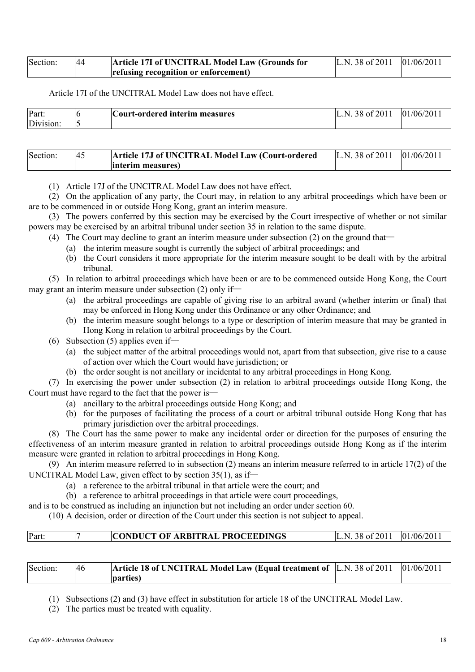| Section: | -44 | <b>Article 17I of UNCITRAL Model Law (Grounds for</b> | L.N. 38 of 2011 $ 01/06/2011 $ |  |
|----------|-----|-------------------------------------------------------|--------------------------------|--|
|          |     | refusing recognition or enforcement)                  |                                |  |

Article 17I of the UNCITRAL Model Law does not have effect.

| Part:     | Court-ordered interim measures_ | $\degree$ 2011<br>38 of<br>N | 01/06/201 |
|-----------|---------------------------------|------------------------------|-----------|
| Division: |                                 |                              |           |

| Section: | <sup>45</sup> | Article 17J of UNCITRAL Model Law (Court-ordered | L.N. 38 of 2011 $ 01/06/2011 $ |  |
|----------|---------------|--------------------------------------------------|--------------------------------|--|
|          |               | linterim measures)                               |                                |  |

(1) Article 17J of the UNCITRAL Model Law does not have effect.

(2) On the application of any party, the Court may, in relation to any arbitral proceedings which have been or are to be commenced in or outside Hong Kong, grant an interim measure.

(3) The powers conferred by this section may be exercised by the Court irrespective of whether or not similar powers may be exercised by an arbitral tribunal under section 35 in relation to the same dispute.

- (4) The Court may decline to grant an interim measure under subsection (2) on the ground that—
	- (a) the interim measure sought is currently the subject of arbitral proceedings; and
	- (b) the Court considers it more appropriate for the interim measure sought to be dealt with by the arbitral tribunal.

(5) In relation to arbitral proceedings which have been or are to be commenced outside Hong Kong, the Court may grant an interim measure under subsection (2) only if—

- (a) the arbitral proceedings are capable of giving rise to an arbitral award (whether interim or final) that may be enforced in Hong Kong under this Ordinance or any other Ordinance; and
- (b) the interim measure sought belongs to a type or description of interim measure that may be granted in Hong Kong in relation to arbitral proceedings by the Court.
- (6) Subsection (5) applies even if—
	- (a) the subject matter of the arbitral proceedings would not, apart from that subsection, give rise to a cause of action over which the Court would have jurisdiction; or
	- (b) the order sought is not ancillary or incidental to any arbitral proceedings in Hong Kong.

(7) In exercising the power under subsection (2) in relation to arbitral proceedings outside Hong Kong, the Court must have regard to the fact that the power is—

- (a) ancillary to the arbitral proceedings outside Hong Kong; and
- (b) for the purposes of facilitating the process of a court or arbitral tribunal outside Hong Kong that has primary jurisdiction over the arbitral proceedings.

(8) The Court has the same power to make any incidental order or direction for the purposes of ensuring the effectiveness of an interim measure granted in relation to arbitral proceedings outside Hong Kong as if the interim measure were granted in relation to arbitral proceedings in Hong Kong.

(9) An interim measure referred to in subsection (2) means an interim measure referred to in article 17(2) of the UNCITRAL Model Law, given effect to by section 35(1), as if—

- (a) a reference to the arbitral tribunal in that article were the court; and
- (b) a reference to arbitral proceedings in that article were court proceedings,

and is to be construed as including an injunction but not including an order under section 60.

(10) A decision, order or direction of the Court under this section is not subject to appeal.

| Section: | -46 | <b>Article 18 of UNCITRAL Model Law (Equal treatment of L.N. 38 of 2011   01/06/2011</b> |  |
|----------|-----|------------------------------------------------------------------------------------------|--|
|          |     | <i>parties</i> )                                                                         |  |

(1) Subsections (2) and (3) have effect in substitution for article 18 of the UNCITRAL Model Law.

(2) The parties must be treated with equality.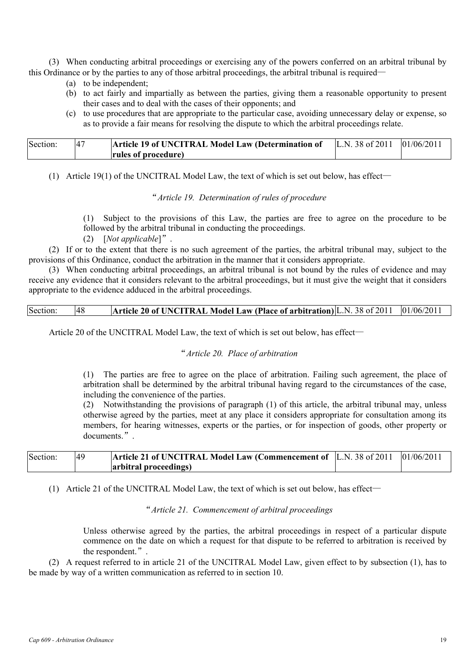(3) When conducting arbitral proceedings or exercising any of the powers conferred on an arbitral tribunal by this Ordinance or by the parties to any of those arbitral proceedings, the arbitral tribunal is required—

- (a) to be independent;
- (b) to act fairly and impartially as between the parties, giving them a reasonable opportunity to present their cases and to deal with the cases of their opponents; and
- (c) to use procedures that are appropriate to the particular case, avoiding unnecessary delay or expense, so as to provide a fair means for resolving the dispute to which the arbitral proceedings relate.

| Section: | <b>147</b> | Article 19 of UNCITRAL Model Law (Determination of | L.N. 38 of 2011 | 01/06/2011 |
|----------|------------|----------------------------------------------------|-----------------|------------|
|          |            | rules of procedure)                                |                 |            |

(1) Article 19(1) of the UNCITRAL Model Law, the text of which is set out below, has effect—

"*Article 19. Determination of rules of procedure* 

(1) Subject to the provisions of this Law, the parties are free to agree on the procedure to be followed by the arbitral tribunal in conducting the proceedings.

(2) [*Not applicable*]".

(2) If or to the extent that there is no such agreement of the parties, the arbitral tribunal may, subject to the provisions of this Ordinance, conduct the arbitration in the manner that it considers appropriate.

(3) When conducting arbitral proceedings, an arbitral tribunal is not bound by the rules of evidence and may receive any evidence that it considers relevant to the arbitral proceedings, but it must give the weight that it considers appropriate to the evidence adduced in the arbitral proceedings.

Section: |48 |Article 20 of UNCITRAL Model Law (Place of *arbitration*)
$$
[L.N. 38 of 2011 | 01/06/2011]
$$

Article 20 of the UNCITRAL Model Law, the text of which is set out below, has effect—

### "*Article 20. Place of arbitration*

(1) The parties are free to agree on the place of arbitration. Failing such agreement, the place of arbitration shall be determined by the arbitral tribunal having regard to the circumstances of the case, including the convenience of the parties.

(2) Notwithstanding the provisions of paragraph (1) of this article, the arbitral tribunal may, unless otherwise agreed by the parties, meet at any place it considers appropriate for consultation among its members, for hearing witnesses, experts or the parties, or for inspection of goods, other property or documents.".

| Section: | <u>149</u> | $\vert$ Article 21 of UNCITRAL Model Law (Commencement of $\vert$ L.N. 38 of 2011 $\vert$ 01/06/2011 |  |
|----------|------------|------------------------------------------------------------------------------------------------------|--|
|          |            | arbitral proceedings)                                                                                |  |

(1) Article 21 of the UNCITRAL Model Law, the text of which is set out below, has effect—

#### "*Article 21. Commencement of arbitral proceedings*

Unless otherwise agreed by the parties, the arbitral proceedings in respect of a particular dispute commence on the date on which a request for that dispute to be referred to arbitration is received by the respondent.".

(2) A request referred to in article 21 of the UNCITRAL Model Law, given effect to by subsection (1), has to be made by way of a written communication as referred to in section 10.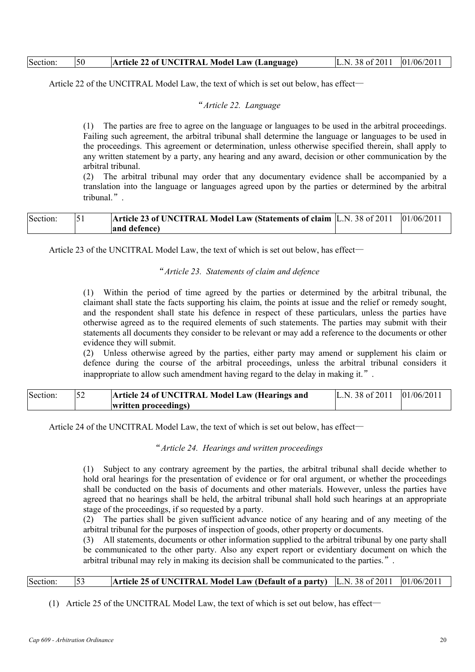| Section:<br><b>Article 22 of UNCITRAL Model Law (Language)</b> | L.N. 38 of 2011 | 01/06/2011 |
|----------------------------------------------------------------|-----------------|------------|
|----------------------------------------------------------------|-----------------|------------|

Article 22 of the UNCITRAL Model Law, the text of which is set out below, has effect—

# "*Article 22. Language*

(1) The parties are free to agree on the language or languages to be used in the arbitral proceedings. Failing such agreement, the arbitral tribunal shall determine the language or languages to be used in the proceedings. This agreement or determination, unless otherwise specified therein, shall apply to any written statement by a party, any hearing and any award, decision or other communication by the arbitral tribunal.

(2) The arbitral tribunal may order that any documentary evidence shall be accompanied by a translation into the language or languages agreed upon by the parties or determined by the arbitral tribunal.".

| Section: | <b>Article 23 of UNCITRAL Model Law (Statements of claim L.N. 38 of 2011)</b> | 101/06/2011 |
|----------|-------------------------------------------------------------------------------|-------------|
|          | and defence)                                                                  |             |

Article 23 of the UNCITRAL Model Law, the text of which is set out below, has effect—

### "*Article 23. Statements of claim and defence*

(1) Within the period of time agreed by the parties or determined by the arbitral tribunal, the claimant shall state the facts supporting his claim, the points at issue and the relief or remedy sought, and the respondent shall state his defence in respect of these particulars, unless the parties have otherwise agreed as to the required elements of such statements. The parties may submit with their statements all documents they consider to be relevant or may add a reference to the documents or other evidence they will submit.

(2) Unless otherwise agreed by the parties, either party may amend or supplement his claim or defence during the course of the arbitral proceedings, unless the arbitral tribunal considers it inappropriate to allow such amendment having regard to the delay in making it.".

| Section: | Article 24 of UNCITRAL Model Law (Hearings and | L.N. 38 of 2011 | 01/06/2011 |
|----------|------------------------------------------------|-----------------|------------|
|          | written proceedings)                           |                 |            |

Article 24 of the UNCITRAL Model Law, the text of which is set out below, has effect—

### "*Article 24. Hearings and written proceedings*

(1) Subject to any contrary agreement by the parties, the arbitral tribunal shall decide whether to hold oral hearings for the presentation of evidence or for oral argument, or whether the proceedings shall be conducted on the basis of documents and other materials. However, unless the parties have agreed that no hearings shall be held, the arbitral tribunal shall hold such hearings at an appropriate stage of the proceedings, if so requested by a party.

(2) The parties shall be given sufficient advance notice of any hearing and of any meeting of the arbitral tribunal for the purposes of inspection of goods, other property or documents.

(3) All statements, documents or other information supplied to the arbitral tribunal by one party shall be communicated to the other party. Also any expert report or evidentiary document on which the arbitral tribunal may rely in making its decision shall be communicated to the parties.".

# Section: 53 **Article 25 of UNCITRAL Model Law (Default of a party)** L.N. 38 of 2011 **[01/06/2011**

(1) Article 25 of the UNCITRAL Model Law, the text of which is set out below, has effect—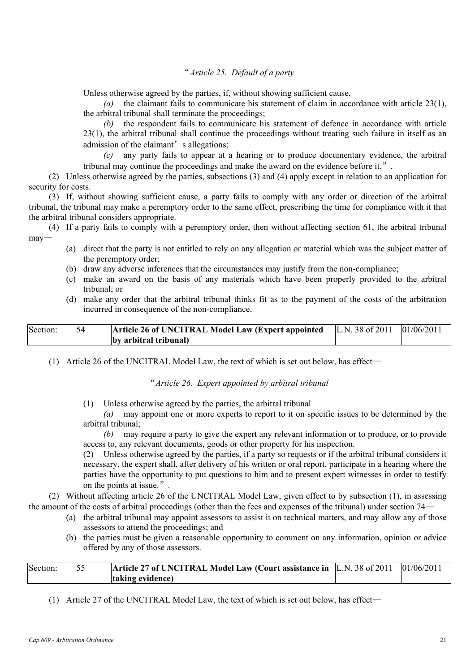"*Article 25. Default of a party* 

Unless otherwise agreed by the parties, if, without showing sufficient cause,

*(a)* the claimant fails to communicate his statement of claim in accordance with article 23(1), the arbitral tribunal shall terminate the proceedings;

*(b)* the respondent fails to communicate his statement of defence in accordance with article 23(1), the arbitral tribunal shall continue the proceedings without treating such failure in itself as an admission of the claimant's allegations;

*(c)* any party fails to appear at a hearing or to produce documentary evidence, the arbitral tribunal may continue the proceedings and make the award on the evidence before it.".

(2) Unless otherwise agreed by the parties, subsections (3) and (4) apply except in relation to an application for security for costs.

(3) If, without showing sufficient cause, a party fails to comply with any order or direction of the arbitral tribunal, the tribunal may make a peremptory order to the same effect, prescribing the time for compliance with it that the arbitral tribunal considers appropriate.

(4) If a party fails to comply with a peremptory order, then without affecting section 61, the arbitral tribunal may—

- (a) direct that the party is not entitled to rely on any allegation or material which was the subject matter of the peremptory order;
- (b) draw any adverse inferences that the circumstances may justify from the non-compliance;
- (c) make an award on the basis of any materials which have been properly provided to the arbitral tribunal; or
- (d) make any order that the arbitral tribunal thinks fit as to the payment of the costs of the arbitration incurred in consequence of the non-compliance.

| Section: | 54 | Article 26 of UNCITRAL Model Law (Expert appointed $ L.N. 38$ of 2011 $ 01/06/2011$ |  |
|----------|----|-------------------------------------------------------------------------------------|--|
|          |    | (by arbitral tribunal)                                                              |  |

(1) Article 26 of the UNCITRAL Model Law, the text of which is set out below, has effect—

### "*Article 26. Expert appointed by arbitral tribunal*

(1) Unless otherwise agreed by the parties, the arbitral tribunal

*(a)* may appoint one or more experts to report to it on specific issues to be determined by the arbitral tribunal;

*(b)* may require a party to give the expert any relevant information or to produce, or to provide access to, any relevant documents, goods or other property for his inspection.

(2) Unless otherwise agreed by the parties, if a party so requests or if the arbitral tribunal considers it necessary, the expert shall, after delivery of his written or oral report, participate in a hearing where the parties have the opportunity to put questions to him and to present expert witnesses in order to testify on the points at issue.".

(2) Without affecting article 26 of the UNCITRAL Model Law, given effect to by subsection (1), in assessing the amount of the costs of arbitral proceedings (other than the fees and expenses of the tribunal) under section 74—

- (a) the arbitral tribunal may appoint assessors to assist it on technical matters, and may allow any of those assessors to attend the proceedings; and
- (b) the parties must be given a reasonable opportunity to comment on any information, opinion or advice offered by any of those assessors.

| Section: | Article 27 of UNCITRAL Model Law (Court assistance in $ L.N. 38$ of 2011 $ 01/06/2011$ |  |
|----------|----------------------------------------------------------------------------------------|--|
|          | taking evidence)                                                                       |  |

(1) Article 27 of the UNCITRAL Model Law, the text of which is set out below, has effect—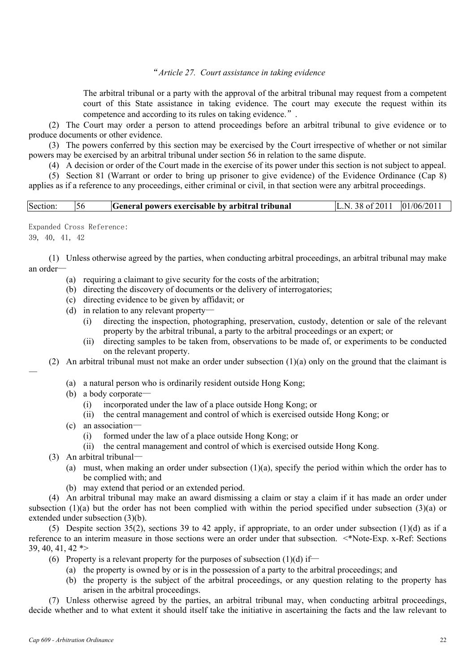"*Article 27. Court assistance in taking evidence* 

The arbitral tribunal or a party with the approval of the arbitral tribunal may request from a competent court of this State assistance in taking evidence. The court may execute the request within its competence and according to its rules on taking evidence.".

(2) The Court may order a person to attend proceedings before an arbitral tribunal to give evidence or to produce documents or other evidence.

(3) The powers conferred by this section may be exercised by the Court irrespective of whether or not similar powers may be exercised by an arbitral tribunal under section 56 in relation to the same dispute.

(4) A decision or order of the Court made in the exercise of its power under this section is not subject to appeal.

(5) Section 81 (Warrant or order to bring up prisoner to give evidence) of the Evidence Ordinance (Cap 8) applies as if a reference to any proceedings, either criminal or civil, in that section were any arbitral proceedings.

| Section:<br>56<br><b>General powers exercisable by arbitral tribunal</b> | L.N. 38 of 2011 $ 01/06/2011 $ |  |
|--------------------------------------------------------------------------|--------------------------------|--|
|--------------------------------------------------------------------------|--------------------------------|--|

Expanded Cross Reference: 39, 40, 41, 42

—

(1) Unless otherwise agreed by the parties, when conducting arbitral proceedings, an arbitral tribunal may make an order—

- (a) requiring a claimant to give security for the costs of the arbitration;
- (b) directing the discovery of documents or the delivery of interrogatories;
- (c) directing evidence to be given by affidavit; or
- (d) in relation to any relevant property—
	- (i) directing the inspection, photographing, preservation, custody, detention or sale of the relevant property by the arbitral tribunal, a party to the arbitral proceedings or an expert; or
	- (ii) directing samples to be taken from, observations to be made of, or experiments to be conducted on the relevant property.
- (2) An arbitral tribunal must not make an order under subsection (1)(a) only on the ground that the claimant is
	- (a) a natural person who is ordinarily resident outside Hong Kong;
	- (b) a body corporate—
		- (i) incorporated under the law of a place outside Hong Kong; or
		- (ii) the central management and control of which is exercised outside Hong Kong; or
	- (c) an association—
		- (i) formed under the law of a place outside Hong Kong; or
		- (ii) the central management and control of which is exercised outside Hong Kong.
	- (3) An arbitral tribunal—
		- (a) must, when making an order under subsection (1)(a), specify the period within which the order has to be complied with; and
		- (b) may extend that period or an extended period.

(4) An arbitral tribunal may make an award dismissing a claim or stay a claim if it has made an order under subsection (1)(a) but the order has not been complied with within the period specified under subsection (3)(a) or extended under subsection (3)(b).

(5) Despite section 35(2), sections 39 to 42 apply, if appropriate, to an order under subsection (1)(d) as if a reference to an interim measure in those sections were an order under that subsection. <\*Note-Exp. x-Ref: Sections 39, 40, 41, 42 $\ast$ >

- (6) Property is a relevant property for the purposes of subsection  $(1)(d)$  if—
	- (a) the property is owned by or is in the possession of a party to the arbitral proceedings; and
	- (b) the property is the subject of the arbitral proceedings, or any question relating to the property has arisen in the arbitral proceedings.

(7) Unless otherwise agreed by the parties, an arbitral tribunal may, when conducting arbitral proceedings, decide whether and to what extent it should itself take the initiative in ascertaining the facts and the law relevant to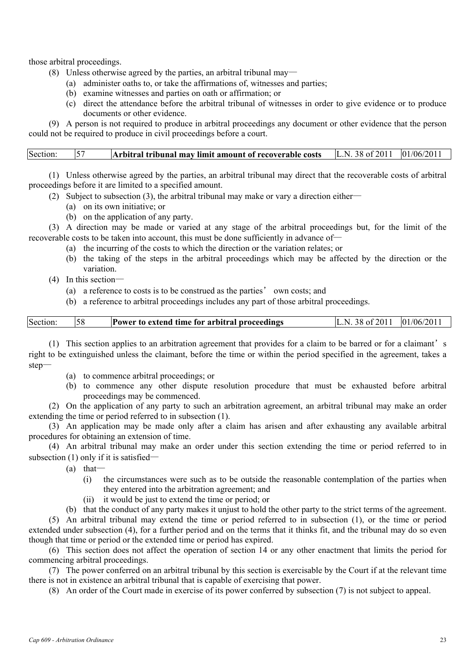those arbitral proceedings.

- (8) Unless otherwise agreed by the parties, an arbitral tribunal may—
	- (a) administer oaths to, or take the affirmations of, witnesses and parties;
	- (b) examine witnesses and parties on oath or affirmation; or
	- (c) direct the attendance before the arbitral tribunal of witnesses in order to give evidence or to produce documents or other evidence.

(9) A person is not required to produce in arbitral proceedings any document or other evidence that the person could not be required to produce in civil proceedings before a court.

| Section: |  |  | Arbitral tribunal may limit amount of recoverable costs | L.N. 38 of 2011 $ 01/06/2011 $ |  |
|----------|--|--|---------------------------------------------------------|--------------------------------|--|
|----------|--|--|---------------------------------------------------------|--------------------------------|--|

(1) Unless otherwise agreed by the parties, an arbitral tribunal may direct that the recoverable costs of arbitral proceedings before it are limited to a specified amount.

- (2) Subject to subsection (3), the arbitral tribunal may make or vary a direction either—
	- (a) on its own initiative; or
	- (b) on the application of any party.

(3) A direction may be made or varied at any stage of the arbitral proceedings but, for the limit of the recoverable costs to be taken into account, this must be done sufficiently in advance of—

- (a) the incurring of the costs to which the direction or the variation relates; or
- (b) the taking of the steps in the arbitral proceedings which may be affected by the direction or the variation.
- (4) In this section—
	- (a) a reference to costs is to be construed as the parties' own costs; and
	- (b) a reference to arbitral proceedings includes any part of those arbitral proceedings.

|  | Section: |  | <b>Power to extend time for arbitral proceedings</b> | $^{\circ}2011$<br>38 of<br>ILN. | 01/06/2011 |
|--|----------|--|------------------------------------------------------|---------------------------------|------------|
|--|----------|--|------------------------------------------------------|---------------------------------|------------|

(1) This section applies to an arbitration agreement that provides for a claim to be barred or for a claimant's right to be extinguished unless the claimant, before the time or within the period specified in the agreement, takes a step—

- (a) to commence arbitral proceedings; or
- (b) to commence any other dispute resolution procedure that must be exhausted before arbitral proceedings may be commenced.

(2) On the application of any party to such an arbitration agreement, an arbitral tribunal may make an order extending the time or period referred to in subsection (1).

(3) An application may be made only after a claim has arisen and after exhausting any available arbitral procedures for obtaining an extension of time.

(4) An arbitral tribunal may make an order under this section extending the time or period referred to in subsection (1) only if it is satisfied—

- $(a)$  that
	- (i) the circumstances were such as to be outside the reasonable contemplation of the parties when they entered into the arbitration agreement; and
	- (ii) it would be just to extend the time or period; or
- (b) that the conduct of any party makes it unjust to hold the other party to the strict terms of the agreement.

(5) An arbitral tribunal may extend the time or period referred to in subsection (1), or the time or period extended under subsection (4), for a further period and on the terms that it thinks fit, and the tribunal may do so even though that time or period or the extended time or period has expired.

(6) This section does not affect the operation of section 14 or any other enactment that limits the period for commencing arbitral proceedings.

(7) The power conferred on an arbitral tribunal by this section is exercisable by the Court if at the relevant time there is not in existence an arbitral tribunal that is capable of exercising that power.

(8) An order of the Court made in exercise of its power conferred by subsection (7) is not subject to appeal.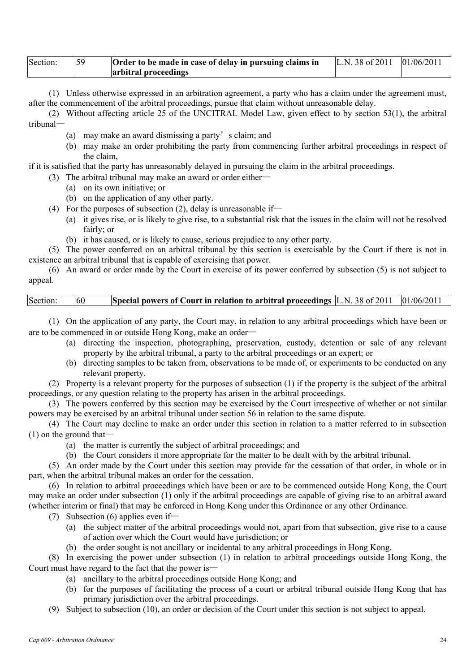| Section: | <b>Order to be made in case of delay in pursuing claims in</b> | L.N. 38 of 2011 $ 01/06/2011 $ |  |
|----------|----------------------------------------------------------------|--------------------------------|--|
|          | arbitral proceedings                                           |                                |  |

(1) Unless otherwise expressed in an arbitration agreement, a party who has a claim under the agreement must, after the commencement of the arbitral proceedings, pursue that claim without unreasonable delay.

(2) Without affecting article 25 of the UNCITRAL Model Law, given effect to by section 53(1), the arbitral tribunal—

- (a) may make an award dismissing a party's claim; and
- (b) may make an order prohibiting the party from commencing further arbitral proceedings in respect of the claim,

if it is satisfied that the party has unreasonably delayed in pursuing the claim in the arbitral proceedings.

- (3) The arbitral tribunal may make an award or order either—
	- (a) on its own initiative; or
	- (b) on the application of any other party.
	- (4) For the purposes of subsection (2), delay is unreasonable if—
		- (a) it gives rise, or is likely to give rise, to a substantial risk that the issues in the claim will not be resolved fairly; or
			- (b) it has caused, or is likely to cause, serious prejudice to any other party.

(5) The power conferred on an arbitral tribunal by this section is exercisable by the Court if there is not in existence an arbitral tribunal that is capable of exercising that power.

(6) An award or order made by the Court in exercise of its power conferred by subsection (5) is not subject to appeal.

| Section:<br>Special powers of Court in relation to arbitral proceedings $[L.N. 38 of 2011 \ 01/06/2011]$<br>60 |  |  |
|----------------------------------------------------------------------------------------------------------------|--|--|
|----------------------------------------------------------------------------------------------------------------|--|--|

(1) On the application of any party, the Court may, in relation to any arbitral proceedings which have been or are to be commenced in or outside Hong Kong, make an order—

- (a) directing the inspection, photographing, preservation, custody, detention or sale of any relevant property by the arbitral tribunal, a party to the arbitral proceedings or an expert; or
- (b) directing samples to be taken from, observations to be made of, or experiments to be conducted on any relevant property.

(2) Property is a relevant property for the purposes of subsection (1) if the property is the subject of the arbitral proceedings, or any question relating to the property has arisen in the arbitral proceedings.

(3) The powers conferred by this section may be exercised by the Court irrespective of whether or not similar powers may be exercised by an arbitral tribunal under section 56 in relation to the same dispute.

(4) The Court may decline to make an order under this section in relation to a matter referred to in subsection (1) on the ground that—

- (a) the matter is currently the subject of arbitral proceedings; and
- (b) the Court considers it more appropriate for the matter to be dealt with by the arbitral tribunal.

(5) An order made by the Court under this section may provide for the cessation of that order, in whole or in part, when the arbitral tribunal makes an order for the cessation.

(6) In relation to arbitral proceedings which have been or are to be commenced outside Hong Kong, the Court may make an order under subsection (1) only if the arbitral proceedings are capable of giving rise to an arbitral award (whether interim or final) that may be enforced in Hong Kong under this Ordinance or any other Ordinance.

- (7) Subsection (6) applies even if—
	- (a) the subject matter of the arbitral proceedings would not, apart from that subsection, give rise to a cause of action over which the Court would have jurisdiction; or
	- (b) the order sought is not ancillary or incidental to any arbitral proceedings in Hong Kong.

(8) In exercising the power under subsection (1) in relation to arbitral proceedings outside Hong Kong, the Court must have regard to the fact that the power is—

- (a) ancillary to the arbitral proceedings outside Hong Kong; and
- (b) for the purposes of facilitating the process of a court or arbitral tribunal outside Hong Kong that has primary jurisdiction over the arbitral proceedings.
- (9) Subject to subsection (10), an order or decision of the Court under this section is not subject to appeal.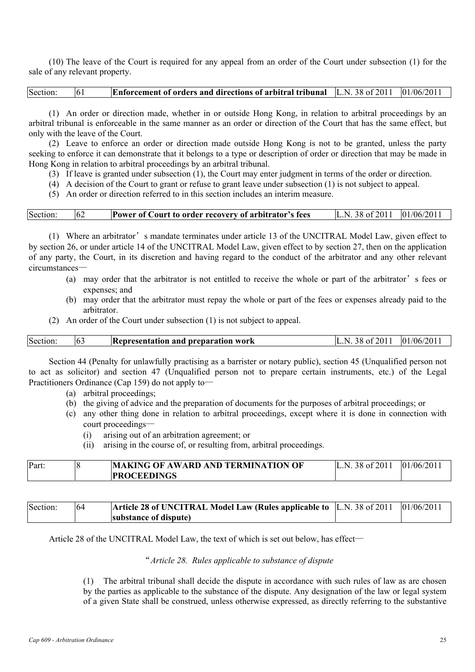(10) The leave of the Court is required for any appeal from an order of the Court under subsection (1) for the sale of any relevant property.

Section: 61 **Enforcement of orders and directions of arbitral tribunal** L.N. 38 of 2011 01/06/2011

(1) An order or direction made, whether in or outside Hong Kong, in relation to arbitral proceedings by an arbitral tribunal is enforceable in the same manner as an order or direction of the Court that has the same effect, but only with the leave of the Court.

(2) Leave to enforce an order or direction made outside Hong Kong is not to be granted, unless the party seeking to enforce it can demonstrate that it belongs to a type or description of order or direction that may be made in Hong Kong in relation to arbitral proceedings by an arbitral tribunal.

(3) If leave is granted under subsection (1), the Court may enter judgment in terms of the order or direction.

(4) A decision of the Court to grant or refuse to grant leave under subsection (1) is not subject to appeal.

(5) An order or direction referred to in this section includes an interim measure.

| Section: | <sup>62</sup> | <b>Power of Court to order recovery of arbitrator's fees</b> | L.N. 38 of 2011 $ 01/06/2011 $ |  |
|----------|---------------|--------------------------------------------------------------|--------------------------------|--|
|----------|---------------|--------------------------------------------------------------|--------------------------------|--|

(1) Where an arbitrator's mandate terminates under article 13 of the UNCITRAL Model Law, given effect to by section 26, or under article 14 of the UNCITRAL Model Law, given effect to by section 27, then on the application of any party, the Court, in its discretion and having regard to the conduct of the arbitrator and any other relevant circumstances—

- (a) may order that the arbitrator is not entitled to receive the whole or part of the arbitrator's fees or expenses; and
- (b) may order that the arbitrator must repay the whole or part of the fees or expenses already paid to the arbitrator.
- (2) An order of the Court under subsection (1) is not subject to appeal.

| L.N. 38 of 2011 $ 01/06/2011 $<br>Section:<br>63<br><b>Representation and preparation work</b> |  |
|------------------------------------------------------------------------------------------------|--|
|------------------------------------------------------------------------------------------------|--|

Section 44 (Penalty for unlawfully practising as a barrister or notary public), section 45 (Unqualified person not to act as solicitor) and section 47 (Unqualified person not to prepare certain instruments, etc.) of the Legal Practitioners Ordinance (Cap 159) do not apply to—

- (a) arbitral proceedings;
- (b) the giving of advice and the preparation of documents for the purposes of arbitral proceedings; or
- (c) any other thing done in relation to arbitral proceedings, except where it is done in connection with court proceedings—
	- (i) arising out of an arbitration agreement; or
	- (ii) arising in the course of, or resulting from, arbitral proceedings.

| Part. | <b>MAKING OF AWARD AND TERMINATION OF</b> | L.N. 38 of 2011 | 01/06/2011 |
|-------|-------------------------------------------|-----------------|------------|
|       | <b>PROCEEDINGS</b>                        |                 |            |

| Section: | -64 | Article 28 of UNCITRAL Model Law (Rules applicable to $ L.N. 38$ of 2011 $ 01/06/2011$ |  |
|----------|-----|----------------------------------------------------------------------------------------|--|
|          |     | substance of dispute)                                                                  |  |

Article 28 of the UNCITRAL Model Law, the text of which is set out below, has effect—

### "*Article 28. Rules applicable to substance of dispute*

(1) The arbitral tribunal shall decide the dispute in accordance with such rules of law as are chosen by the parties as applicable to the substance of the dispute. Any designation of the law or legal system of a given State shall be construed, unless otherwise expressed, as directly referring to the substantive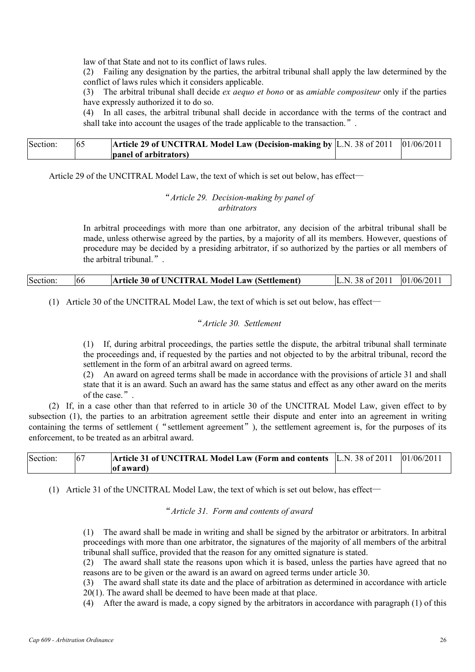law of that State and not to its conflict of laws rules.

(2) Failing any designation by the parties, the arbitral tribunal shall apply the law determined by the conflict of laws rules which it considers applicable.

(3) The arbitral tribunal shall decide *ex aequo et bono* or as *amiable compositeur* only if the parties have expressly authorized it to do so.

(4) In all cases, the arbitral tribunal shall decide in accordance with the terms of the contract and shall take into account the usages of the trade applicable to the transaction.".

| Section: | <b>Article 29 of UNCITRAL Model Law (Decision-making by L.N. 38 of 2011   <math> 01/06/2011 </math></b> |  |
|----------|---------------------------------------------------------------------------------------------------------|--|
|          | <b>panel of arbitrators</b>                                                                             |  |

Article 29 of the UNCITRAL Model Law, the text of which is set out below, has effect—

### "*Article 29. Decision-making by panel of arbitrators*

In arbitral proceedings with more than one arbitrator, any decision of the arbitral tribunal shall be made, unless otherwise agreed by the parties, by a majority of all its members. However, questions of procedure may be decided by a presiding arbitrator, if so authorized by the parties or all members of the arbitral tribunal.".

| Section: | <b>66</b> | <b>Article 30 of UNCITRAL Model Law (Settlement)</b> |  | L.N. 38 of 2011 $ 01/06/2011$ |  |  |
|----------|-----------|------------------------------------------------------|--|-------------------------------|--|--|
|----------|-----------|------------------------------------------------------|--|-------------------------------|--|--|

(1) Article 30 of the UNCITRAL Model Law, the text of which is set out below, has effect—

# "*Article 30. Settlement*

(1) If, during arbitral proceedings, the parties settle the dispute, the arbitral tribunal shall terminate the proceedings and, if requested by the parties and not objected to by the arbitral tribunal, record the settlement in the form of an arbitral award on agreed terms.

(2) An award on agreed terms shall be made in accordance with the provisions of article 31 and shall state that it is an award. Such an award has the same status and effect as any other award on the merits of the case.".

(2) If, in a case other than that referred to in article 30 of the UNCITRAL Model Law, given effect to by subsection (1), the parties to an arbitration agreement settle their dispute and enter into an agreement in writing containing the terms of settlement ("settlement agreement"), the settlement agreement is, for the purposes of its enforcement, to be treated as an arbitral award.

| Section: | <sup>67</sup> | <b>Article 31 of UNCITRAL Model Law (Form and contents L.N. 38 of 2011   <math> 01/06/2011 </math></b> |  |
|----------|---------------|--------------------------------------------------------------------------------------------------------|--|
|          |               | lof award)                                                                                             |  |

(1) Article 31 of the UNCITRAL Model Law, the text of which is set out below, has effect—

### "*Article 31. Form and contents of award*

(1) The award shall be made in writing and shall be signed by the arbitrator or arbitrators. In arbitral proceedings with more than one arbitrator, the signatures of the majority of all members of the arbitral tribunal shall suffice, provided that the reason for any omitted signature is stated.

(2) The award shall state the reasons upon which it is based, unless the parties have agreed that no reasons are to be given or the award is an award on agreed terms under article 30.

(3) The award shall state its date and the place of arbitration as determined in accordance with article 20(1). The award shall be deemed to have been made at that place.

(4) After the award is made, a copy signed by the arbitrators in accordance with paragraph (1) of this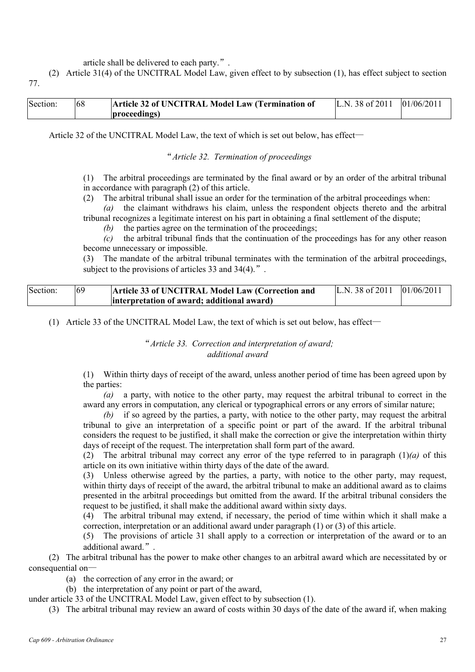article shall be delivered to each party.".

(2) Article 31(4) of the UNCITRAL Model Law, given effect to by subsection (1), has effect subject to section 77.

| Section: | 68 | <b>Article 32 of UNCITRAL Model Law (Termination of</b> | L.N. 38 of 2011 $ 01/06/2011 $ |  |
|----------|----|---------------------------------------------------------|--------------------------------|--|
|          |    | proceedings)                                            |                                |  |

Article 32 of the UNCITRAL Model Law, the text of which is set out below, has effect—

# "*Article 32. Termination of proceedings*

(1) The arbitral proceedings are terminated by the final award or by an order of the arbitral tribunal in accordance with paragraph (2) of this article.

(2) The arbitral tribunal shall issue an order for the termination of the arbitral proceedings when:

*(a)* the claimant withdraws his claim, unless the respondent objects thereto and the arbitral tribunal recognizes a legitimate interest on his part in obtaining a final settlement of the dispute;

*(b)* the parties agree on the termination of the proceedings;

*(c)* the arbitral tribunal finds that the continuation of the proceedings has for any other reason become unnecessary or impossible.

(3) The mandate of the arbitral tribunal terminates with the termination of the arbitral proceedings, subject to the provisions of articles 33 and 34(4).".

| Section: | 69 | Article 33 of UNCITRAL Model Law (Correction and | L.N. 38 of 2011 $ 01/06/2011 $ |  |
|----------|----|--------------------------------------------------|--------------------------------|--|
|          |    | interpretation of award; additional award)       |                                |  |

(1) Article 33 of the UNCITRAL Model Law, the text of which is set out below, has effect—

"*Article 33. Correction and interpretation of award; additional award* 

(1) Within thirty days of receipt of the award, unless another period of time has been agreed upon by the parties:

*(a)* a party, with notice to the other party, may request the arbitral tribunal to correct in the award any errors in computation, any clerical or typographical errors or any errors of similar nature;

*(b)* if so agreed by the parties, a party, with notice to the other party, may request the arbitral tribunal to give an interpretation of a specific point or part of the award. If the arbitral tribunal considers the request to be justified, it shall make the correction or give the interpretation within thirty days of receipt of the request. The interpretation shall form part of the award.

(2) The arbitral tribunal may correct any error of the type referred to in paragraph (1)*(a)* of this article on its own initiative within thirty days of the date of the award.

(3) Unless otherwise agreed by the parties, a party, with notice to the other party, may request, within thirty days of receipt of the award, the arbitral tribunal to make an additional award as to claims presented in the arbitral proceedings but omitted from the award. If the arbitral tribunal considers the request to be justified, it shall make the additional award within sixty days.

(4) The arbitral tribunal may extend, if necessary, the period of time within which it shall make a correction, interpretation or an additional award under paragraph (1) or (3) of this article.

(5) The provisions of article 31 shall apply to a correction or interpretation of the award or to an additional award.".

(2) The arbitral tribunal has the power to make other changes to an arbitral award which are necessitated by or consequential on—

(a) the correction of any error in the award; or

(b) the interpretation of any point or part of the award,

under article 33 of the UNCITRAL Model Law, given effect to by subsection (1).

(3) The arbitral tribunal may review an award of costs within 30 days of the date of the award if, when making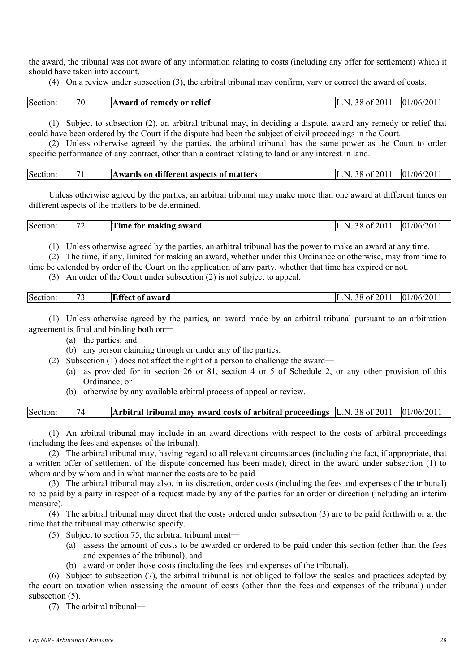the award, the tribunal was not aware of any information relating to costs (including any offer for settlement) which it should have taken into account.

(4) On a review under subsection (3), the arbitral tribunal may confirm, vary or correct the award of costs.

| Section: | 70 | <b>Award of remedy or relief</b> | 38 of 2011<br>N | 01/06/201 |
|----------|----|----------------------------------|-----------------|-----------|

(1) Subject to subsection (2), an arbitral tribunal may, in deciding a dispute, award any remedy or relief that could have been ordered by the Court if the dispute had been the subject of civil proceedings in the Court.

(2) Unless otherwise agreed by the parties, the arbitral tribunal has the same power as the Court to order specific performance of any contract, other than a contract relating to land or any interest in land.

| Section:<br><b>Awards on different aspects of matters</b> | L.N. 38 of 2011 $ 01/06/2011 $ |  |
|-----------------------------------------------------------|--------------------------------|--|
|-----------------------------------------------------------|--------------------------------|--|

Unless otherwise agreed by the parties, an arbitral tribunal may make more than one award at different times on different aspects of the matters to be determined.

| Section: | Time for making award | L.N. 38 of 2011 | 01/06/2011 |
|----------|-----------------------|-----------------|------------|

(1) Unless otherwise agreed by the parties, an arbitral tribunal has the power to make an award at any time.

(2) The time, if any, limited for making an award, whether under this Ordinance or otherwise, may from time to time be extended by order of the Court on the application of any party, whether that time has expired or not.

(3) An order of the Court under subsection (2) is not subject to appeal.

| Section: | <b>Effect of award</b> | L.N. 38 of 2011 | 01/06/201 |
|----------|------------------------|-----------------|-----------|
|          |                        |                 |           |

(1) Unless otherwise agreed by the parties, an award made by an arbitral tribunal pursuant to an arbitration agreement is final and binding both on—

(a) the parties; and

(b) any person claiming through or under any of the parties.

- (2) Subsection (1) does not affect the right of a person to challenge the award—
	- (a) as provided for in section 26 or 81, section 4 or 5 of Schedule 2, or any other provision of this Ordinance; or
	- (b) otherwise by any available arbitral process of appeal or review.

|  |  | Section: |  | <b>Arbitral tribunal may award costs of arbitral proceedings</b> L.N. 38 of 2011 $ 01/06/2011 $ |  |  |
|--|--|----------|--|-------------------------------------------------------------------------------------------------|--|--|
|--|--|----------|--|-------------------------------------------------------------------------------------------------|--|--|

(1) An arbitral tribunal may include in an award directions with respect to the costs of arbitral proceedings (including the fees and expenses of the tribunal).

(2) The arbitral tribunal may, having regard to all relevant circumstances (including the fact, if appropriate, that a written offer of settlement of the dispute concerned has been made), direct in the award under subsection (1) to whom and by whom and in what manner the costs are to be paid

(3) The arbitral tribunal may also, in its discretion, order costs (including the fees and expenses of the tribunal) to be paid by a party in respect of a request made by any of the parties for an order or direction (including an interim measure).

(4) The arbitral tribunal may direct that the costs ordered under subsection (3) are to be paid forthwith or at the time that the tribunal may otherwise specify.

- (5) Subject to section 75, the arbitral tribunal must—
	- (a) assess the amount of costs to be awarded or ordered to be paid under this section (other than the fees and expenses of the tribunal); and
	- (b) award or order those costs (including the fees and expenses of the tribunal).

(6) Subject to subsection (7), the arbitral tribunal is not obliged to follow the scales and practices adopted by the court on taxation when assessing the amount of costs (other than the fees and expenses of the tribunal) under subsection (5).

(7) The arbitral tribunal—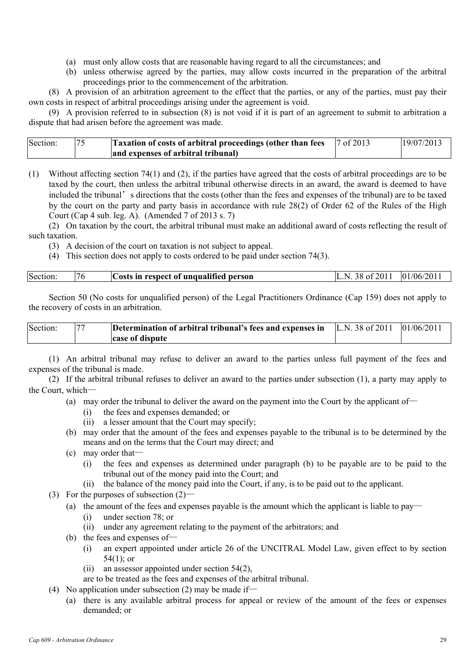- (a) must only allow costs that are reasonable having regard to all the circumstances; and
- (b) unless otherwise agreed by the parties, may allow costs incurred in the preparation of the arbitral proceedings prior to the commencement of the arbitration.

(8) A provision of an arbitration agreement to the effect that the parties, or any of the parties, must pay their own costs in respect of arbitral proceedings arising under the agreement is void.

(9) A provision referred to in subsection (8) is not void if it is part of an agreement to submit to arbitration a dispute that had arisen before the agreement was made.

| Section: | <b>Taxation of costs of arbitral proceedings (other than fees</b> | 7 of 2013 | 19/07/2013 |
|----------|-------------------------------------------------------------------|-----------|------------|
|          | and expenses of arbitral tribunal)                                |           |            |

(1) Without affecting section 74(1) and (2), if the parties have agreed that the costs of arbitral proceedings are to be taxed by the court, then unless the arbitral tribunal otherwise directs in an award, the award is deemed to have included the tribunal's directions that the costs (other than the fees and expenses of the tribunal) are to be taxed by the court on the party and party basis in accordance with rule 28(2) of Order 62 of the Rules of the High Court (Cap 4 sub. leg. A). (Amended 7 of 2013 s. 7)

(2) On taxation by the court, the arbitral tribunal must make an additional award of costs reflecting the result of such taxation.

- (3) A decision of the court on taxation is not subject to appeal.
- (4) This section does not apply to costs ordered to be paid under section 74(3).

| Section:<br>01/06/201<br>38 of 2011<br>Costs in respect of unqualified person<br>76 |  |
|-------------------------------------------------------------------------------------|--|
|-------------------------------------------------------------------------------------|--|

Section 50 (No costs for unqualified person) of the Legal Practitioners Ordinance (Cap 159) does not apply to the recovery of costs in an arbitration.

| Section: | Determination of arbitral tribunal's fees and expenses in | L.N. $38 \text{ of } 2011$ | 01/06/2011 |
|----------|-----------------------------------------------------------|----------------------------|------------|
|          | case of dispute                                           |                            |            |

(1) An arbitral tribunal may refuse to deliver an award to the parties unless full payment of the fees and expenses of the tribunal is made.

(2) If the arbitral tribunal refuses to deliver an award to the parties under subsection (1), a party may apply to the Court, which—

(a) may order the tribunal to deliver the award on the payment into the Court by the applicant of—

- (i) the fees and expenses demanded; or
- (ii) a lesser amount that the Court may specify;
- (b) may order that the amount of the fees and expenses payable to the tribunal is to be determined by the means and on the terms that the Court may direct; and
- (c) may order that—
	- (i) the fees and expenses as determined under paragraph (b) to be payable are to be paid to the tribunal out of the money paid into the Court; and
	- (ii) the balance of the money paid into the Court, if any, is to be paid out to the applicant.
- (3) For the purposes of subsection  $(2)$ —

(a) the amount of the fees and expenses payable is the amount which the applicant is liable to pay—

- (i) under section 78; or
- (ii) under any agreement relating to the payment of the arbitrators; and
- (b) the fees and expenses of—
	- (i) an expert appointed under article 26 of the UNCITRAL Model Law, given effect to by section  $54(1)$ ; or
	- (ii) an assessor appointed under section 54(2),

are to be treated as the fees and expenses of the arbitral tribunal.

- (4) No application under subsection (2) may be made if—
	- (a) there is any available arbitral process for appeal or review of the amount of the fees or expenses demanded; or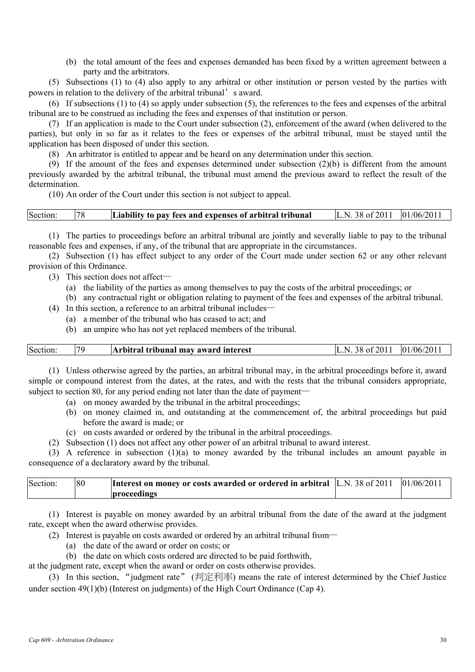(b) the total amount of the fees and expenses demanded has been fixed by a written agreement between a party and the arbitrators.

(5) Subsections (1) to (4) also apply to any arbitral or other institution or person vested by the parties with powers in relation to the delivery of the arbitral tribunal's award.

(6) If subsections (1) to (4) so apply under subsection (5), the references to the fees and expenses of the arbitral tribunal are to be construed as including the fees and expenses of that institution or person.

(7) If an application is made to the Court under subsection (2), enforcement of the award (when delivered to the parties), but only in so far as it relates to the fees or expenses of the arbitral tribunal, must be stayed until the application has been disposed of under this section.

(8) An arbitrator is entitled to appear and be heard on any determination under this section.

(9) If the amount of the fees and expenses determined under subsection (2)(b) is different from the amount previously awarded by the arbitral tribunal, the tribunal must amend the previous award to reflect the result of the determination.

(10) An order of the Court under this section is not subject to appeal.

| Section: | Liability to pay fees and expenses of arbitral tribunal | L.N. 38 of 2011 $ 01/06/2011 $ |  |
|----------|---------------------------------------------------------|--------------------------------|--|
|          |                                                         |                                |  |

(1) The parties to proceedings before an arbitral tribunal are jointly and severally liable to pay to the tribunal reasonable fees and expenses, if any, of the tribunal that are appropriate in the circumstances.

(2) Subsection (1) has effect subject to any order of the Court made under section 62 or any other relevant provision of this Ordinance.

- (3) This section does not affect—
	- (a) the liability of the parties as among themselves to pay the costs of the arbitral proceedings; or
	- (b) any contractual right or obligation relating to payment of the fees and expenses of the arbitral tribunal.
- (4) In this section, a reference to an arbitral tribunal includes—
	- (a) a member of the tribunal who has ceased to act; and
	- (b) an umpire who has not yet replaced members of the tribunal.

(1) Unless otherwise agreed by the parties, an arbitral tribunal may, in the arbitral proceedings before it, award simple or compound interest from the dates, at the rates, and with the rests that the tribunal considers appropriate, subject to section 80, for any period ending not later than the date of payment—

- (a) on money awarded by the tribunal in the arbitral proceedings;
- (b) on money claimed in, and outstanding at the commencement of, the arbitral proceedings but paid before the award is made; or
- (c) on costs awarded or ordered by the tribunal in the arbitral proceedings.
- (2) Subsection (1) does not affect any other power of an arbitral tribunal to award interest.

(3) A reference in subsection (1)(a) to money awarded by the tribunal includes an amount payable in consequence of a declaratory award by the tribunal.

| Section: | 80 | <b>Interest on money or costs awarded or ordered in arbitral</b> $ L.N. 38$ of 2011 $ 01/06/2011$ |  |
|----------|----|---------------------------------------------------------------------------------------------------|--|
|          |    | <i><u><b>I</b>proceedings</u></i>                                                                 |  |

(1) Interest is payable on money awarded by an arbitral tribunal from the date of the award at the judgment rate, except when the award otherwise provides.

(2) Interest is payable on costs awarded or ordered by an arbitral tribunal from—

- (a) the date of the award or order on costs; or
- (b) the date on which costs ordered are directed to be paid forthwith,

at the judgment rate, except when the award or order on costs otherwise provides.

(3) In this section, "judgment rate" (判定利率) means the rate of interest determined by the Chief Justice under section 49(1)(b) (Interest on judgments) of the High Court Ordinance (Cap 4).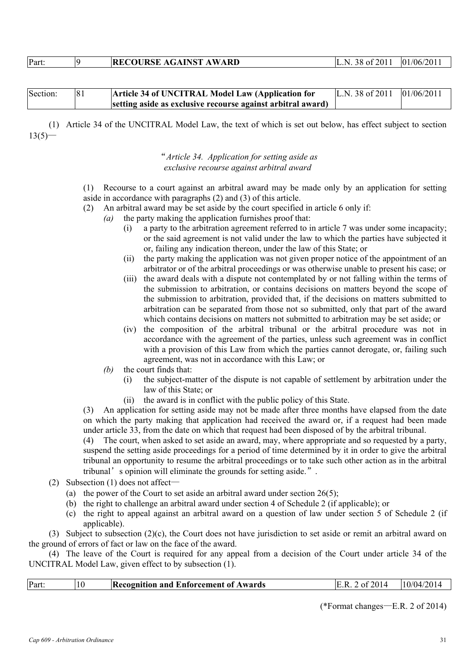### **Part:** 9 **RECOURSE AGAINST AWARD L.N. 38 of 2011 01/06/2011**

Section: 81 **Article 34 of UNCITRAL Model Law (Application for setting aside as exclusive recourse against arbitral award)** L.N. 38 of 2011  $|01/06/2011$ 

(1) Article 34 of the UNCITRAL Model Law, the text of which is set out below, has effect subject to section  $13(5)$ —

# "*Article 34. Application for setting aside as exclusive recourse against arbitral award*

- (1) Recourse to a court against an arbitral award may be made only by an application for setting aside in accordance with paragraphs (2) and (3) of this article.
- (2) An arbitral award may be set aside by the court specified in article 6 only if:
	- *(a)* the party making the application furnishes proof that:
		- (i) a party to the arbitration agreement referred to in article 7 was under some incapacity; or the said agreement is not valid under the law to which the parties have subjected it or, failing any indication thereon, under the law of this State; or
		- (ii) the party making the application was not given proper notice of the appointment of an arbitrator or of the arbitral proceedings or was otherwise unable to present his case; or
		- (iii) the award deals with a dispute not contemplated by or not falling within the terms of the submission to arbitration, or contains decisions on matters beyond the scope of the submission to arbitration, provided that, if the decisions on matters submitted to arbitration can be separated from those not so submitted, only that part of the award which contains decisions on matters not submitted to arbitration may be set aside; or
		- (iv) the composition of the arbitral tribunal or the arbitral procedure was not in accordance with the agreement of the parties, unless such agreement was in conflict with a provision of this Law from which the parties cannot derogate, or, failing such agreement, was not in accordance with this Law; or
	- *(b)* the court finds that:
		- (i) the subject-matter of the dispute is not capable of settlement by arbitration under the law of this State; or
		- (ii) the award is in conflict with the public policy of this State.

(3) An application for setting aside may not be made after three months have elapsed from the date on which the party making that application had received the award or, if a request had been made under article 33, from the date on which that request had been disposed of by the arbitral tribunal.

(4) The court, when asked to set aside an award, may, where appropriate and so requested by a party, suspend the setting aside proceedings for a period of time determined by it in order to give the arbitral tribunal an opportunity to resume the arbitral proceedings or to take such other action as in the arbitral tribunal's opinion will eliminate the grounds for setting aside.".

- (2) Subsection (1) does not affect—
	- (a) the power of the Court to set aside an arbitral award under section  $26(5)$ ;
	- (b) the right to challenge an arbitral award under section 4 of Schedule 2 (if applicable); or
	- (c) the right to appeal against an arbitral award on a question of law under section 5 of Schedule 2 (if applicable).

(3) Subject to subsection (2)(c), the Court does not have jurisdiction to set aside or remit an arbitral award on the ground of errors of fact or law on the face of the award.

(4) The leave of the Court is required for any appeal from a decision of the Court under article 34 of the UNCITRAL Model Law, given effect to by subsection (1).

| Part | <b>Recognition and Enforcement of Awards</b> | $\angle$ of 2014<br>E.R. | 10/04/2014 |
|------|----------------------------------------------|--------------------------|------------|
|      |                                              |                          |            |

(\*Format changes—E.R. 2 of 2014)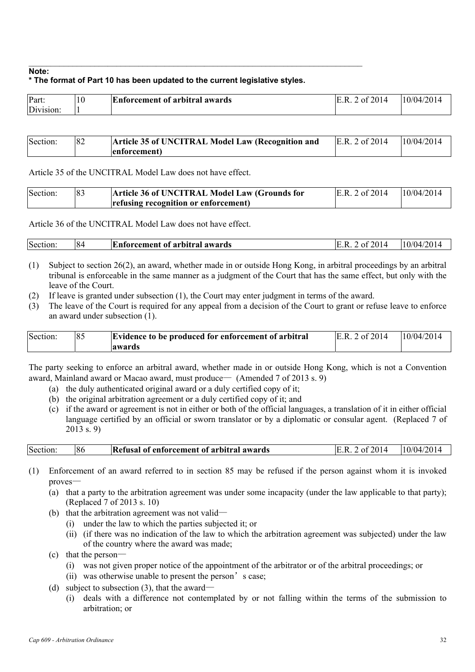#### **Note: \* The format of Part 10 has been updated to the current legislative styles.**

 $\mathcal{L}_\mathcal{L} = \{ \mathcal{L}_\mathcal{L} = \{ \mathcal{L}_\mathcal{L} = \{ \mathcal{L}_\mathcal{L} = \{ \mathcal{L}_\mathcal{L} = \{ \mathcal{L}_\mathcal{L} = \{ \mathcal{L}_\mathcal{L} = \{ \mathcal{L}_\mathcal{L} = \{ \mathcal{L}_\mathcal{L} = \{ \mathcal{L}_\mathcal{L} = \{ \mathcal{L}_\mathcal{L} = \{ \mathcal{L}_\mathcal{L} = \{ \mathcal{L}_\mathcal{L} = \{ \mathcal{L}_\mathcal{L} = \{ \mathcal{L}_\mathcal{$ 

| Part      | <b>Enforcement of arbitral awards</b> | $\degree$ 2014<br>Ωt<br>к | 1/2014<br>10/04/ |
|-----------|---------------------------------------|---------------------------|------------------|
| Division: |                                       |                           |                  |

| Section: | -82 | Article 35 of UNCITRAL Model Law (Recognition and | E.R. 2 of 2014 | 10/04/2014 |
|----------|-----|---------------------------------------------------|----------------|------------|
|          |     | lenforcement)                                     |                |            |

Article 35 of the UNCITRAL Model Law does not have effect.

| Section: | <b>Article 36 of UNCITRAL Model Law (Grounds for</b> | E.R. 2 of 2014 $10/04/2014$ |  |
|----------|------------------------------------------------------|-----------------------------|--|
|          | refusing recognition or enforcement)                 |                             |  |

Article 36 of the UNCITRAL Model Law does not have effect.

| Section:<br>10/04/2014<br>E.R. 2 of 2014<br><b>Enforcement of arbitral awards</b><br>84 |
|-----------------------------------------------------------------------------------------|
|-----------------------------------------------------------------------------------------|

- (1) Subject to section 26(2), an award, whether made in or outside Hong Kong, in arbitral proceedings by an arbitral tribunal is enforceable in the same manner as a judgment of the Court that has the same effect, but only with the leave of the Court.
- (2) If leave is granted under subsection (1), the Court may enter judgment in terms of the award.
- (3) The leave of the Court is required for any appeal from a decision of the Court to grant or refuse leave to enforce an award under subsection (1).

| Section: | 85 | Evidence to be produced for enforcement of arbitral | E.R. 2 of $2014$ | 10/04/2014 |
|----------|----|-----------------------------------------------------|------------------|------------|
|          |    | lawards                                             |                  |            |

The party seeking to enforce an arbitral award, whether made in or outside Hong Kong, which is not a Convention award, Mainland award or Macao award, must produce— (Amended 7 of 2013 s. 9)

- (a) the duly authenticated original award or a duly certified copy of it;
- (b) the original arbitration agreement or a duly certified copy of it; and
- (c) if the award or agreement is not in either or both of the official languages, a translation of it in either official language certified by an official or sworn translator or by a diplomatic or consular agent. (Replaced 7 of 2013 s. 9)

| Section: | 86 | <b>Refusal of enforcement of arbitral awards</b> | 2014<br>. ot<br>к | 10/04/2014 |
|----------|----|--------------------------------------------------|-------------------|------------|
|----------|----|--------------------------------------------------|-------------------|------------|

- (1) Enforcement of an award referred to in section 85 may be refused if the person against whom it is invoked proves—
	- (a) that a party to the arbitration agreement was under some incapacity (under the law applicable to that party); (Replaced 7 of 2013 s. 10)
	- (b) that the arbitration agreement was not valid—
		- (i) under the law to which the parties subjected it; or
		- (ii) (if there was no indication of the law to which the arbitration agreement was subjected) under the law of the country where the award was made;
	- (c) that the person—
		- (i) was not given proper notice of the appointment of the arbitrator or of the arbitral proceedings; or
		- (ii) was otherwise unable to present the person's case;
	- (d) subject to subsection (3), that the award—
		- (i) deals with a difference not contemplated by or not falling within the terms of the submission to arbitration; or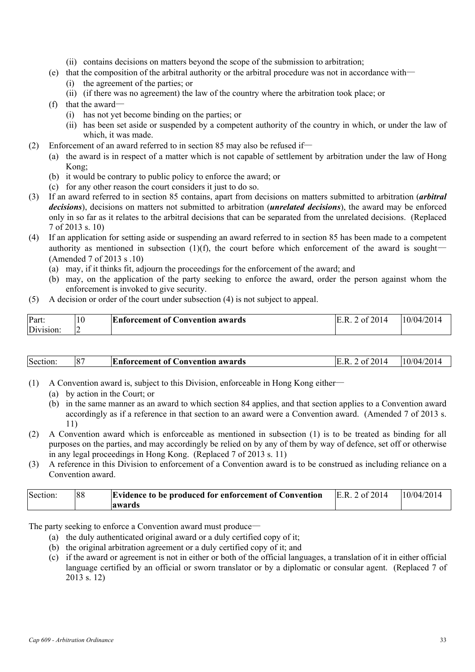- (ii) contains decisions on matters beyond the scope of the submission to arbitration;
- (e) that the composition of the arbitral authority or the arbitral procedure was not in accordance with—
	- (i) the agreement of the parties; or
	- (ii) (if there was no agreement) the law of the country where the arbitration took place; or
- (f) that the award—
	- (i) has not yet become binding on the parties; or
	- (ii) has been set aside or suspended by a competent authority of the country in which, or under the law of which, it was made.
- (2) Enforcement of an award referred to in section 85 may also be refused if—
	- (a) the award is in respect of a matter which is not capable of settlement by arbitration under the law of Hong Kong;
	- (b) it would be contrary to public policy to enforce the award; or
	- (c) for any other reason the court considers it just to do so.
- (3) If an award referred to in section 85 contains, apart from decisions on matters submitted to arbitration (*arbitral decisions*), decisions on matters not submitted to arbitration (*unrelated decisions*), the award may be enforced only in so far as it relates to the arbitral decisions that can be separated from the unrelated decisions. (Replaced 7 of 2013 s. 10)
- (4) If an application for setting aside or suspending an award referred to in section 85 has been made to a competent authority as mentioned in subsection  $(1)(f)$ , the court before which enforcement of the award is sought— (Amended 7 of 2013 s .10)
	- (a) may, if it thinks fit, adjourn the proceedings for the enforcement of the award; and
	- (b) may, on the application of the party seeking to enforce the award, order the person against whom the enforcement is invoked to give security.
- (5) A decision or order of the court under subsection (4) is not subject to appeal.

| Part:     | 10 | <b>Enforcement of Convention awards</b> | 2 of 2014<br>E.R. | 10/04/2014 |
|-----------|----|-----------------------------------------|-------------------|------------|
| Division: |    |                                         |                   |            |

| Section: | 87 | <b>Enforcement of Convention awards</b> | $\degree$ 2014<br>ot 2 | 10/04/2014 |
|----------|----|-----------------------------------------|------------------------|------------|

- (1) A Convention award is, subject to this Division, enforceable in Hong Kong either—
	- (a) by action in the Court; or
	- (b) in the same manner as an award to which section 84 applies, and that section applies to a Convention award accordingly as if a reference in that section to an award were a Convention award. (Amended 7 of 2013 s. 11)
- (2) A Convention award which is enforceable as mentioned in subsection (1) is to be treated as binding for all purposes on the parties, and may accordingly be relied on by any of them by way of defence, set off or otherwise in any legal proceedings in Hong Kong. (Replaced 7 of 2013 s. 11)
- (3) A reference in this Division to enforcement of a Convention award is to be construed as including reliance on a Convention award.

| Section: | 88 | <b>Evidence to be produced for enforcement of Convention</b> | E.R. 2 of 2014 | 10/04/2014 |
|----------|----|--------------------------------------------------------------|----------------|------------|
|          |    | awards                                                       |                |            |

The party seeking to enforce a Convention award must produce—

- (a) the duly authenticated original award or a duly certified copy of it;
- (b) the original arbitration agreement or a duly certified copy of it; and
- (c) if the award or agreement is not in either or both of the official languages, a translation of it in either official language certified by an official or sworn translator or by a diplomatic or consular agent. (Replaced 7 of 2013 s. 12)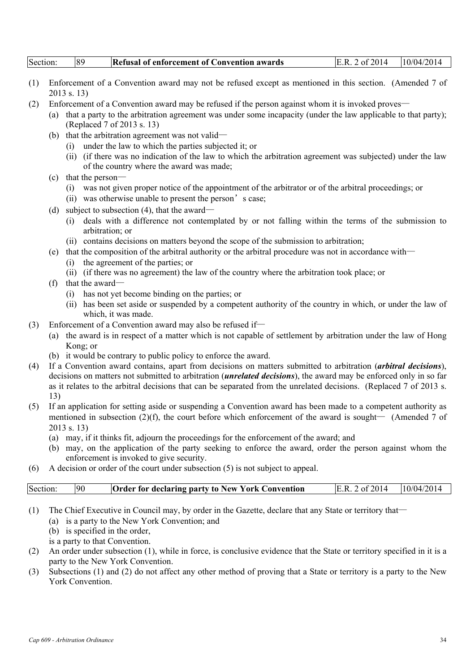| Section: | 89 | <b>Refusal of enforcement of Convention awards</b> | E.R. 2 of 2014 | 10/04/2014 |
|----------|----|----------------------------------------------------|----------------|------------|
|----------|----|----------------------------------------------------|----------------|------------|

- (1) Enforcement of a Convention award may not be refused except as mentioned in this section. (Amended 7 of 2013 s. 13)
- (2) Enforcement of a Convention award may be refused if the person against whom it is invoked proves—
	- (a) that a party to the arbitration agreement was under some incapacity (under the law applicable to that party); (Replaced 7 of 2013 s. 13)
	- (b) that the arbitration agreement was not valid—
		- (i) under the law to which the parties subjected it; or
		- (ii) (if there was no indication of the law to which the arbitration agreement was subjected) under the law of the country where the award was made;
	- (c) that the person—
		- (i) was not given proper notice of the appointment of the arbitrator or of the arbitral proceedings; or
		- (ii) was otherwise unable to present the person's case;
	- (d) subject to subsection (4), that the award—
		- (i) deals with a difference not contemplated by or not falling within the terms of the submission to arbitration; or
		- (ii) contains decisions on matters beyond the scope of the submission to arbitration;
	- (e) that the composition of the arbitral authority or the arbitral procedure was not in accordance with—
		- (i) the agreement of the parties; or
		- (ii) (if there was no agreement) the law of the country where the arbitration took place; or
	- (f) that the award—
		- (i) has not yet become binding on the parties; or
		- (ii) has been set aside or suspended by a competent authority of the country in which, or under the law of which, it was made.
- (3) Enforcement of a Convention award may also be refused if—
	- (a) the award is in respect of a matter which is not capable of settlement by arbitration under the law of Hong Kong; or
	- (b) it would be contrary to public policy to enforce the award.
- (4) If a Convention award contains, apart from decisions on matters submitted to arbitration (*arbitral decisions*), decisions on matters not submitted to arbitration (*unrelated decisions*), the award may be enforced only in so far as it relates to the arbitral decisions that can be separated from the unrelated decisions. (Replaced 7 of 2013 s. 13)
- (5) If an application for setting aside or suspending a Convention award has been made to a competent authority as mentioned in subsection (2)(f), the court before which enforcement of the award is sought— (Amended 7 of 2013 s. 13)
	- (a) may, if it thinks fit, adjourn the proceedings for the enforcement of the award; and
	- (b) may, on the application of the party seeking to enforce the award, order the person against whom the enforcement is invoked to give security.
- (6) A decision or order of the court under subsection (5) is not subject to appeal.

|  | Section: | 90 | <b>Order for declaring party to New York Convention</b> | E.R. 2 of 2014 $ 10/04/2014 $ |  |
|--|----------|----|---------------------------------------------------------|-------------------------------|--|
|--|----------|----|---------------------------------------------------------|-------------------------------|--|

- (1) The Chief Executive in Council may, by order in the Gazette, declare that any State or territory that—
	- (a) is a party to the New York Convention; and
	- (b) is specified in the order,
	- is a party to that Convention.
- (2) An order under subsection (1), while in force, is conclusive evidence that the State or territory specified in it is a party to the New York Convention.
- (3) Subsections (1) and (2) do not affect any other method of proving that a State or territory is a party to the New York Convention.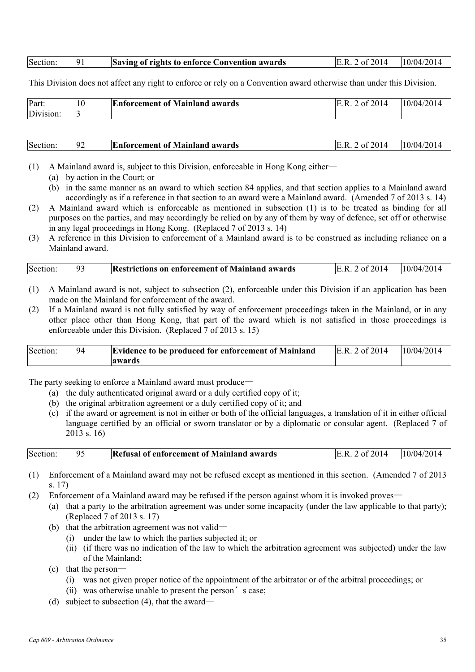| Section: | Saving of rights to enforce Convention awards | E.R. 2 of 2014 $10/04/2014$ |  |
|----------|-----------------------------------------------|-----------------------------|--|
|          |                                               |                             |  |

This Division does not affect any right to enforce or rely on a Convention award otherwise than under this Division.

| Part      | <b>Enforcement of Mainland awards</b> | $2$ of 2014<br>E.R. | 10/04/2014 |
|-----------|---------------------------------------|---------------------|------------|
| Division: |                                       |                     |            |

#### Section: 92 **Enforcement of Mainland awards** E.R. 2 of 2014 10/04/2014

(1) A Mainland award is, subject to this Division, enforceable in Hong Kong either—

- (a) by action in the Court; or
- (b) in the same manner as an award to which section 84 applies, and that section applies to a Mainland award accordingly as if a reference in that section to an award were a Mainland award. (Amended 7 of 2013 s. 14)
- (2) A Mainland award which is enforceable as mentioned in subsection (1) is to be treated as binding for all purposes on the parties, and may accordingly be relied on by any of them by way of defence, set off or otherwise in any legal proceedings in Hong Kong. (Replaced 7 of 2013 s. 14)
- (3) A reference in this Division to enforcement of a Mainland award is to be construed as including reliance on a Mainland award.

| Section: | <b>Restrictions on enforcement of Mainland awards</b> | E.R. 2 of $2014$ | 10/04/2014 |
|----------|-------------------------------------------------------|------------------|------------|
|          |                                                       |                  |            |

- (1) A Mainland award is not, subject to subsection (2), enforceable under this Division if an application has been made on the Mainland for enforcement of the award.
- (2) If a Mainland award is not fully satisfied by way of enforcement proceedings taken in the Mainland, or in any other place other than Hong Kong, that part of the award which is not satisfied in those proceedings is enforceable under this Division. (Replaced 7 of 2013 s. 15)

| Section: | 94 | <b>Evidence to be produced for enforcement of Mainland</b> | E.R. 2 of $2014$ | 10/04/2014 |
|----------|----|------------------------------------------------------------|------------------|------------|
|          |    | <b>lawards</b>                                             |                  |            |

The party seeking to enforce a Mainland award must produce—

- (a) the duly authenticated original award or a duly certified copy of it;
- (b) the original arbitration agreement or a duly certified copy of it; and
- (c) if the award or agreement is not in either or both of the official languages, a translation of it in either official language certified by an official or sworn translator or by a diplomatic or consular agent. (Replaced 7 of 2013 s. 16)

|  | Section: | -95 | <b>Refusal of enforcement of Mainland awards</b> | $\angle$ of 2014 | 10/04/2014 |
|--|----------|-----|--------------------------------------------------|------------------|------------|
|--|----------|-----|--------------------------------------------------|------------------|------------|

- (1) Enforcement of a Mainland award may not be refused except as mentioned in this section. (Amended 7 of 2013 s. 17)
- (2) Enforcement of a Mainland award may be refused if the person against whom it is invoked proves—
	- (a) that a party to the arbitration agreement was under some incapacity (under the law applicable to that party); (Replaced 7 of 2013 s. 17)
	- (b) that the arbitration agreement was not valid—
		- (i) under the law to which the parties subjected it; or
		- (ii) (if there was no indication of the law to which the arbitration agreement was subjected) under the law of the Mainland;
	- (c) that the person—
		- (i) was not given proper notice of the appointment of the arbitrator or of the arbitral proceedings; or
		- (ii) was otherwise unable to present the person's case;
	- (d) subject to subsection (4), that the award—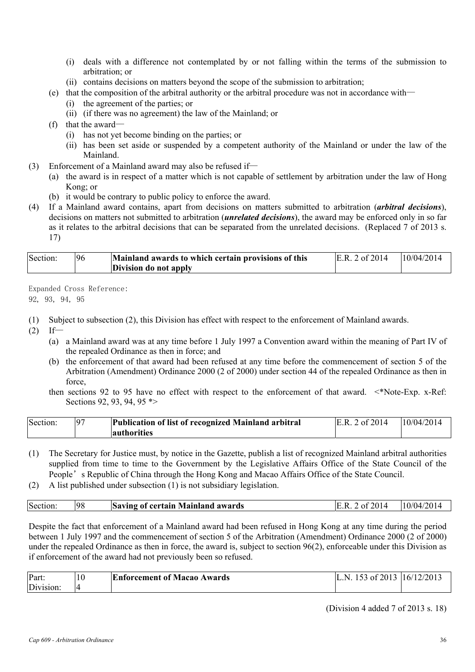- (i) deals with a difference not contemplated by or not falling within the terms of the submission to arbitration; or
- (ii) contains decisions on matters beyond the scope of the submission to arbitration;
- (e) that the composition of the arbitral authority or the arbitral procedure was not in accordance with—
	- (i) the agreement of the parties; or
	- (ii) (if there was no agreement) the law of the Mainland; or
- (f) that the award—
	- (i) has not yet become binding on the parties; or
	- (ii) has been set aside or suspended by a competent authority of the Mainland or under the law of the Mainland.
- (3) Enforcement of a Mainland award may also be refused if—
	- (a) the award is in respect of a matter which is not capable of settlement by arbitration under the law of Hong Kong; or
	- (b) it would be contrary to public policy to enforce the award.
- (4) If a Mainland award contains, apart from decisions on matters submitted to arbitration (*arbitral decisions*), decisions on matters not submitted to arbitration (*unrelated decisions*), the award may be enforced only in so far as it relates to the arbitral decisions that can be separated from the unrelated decisions. (Replaced 7 of 2013 s. 17)

| Section: | 96 | Mainland awards to which certain provisions of this | E.R. 2 of 2014 | 10/04/2014 |
|----------|----|-----------------------------------------------------|----------------|------------|
|          |    | Division do not apply                               |                |            |

Expanded Cross Reference: 92, 93, 94, 95

- (1) Subject to subsection (2), this Division has effect with respect to the enforcement of Mainland awards.
- $(2)$  If-
	- (a) a Mainland award was at any time before 1 July 1997 a Convention award within the meaning of Part IV of the repealed Ordinance as then in force; and
	- (b) the enforcement of that award had been refused at any time before the commencement of section 5 of the Arbitration (Amendment) Ordinance 2000 (2 of 2000) under section 44 of the repealed Ordinance as then in force,
	- then sections 92 to 95 have no effect with respect to the enforcement of that award. <\*Note-Exp. x-Ref: Sections 92, 93, 94, 95 \*>

| Section: | $19-$ | Publication of list of recognized Mainland arbitral | E.R. 2 of 2014 | 10/04/2014 |
|----------|-------|-----------------------------------------------------|----------------|------------|
|          |       | <b>Lauthorities</b>                                 |                |            |

- (1) The Secretary for Justice must, by notice in the Gazette, publish a list of recognized Mainland arbitral authorities supplied from time to time to the Government by the Legislative Affairs Office of the State Council of the People's Republic of China through the Hong Kong and Macao Affairs Office of the State Council.
- (2) A list published under subsection (1) is not subsidiary legislation.

| Section: | 98 | Saving of certain Mainland awards | f2014<br>'. ∩† | 10/04/2014 |
|----------|----|-----------------------------------|----------------|------------|
|          |    |                                   |                |            |

Despite the fact that enforcement of a Mainland award had been refused in Hong Kong at any time during the period between 1 July 1997 and the commencement of section 5 of the Arbitration (Amendment) Ordinance 2000 (2 of 2000) under the repealed Ordinance as then in force, the award is, subject to section 96(2), enforceable under this Division as if enforcement of the award had not previously been so refused.

| Part      | <b>Enforcement of Macao Awards</b> | 153 of 2013 16/12/2013<br>N. |  |
|-----------|------------------------------------|------------------------------|--|
| Division: |                                    |                              |  |

(Division 4 added 7 of 2013 s. 18)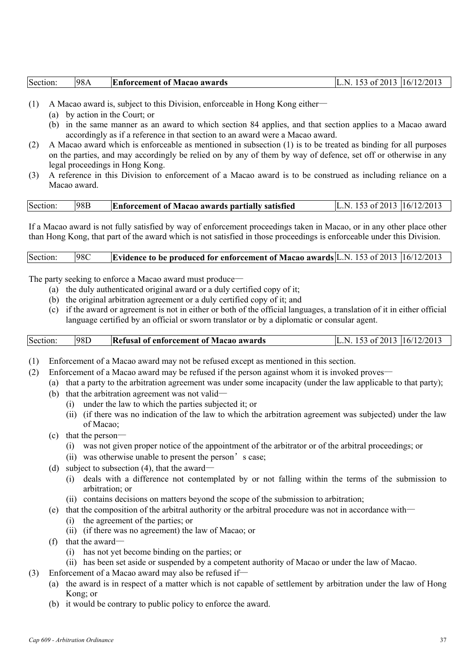| 98A<br><b>Enforcement of Macao awards</b><br>153 | 53 of 2013 16/12/2013 |  |  | Section: |
|--------------------------------------------------|-----------------------|--|--|----------|
|--------------------------------------------------|-----------------------|--|--|----------|

- (1) A Macao award is, subject to this Division, enforceable in Hong Kong either—
	- (a) by action in the Court; or
	- (b) in the same manner as an award to which section 84 applies, and that section applies to a Macao award accordingly as if a reference in that section to an award were a Macao award.
- (2) A Macao award which is enforceable as mentioned in subsection (1) is to be treated as binding for all purposes on the parties, and may accordingly be relied on by any of them by way of defence, set off or otherwise in any legal proceedings in Hong Kong.
- (3) A reference in this Division to enforcement of a Macao award is to be construed as including reliance on a Macao award.

| Section: | 98B | <b>Enforcement of Macao awards partially satisfied</b> | L.N. 153 of 2013 $ 16/12/2013 $ |  |
|----------|-----|--------------------------------------------------------|---------------------------------|--|
|----------|-----|--------------------------------------------------------|---------------------------------|--|

If a Macao award is not fully satisfied by way of enforcement proceedings taken in Macao, or in any other place other than Hong Kong, that part of the award which is not satisfied in those proceedings is enforceable under this Division.

### Section: 98C **Evidence to be produced for enforcement of Macao awards** L.N. 153 of 2013 16/12/2013

The party seeking to enforce a Macao award must produce—

- (a) the duly authenticated original award or a duly certified copy of it;
- (b) the original arbitration agreement or a duly certified copy of it; and
- (c) if the award or agreement is not in either or both of the official languages, a translation of it in either official language certified by an official or sworn translator or by a diplomatic or consular agent.

| Section: | 98 <sub>D</sub> | <b>Refusal of enforcement of Macao awards</b> | L.N. 153 of 2013 $ 16/12/2013 $ |  |
|----------|-----------------|-----------------------------------------------|---------------------------------|--|
|----------|-----------------|-----------------------------------------------|---------------------------------|--|

- (1) Enforcement of a Macao award may not be refused except as mentioned in this section.
- (2) Enforcement of a Macao award may be refused if the person against whom it is invoked proves—
	- (a) that a party to the arbitration agreement was under some incapacity (under the law applicable to that party);
	- (b) that the arbitration agreement was not valid—
		- (i) under the law to which the parties subjected it; or
		- (ii) (if there was no indication of the law to which the arbitration agreement was subjected) under the law of Macao;
	- (c) that the person—
		- (i) was not given proper notice of the appointment of the arbitrator or of the arbitral proceedings; or
			- (ii) was otherwise unable to present the person's case;
	- (d) subject to subsection (4), that the award—
		- (i) deals with a difference not contemplated by or not falling within the terms of the submission to arbitration; or
		- (ii) contains decisions on matters beyond the scope of the submission to arbitration;
	- (e) that the composition of the arbitral authority or the arbitral procedure was not in accordance with—
		- (i) the agreement of the parties; or
		- (ii) (if there was no agreement) the law of Macao; or
	- (f) that the award—
		- (i) has not yet become binding on the parties; or
		- (ii) has been set aside or suspended by a competent authority of Macao or under the law of Macao.
- (3) Enforcement of a Macao award may also be refused if—
	- (a) the award is in respect of a matter which is not capable of settlement by arbitration under the law of Hong Kong; or
	- (b) it would be contrary to public policy to enforce the award.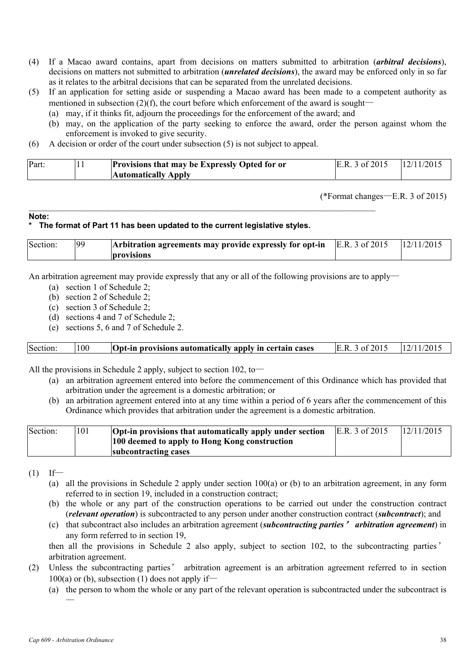- (4) If a Macao award contains, apart from decisions on matters submitted to arbitration (*arbitral decisions*), decisions on matters not submitted to arbitration (*unrelated decisions*), the award may be enforced only in so far as it relates to the arbitral decisions that can be separated from the unrelated decisions.
- (5) If an application for setting aside or suspending a Macao award has been made to a competent authority as mentioned in subsection (2)(f), the court before which enforcement of the award is sought—
	- (a) may, if it thinks fit, adjourn the proceedings for the enforcement of the award; and
	- (b) may, on the application of the party seeking to enforce the award, order the person against whom the enforcement is invoked to give security.
- (6) A decision or order of the court under subsection (5) is not subject to appeal.

| Part | <b>Provisions that may be Expressly Opted for or</b> | E.R. 3 of 2015 | 12/11/2015 |
|------|------------------------------------------------------|----------------|------------|
|      | <b>Automatically Apply</b>                           |                |            |

(\*Format changes—E.R. 3 of 2015)

#### $\mathcal{L}_\mathcal{L} = \{ \mathcal{L}_\mathcal{L} = \{ \mathcal{L}_\mathcal{L} = \{ \mathcal{L}_\mathcal{L} = \{ \mathcal{L}_\mathcal{L} = \{ \mathcal{L}_\mathcal{L} = \{ \mathcal{L}_\mathcal{L} = \{ \mathcal{L}_\mathcal{L} = \{ \mathcal{L}_\mathcal{L} = \{ \mathcal{L}_\mathcal{L} = \{ \mathcal{L}_\mathcal{L} = \{ \mathcal{L}_\mathcal{L} = \{ \mathcal{L}_\mathcal{L} = \{ \mathcal{L}_\mathcal{L} = \{ \mathcal{L}_\mathcal{$ **Note:**

### **\* The format of Part 11 has been updated to the current legislative styles.**

| Section: | 99 | Arbitration agreements may provide expressly for opt-in $ E.R. 3 of 2015  12/11/2015$ |  |
|----------|----|---------------------------------------------------------------------------------------|--|
|          |    | <b>IDPOVISIONS</b>                                                                    |  |

An arbitration agreement may provide expressly that any or all of the following provisions are to apply—

- (a) section 1 of Schedule 2;
- (b) section 2 of Schedule 2;
- (c) section 3 of Schedule 2;
- (d) sections 4 and 7 of Schedule 2;
- (e) sections 5, 6 and 7 of Schedule 2.

| Section: | 100 | <b>Opt-in provisions automatically apply in certain cases</b> |  | E.R. 3 of 2015 | 12/11/2015 |
|----------|-----|---------------------------------------------------------------|--|----------------|------------|
|----------|-----|---------------------------------------------------------------|--|----------------|------------|

All the provisions in Schedule 2 apply, subject to section 102, to—

- (a) an arbitration agreement entered into before the commencement of this Ordinance which has provided that arbitration under the agreement is a domestic arbitration; or
- (b) an arbitration agreement entered into at any time within a period of 6 years after the commencement of this Ordinance which provides that arbitration under the agreement is a domestic arbitration.

| Section: | 101 | <b>Opt-in provisions that automatically apply under section</b> | E.R. 3 of 2015 | 12/11/2015 |
|----------|-----|-----------------------------------------------------------------|----------------|------------|
|          |     | 100 deemed to apply to Hong Kong construction                   |                |            |
|          |     | subcontracting cases                                            |                |            |

- $(1)$  If—
	- (a) all the provisions in Schedule 2 apply under section 100(a) or (b) to an arbitration agreement, in any form referred to in section 19, included in a construction contract;
	- (b) the whole or any part of the construction operations to be carried out under the construction contract (*relevant operation*) is subcontracted to any person under another construction contract (*subcontract*); and
	- (c) that subcontract also includes an arbitration agreement (*subcontracting parties*' *arbitration agreement*) in any form referred to in section 19,

then all the provisions in Schedule 2 also apply, subject to section 102, to the subcontracting parties' arbitration agreement.

- (2) Unless the subcontracting parties' arbitration agreement is an arbitration agreement referred to in section  $100(a)$  or (b), subsection (1) does not apply if—
	- (a) the person to whom the whole or any part of the relevant operation is subcontracted under the subcontract is

—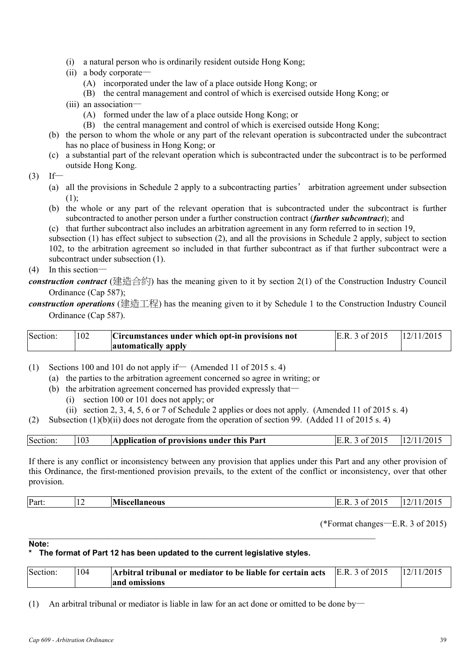- (i) a natural person who is ordinarily resident outside Hong Kong;
- (ii) a body corporate—
	- (A) incorporated under the law of a place outside Hong Kong; or
	- (B) the central management and control of which is exercised outside Hong Kong; or
- (iii) an association—
	- (A) formed under the law of a place outside Hong Kong; or
	- (B) the central management and control of which is exercised outside Hong Kong;
- (b) the person to whom the whole or any part of the relevant operation is subcontracted under the subcontract has no place of business in Hong Kong; or
- (c) a substantial part of the relevant operation which is subcontracted under the subcontract is to be performed outside Hong Kong.
- $(3)$  If—
	- (a) all the provisions in Schedule 2 apply to a subcontracting parties' arbitration agreement under subsection (1);
	- (b) the whole or any part of the relevant operation that is subcontracted under the subcontract is further subcontracted to another person under a further construction contract (*further subcontract*); and

(c) that further subcontract also includes an arbitration agreement in any form referred to in section 19,

subsection (1) has effect subject to subsection (2), and all the provisions in Schedule 2 apply, subject to section 102, to the arbitration agreement so included in that further subcontract as if that further subcontract were a subcontract under subsection (1).

### (4) In this section—

*construction contract* (建造合約) has the meaning given to it by section 2(1) of the Construction Industry Council Ordinance (Cap 587);

*construction operations* (建造工程) has the meaning given to it by Schedule 1 to the Construction Industry Council Ordinance (Cap 587).

| Section: | 102 | Circumstances under which opt-in provisions not | E.R. $3$ of 2015 | 12/11/2015 |
|----------|-----|-------------------------------------------------|------------------|------------|
|          |     | automatically apply                             |                  |            |

(1) Sections 100 and 101 do not apply if  $-$  (Amended 11 of 2015 s. 4)

- (a) the parties to the arbitration agreement concerned so agree in writing; or
- (b) the arbitration agreement concerned has provided expressly that—
	- (i) section 100 or 101 does not apply; or
	- (ii) section 2, 3, 4, 5, 6 or 7 of Schedule 2 applies or does not apply. (Amended 11 of 2015 s. 4)

(2) Subsection  $(1)(b)(ii)$  does not derogate from the operation of section 99. (Added 11 of 2015 s. 4)

| Section: | 103 | Application of provisions under this Part | 3 of 2015<br>IE R | 12/11/2015 |
|----------|-----|-------------------------------------------|-------------------|------------|
|          |     |                                           |                   |            |

If there is any conflict or inconsistency between any provision that applies under this Part and any other provision of this Ordinance, the first-mentioned provision prevails, to the extent of the conflict or inconsistency, over that other provision.

|  | Part: | . . | $ -$<br><b>Miscellaneous</b> | $\degree 201$ | י זי<br>201.<br>the contract of the contract of |
|--|-------|-----|------------------------------|---------------|-------------------------------------------------|
|--|-------|-----|------------------------------|---------------|-------------------------------------------------|

(\*Format changes—E.R. 3 of 2015)

#### **Note:**

### **\* The format of Part 12 has been updated to the current legislative styles.**

| Section: | 104 | <b>Arbitral tribunal or mediator to be liable for certain acts</b> $\quad$ E.R. 3 of 2015 | 12/11/2015 |
|----------|-----|-------------------------------------------------------------------------------------------|------------|
|          |     | and omissions                                                                             |            |

(1) An arbitral tribunal or mediator is liable in law for an act done or omitted to be done by—

 $\_$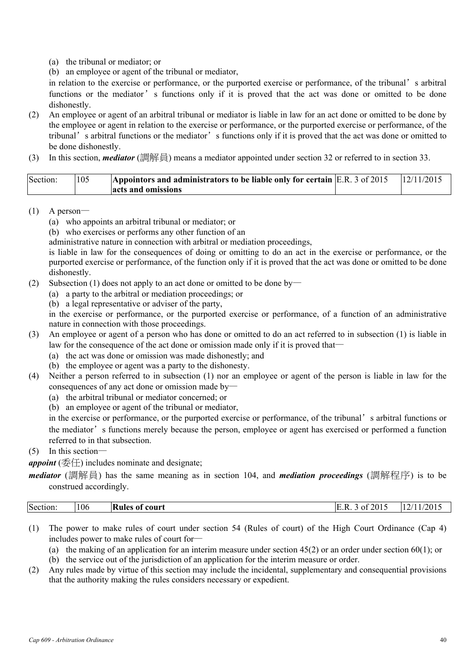- (a) the tribunal or mediator; or
- (b) an employee or agent of the tribunal or mediator,

in relation to the exercise or performance, or the purported exercise or performance, of the tribunal's arbitral functions or the mediator's functions only if it is proved that the act was done or omitted to be done dishonestly.

- (2) An employee or agent of an arbitral tribunal or mediator is liable in law for an act done or omitted to be done by the employee or agent in relation to the exercise or performance, or the purported exercise or performance, of the tribunal's arbitral functions or the mediator's functions only if it is proved that the act was done or omitted to be done dishonestly.
- (3) In this section, *mediator* (調解員) means a mediator appointed under section 32 or referred to in section 33.

| Section: | 105 | Appointors and administrators to be liable only for certain $ E.R. 3 of 2015$ | 12/11/2015 |
|----------|-----|-------------------------------------------------------------------------------|------------|
|          |     | acts and omissions                                                            |            |

- (1) A person—
	- (a) who appoints an arbitral tribunal or mediator; or
	- (b) who exercises or performs any other function of an

administrative nature in connection with arbitral or mediation proceedings,

is liable in law for the consequences of doing or omitting to do an act in the exercise or performance, or the purported exercise or performance, of the function only if it is proved that the act was done or omitted to be done dishonestly.

- (2) Subsection (1) does not apply to an act done or omitted to be done by—
	- (a) a party to the arbitral or mediation proceedings; or
	- (b) a legal representative or adviser of the party,

in the exercise or performance, or the purported exercise or performance, of a function of an administrative nature in connection with those proceedings.

- (3) An employee or agent of a person who has done or omitted to do an act referred to in subsection (1) is liable in law for the consequence of the act done or omission made only if it is proved that—
	- (a) the act was done or omission was made dishonestly; and
	- (b) the employee or agent was a party to the dishonesty.
- (4) Neither a person referred to in subsection (1) nor an employee or agent of the person is liable in law for the consequences of any act done or omission made by—
	- (a) the arbitral tribunal or mediator concerned; or
	- (b) an employee or agent of the tribunal or mediator,

in the exercise or performance, or the purported exercise or performance, of the tribunal's arbitral functions or the mediator's functions merely because the person, employee or agent has exercised or performed a function referred to in that subsection.

(5) In this section—

*appoint* (委任) includes nominate and designate;

*mediator* (調解員) has the same meaning as in section 104, and *mediation proceedings* (調解程序) is to be construed accordingly.

| Section: | 106 | <b>Rules of court</b> | f 2015<br>E.R.<br>-ot | 1/2015<br>10/11 |
|----------|-----|-----------------------|-----------------------|-----------------|
|          |     |                       |                       |                 |

- (1) The power to make rules of court under section 54 (Rules of court) of the High Court Ordinance (Cap 4) includes power to make rules of court for—
	- (a) the making of an application for an interim measure under section  $45(2)$  or an order under section  $60(1)$ ; or
	- (b) the service out of the jurisdiction of an application for the interim measure or order.
- (2) Any rules made by virtue of this section may include the incidental, supplementary and consequential provisions that the authority making the rules considers necessary or expedient.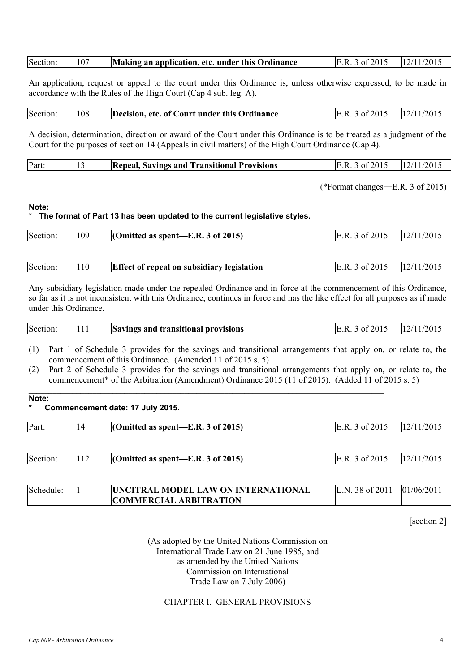| Section:<br>.107<br>Making an application, etc. under this Ordinance | ۔ of 2015 د<br>IE R | 112/11/2015 |
|----------------------------------------------------------------------|---------------------|-------------|
|----------------------------------------------------------------------|---------------------|-------------|

An application, request or appeal to the court under this Ordinance is, unless otherwise expressed, to be made in accordance with the Rules of the High Court (Cap 4 sub. leg. A).

| E.R. 3 of 2015 $12/11/2015$<br>Section:<br>108<br>Decision, etc. of Court under this Ordinance |  |
|------------------------------------------------------------------------------------------------|--|
|------------------------------------------------------------------------------------------------|--|

A decision, determination, direction or award of the Court under this Ordinance is to be treated as a judgment of the Court for the purposes of section 14 (Appeals in civil matters) of the High Court Ordinance (Cap 4).

| Part<br><b>Repeal, Savings and Transitional Provisions</b> | E.R. 3 of 2015 | 12/11/2015 |
|------------------------------------------------------------|----------------|------------|
|------------------------------------------------------------|----------------|------------|

(\*Format changes—E.R. 3 of 2015)

### **Note:**

# **\* The format of Part 13 has been updated to the current legislative styles.**

 $\mathcal{L}_\mathcal{L} = \{ \mathcal{L}_\mathcal{L} = \{ \mathcal{L}_\mathcal{L} = \{ \mathcal{L}_\mathcal{L} = \{ \mathcal{L}_\mathcal{L} = \{ \mathcal{L}_\mathcal{L} = \{ \mathcal{L}_\mathcal{L} = \{ \mathcal{L}_\mathcal{L} = \{ \mathcal{L}_\mathcal{L} = \{ \mathcal{L}_\mathcal{L} = \{ \mathcal{L}_\mathcal{L} = \{ \mathcal{L}_\mathcal{L} = \{ \mathcal{L}_\mathcal{L} = \{ \mathcal{L}_\mathcal{L} = \{ \mathcal{L}_\mathcal{$ 

| Section:<br>109<br>(Omitted as spent—E.R. 3 of 2015)<br>E.R. | $^{\circ}2015$<br>3 ot | 12/11/2015 |
|--------------------------------------------------------------|------------------------|------------|

| Section: | <sup>110</sup> | <b>Effect of repeal on subsidiary legislation</b> | E.R. 3 of 2015 $\vert$ 12/11/2015 |  |
|----------|----------------|---------------------------------------------------|-----------------------------------|--|

Any subsidiary legislation made under the repealed Ordinance and in force at the commencement of this Ordinance, so far as it is not inconsistent with this Ordinance, continues in force and has the like effect for all purposes as if made under this Ordinance.

| Section:<br>201.<br>'201.<br>Savings and transitional provisions<br>E<br>$\Omega$ |
|-----------------------------------------------------------------------------------|
|-----------------------------------------------------------------------------------|

(1) Part 1 of Schedule 3 provides for the savings and transitional arrangements that apply on, or relate to, the commencement of this Ordinance. (Amended 11 of 2015 s. 5)

(2) Part 2 of Schedule 3 provides for the savings and transitional arrangements that apply on, or relate to, the commencement\* of the Arbitration (Amendment) Ordinance 2015 (11 of 2015). (Added 11 of 2015 s. 5)

 $\mathcal{L}_\mathcal{L} = \{ \mathcal{L}_\mathcal{L} = \{ \mathcal{L}_\mathcal{L} = \{ \mathcal{L}_\mathcal{L} = \{ \mathcal{L}_\mathcal{L} = \{ \mathcal{L}_\mathcal{L} = \{ \mathcal{L}_\mathcal{L} = \{ \mathcal{L}_\mathcal{L} = \{ \mathcal{L}_\mathcal{L} = \{ \mathcal{L}_\mathcal{L} = \{ \mathcal{L}_\mathcal{L} = \{ \mathcal{L}_\mathcal{L} = \{ \mathcal{L}_\mathcal{L} = \{ \mathcal{L}_\mathcal{L} = \{ \mathcal{L}_\mathcal{$ 

**Note: \* Commencement date: 17 July 2015.** 

| Part: | 14 | (Omitted as spent—E.R. 3 of 2015) | 3 of 2015<br>E.R.3 | 12/11/2015 |
|-------|----|-----------------------------------|--------------------|------------|
|       |    |                                   |                    |            |

| Section:<br>$\sim$ (Omitted as spent—E.R. 3 of 2015)<br>$\degree$ 2015<br>112<br>1/2015<br>12/<br>- ot |
|--------------------------------------------------------------------------------------------------------|
|--------------------------------------------------------------------------------------------------------|

| Schedule: | <b>UNCITRAL MODEL LAW ON INTERNATIONAL</b> | L.N. 38 of 2011 $101/06/2011$ |  |
|-----------|--------------------------------------------|-------------------------------|--|
|           | <b>COMMERCIAL ARBITRATION</b>              |                               |  |

[section 2]

(As adopted by the United Nations Commission on International Trade Law on 21 June 1985, and as amended by the United Nations Commission on International Trade Law on 7 July 2006)

### CHAPTER I. GENERAL PROVISIONS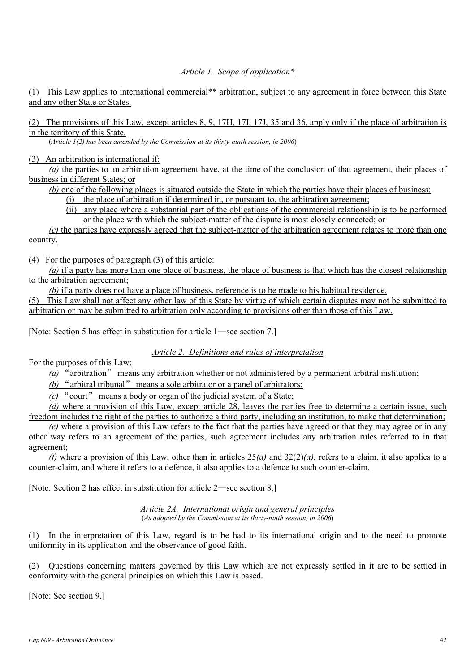# *Article 1. Scope of application\**

(1) This Law applies to international commercial\*\* arbitration, subject to any agreement in force between this State and any other State or States.

### (2) The provisions of this Law, except articles 8, 9, 17H, 17I, 17J, 35 and 36, apply only if the place of arbitration is in the territory of this State.

(*Article 1(2) has been amended by the Commission at its thirty-ninth session, in 2006*)

(3) An arbitration is international if:

*(a)* the parties to an arbitration agreement have, at the time of the conclusion of that agreement, their places of business in different States; or

*(b)* one of the following places is situated outside the State in which the parties have their places of business:

(i) the place of arbitration if determined in, or pursuant to, the arbitration agreement;

(ii) any place where a substantial part of the obligations of the commercial relationship is to be performed or the place with which the subject-matter of the dispute is most closely connected; or

*(c)* the parties have expressly agreed that the subject-matter of the arbitration agreement relates to more than one country.

(4) For the purposes of paragraph (3) of this article:

*(a)* if a party has more than one place of business, the place of business is that which has the closest relationship to the arbitration agreement;

*(b)* if a party does not have a place of business, reference is to be made to his habitual residence.

(5) This Law shall not affect any other law of this State by virtue of which certain disputes may not be submitted to arbitration or may be submitted to arbitration only according to provisions other than those of this Law.

[Note: Section 5 has effect in substitution for article 1—see section 7.]

### *Article 2. Definitions and rules of interpretation*

For the purposes of this Law:

*(a)* "arbitration" means any arbitration whether or not administered by a permanent arbitral institution;

*(b)* "arbitral tribunal" means a sole arbitrator or a panel of arbitrators;

*(c)* "court" means a body or organ of the judicial system of a State;

*(d)* where a provision of this Law, except article 28, leaves the parties free to determine a certain issue, such freedom includes the right of the parties to authorize a third party, including an institution, to make that determination;

*(e)* where a provision of this Law refers to the fact that the parties have agreed or that they may agree or in any other way refers to an agreement of the parties, such agreement includes any arbitration rules referred to in that agreement;

*(f)* where a provision of this Law, other than in articles  $25(a)$  and  $32(2)(a)$ , refers to a claim, it also applies to a counter-claim, and where it refers to a defence, it also applies to a defence to such counter-claim.

[Note: Section 2 has effect in substitution for article 2—see section 8.]

*Article 2A. International origin and general principles*  (*As adopted by the Commission at its thirty-ninth session, in 2006*)

(1) In the interpretation of this Law, regard is to be had to its international origin and to the need to promote uniformity in its application and the observance of good faith.

(2) Questions concerning matters governed by this Law which are not expressly settled in it are to be settled in conformity with the general principles on which this Law is based.

[Note: See section 9.]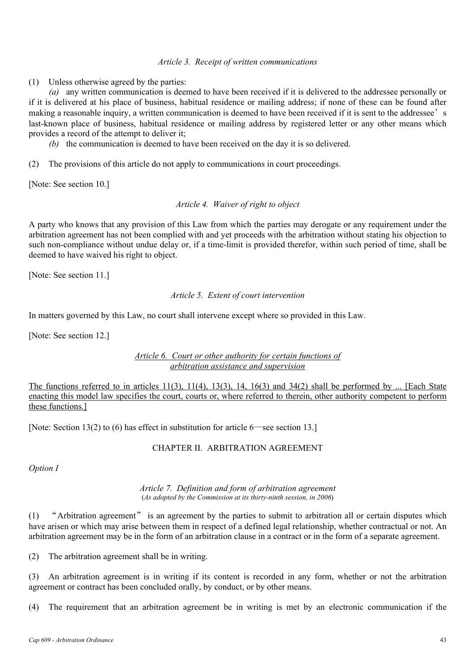### *Article 3. Receipt of written communications*

(1) Unless otherwise agreed by the parties:

*(a)* any written communication is deemed to have been received if it is delivered to the addressee personally or if it is delivered at his place of business, habitual residence or mailing address; if none of these can be found after making a reasonable inquiry, a written communication is deemed to have been received if it is sent to the addressee's last-known place of business, habitual residence or mailing address by registered letter or any other means which provides a record of the attempt to deliver it;

*(b)* the communication is deemed to have been received on the day it is so delivered.

(2) The provisions of this article do not apply to communications in court proceedings.

[Note: See section 10.]

### *Article 4. Waiver of right to object*

A party who knows that any provision of this Law from which the parties may derogate or any requirement under the arbitration agreement has not been complied with and yet proceeds with the arbitration without stating his objection to such non-compliance without undue delay or, if a time-limit is provided therefor, within such period of time, shall be deemed to have waived his right to object.

[Note: See section 11.]

#### *Article 5. Extent of court intervention*

In matters governed by this Law, no court shall intervene except where so provided in this Law.

[Note: See section 12.]

### *Article 6. Court or other authority for certain functions of arbitration assistance and supervision*

The functions referred to in articles 11(3), 11(4), 13(3), 14, 16(3) and 34(2) shall be performed by ... [Each State enacting this model law specifies the court, courts or, where referred to therein, other authority competent to perform these functions.]

[Note: Section 13(2) to (6) has effect in substitution for article 6—see section 13.]

### CHAPTER II. ARBITRATION AGREEMENT

*Option I* 

#### *Article 7. Definition and form of arbitration agreement*  (*As adopted by the Commission at its thirty-ninth session, in 2006*)

(1) "Arbitration agreement" is an agreement by the parties to submit to arbitration all or certain disputes which have arisen or which may arise between them in respect of a defined legal relationship, whether contractual or not. An arbitration agreement may be in the form of an arbitration clause in a contract or in the form of a separate agreement.

(2) The arbitration agreement shall be in writing.

(3) An arbitration agreement is in writing if its content is recorded in any form, whether or not the arbitration agreement or contract has been concluded orally, by conduct, or by other means.

(4) The requirement that an arbitration agreement be in writing is met by an electronic communication if the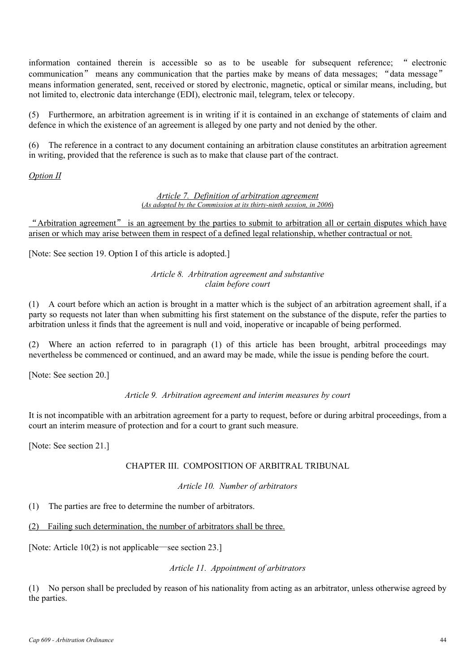information contained therein is accessible so as to be useable for subsequent reference; " electronic communication" means any communication that the parties make by means of data messages; "data message" means information generated, sent, received or stored by electronic, magnetic, optical or similar means, including, but not limited to, electronic data interchange (EDI), electronic mail, telegram, telex or telecopy.

(5) Furthermore, an arbitration agreement is in writing if it is contained in an exchange of statements of claim and defence in which the existence of an agreement is alleged by one party and not denied by the other.

(6) The reference in a contract to any document containing an arbitration clause constitutes an arbitration agreement in writing, provided that the reference is such as to make that clause part of the contract.

*Option II*

#### *Article 7. Definition of arbitration agreement* (*As adopted by the Commission at its thirty-ninth session, in 2006*)

"Arbitration agreement" is an agreement by the parties to submit to arbitration all or certain disputes which have arisen or which may arise between them in respect of a defined legal relationship, whether contractual or not.

[Note: See section 19. Option I of this article is adopted.]

# *Article 8. Arbitration agreement and substantive claim before court*

(1) A court before which an action is brought in a matter which is the subject of an arbitration agreement shall, if a party so requests not later than when submitting his first statement on the substance of the dispute, refer the parties to arbitration unless it finds that the agreement is null and void, inoperative or incapable of being performed.

(2) Where an action referred to in paragraph (1) of this article has been brought, arbitral proceedings may nevertheless be commenced or continued, and an award may be made, while the issue is pending before the court.

[Note: See section 20.]

# *Article 9. Arbitration agreement and interim measures by court*

It is not incompatible with an arbitration agreement for a party to request, before or during arbitral proceedings, from a court an interim measure of protection and for a court to grant such measure.

[Note: See section 21.]

# CHAPTER III. COMPOSITION OF ARBITRAL TRIBUNAL

# *Article 10. Number of arbitrators*

(1) The parties are free to determine the number of arbitrators.

(2) Failing such determination, the number of arbitrators shall be three.

[Note: Article 10(2) is not applicable—see section 23.]

# *Article 11. Appointment of arbitrators*

(1) No person shall be precluded by reason of his nationality from acting as an arbitrator, unless otherwise agreed by the parties.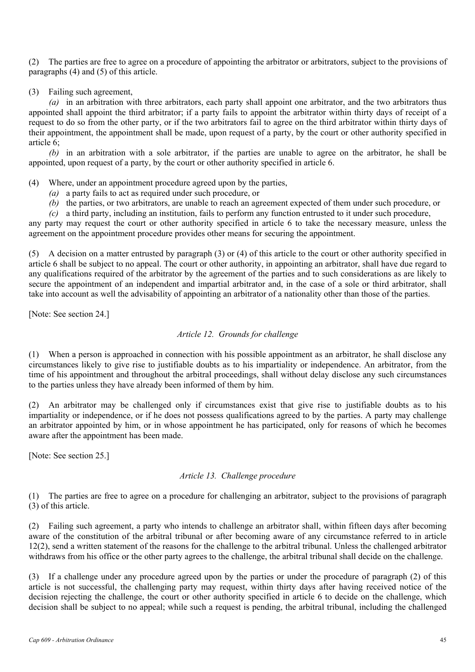(2) The parties are free to agree on a procedure of appointing the arbitrator or arbitrators, subject to the provisions of paragraphs (4) and (5) of this article.

(3) Failing such agreement,

*(a)* in an arbitration with three arbitrators, each party shall appoint one arbitrator, and the two arbitrators thus appointed shall appoint the third arbitrator; if a party fails to appoint the arbitrator within thirty days of receipt of a request to do so from the other party, or if the two arbitrators fail to agree on the third arbitrator within thirty days of their appointment, the appointment shall be made, upon request of a party, by the court or other authority specified in article 6;

*(b)* in an arbitration with a sole arbitrator, if the parties are unable to agree on the arbitrator, he shall be appointed, upon request of a party, by the court or other authority specified in article 6.

- (4) Where, under an appointment procedure agreed upon by the parties,
	- *(a)* a party fails to act as required under such procedure, or
	- *(b)* the parties, or two arbitrators, are unable to reach an agreement expected of them under such procedure, or
	- *(c)* a third party, including an institution, fails to perform any function entrusted to it under such procedure,

any party may request the court or other authority specified in article 6 to take the necessary measure, unless the agreement on the appointment procedure provides other means for securing the appointment.

(5) A decision on a matter entrusted by paragraph (3) or (4) of this article to the court or other authority specified in article 6 shall be subject to no appeal. The court or other authority, in appointing an arbitrator, shall have due regard to any qualifications required of the arbitrator by the agreement of the parties and to such considerations as are likely to secure the appointment of an independent and impartial arbitrator and, in the case of a sole or third arbitrator, shall take into account as well the advisability of appointing an arbitrator of a nationality other than those of the parties.

[Note: See section 24.]

### *Article 12. Grounds for challenge*

(1) When a person is approached in connection with his possible appointment as an arbitrator, he shall disclose any circumstances likely to give rise to justifiable doubts as to his impartiality or independence. An arbitrator, from the time of his appointment and throughout the arbitral proceedings, shall without delay disclose any such circumstances to the parties unless they have already been informed of them by him.

(2) An arbitrator may be challenged only if circumstances exist that give rise to justifiable doubts as to his impartiality or independence, or if he does not possess qualifications agreed to by the parties. A party may challenge an arbitrator appointed by him, or in whose appointment he has participated, only for reasons of which he becomes aware after the appointment has been made.

[Note: See section 25.]

# *Article 13. Challenge procedure*

(1) The parties are free to agree on a procedure for challenging an arbitrator, subject to the provisions of paragraph (3) of this article.

(2) Failing such agreement, a party who intends to challenge an arbitrator shall, within fifteen days after becoming aware of the constitution of the arbitral tribunal or after becoming aware of any circumstance referred to in article 12(2), send a written statement of the reasons for the challenge to the arbitral tribunal. Unless the challenged arbitrator withdraws from his office or the other party agrees to the challenge, the arbitral tribunal shall decide on the challenge.

(3) If a challenge under any procedure agreed upon by the parties or under the procedure of paragraph (2) of this article is not successful, the challenging party may request, within thirty days after having received notice of the decision rejecting the challenge, the court or other authority specified in article 6 to decide on the challenge, which decision shall be subject to no appeal; while such a request is pending, the arbitral tribunal, including the challenged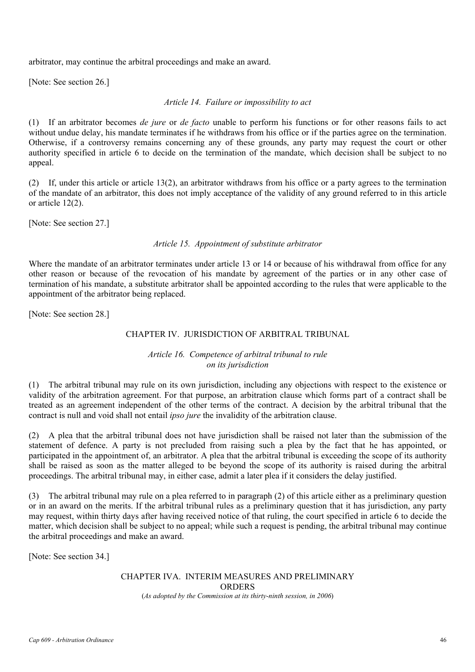arbitrator, may continue the arbitral proceedings and make an award.

[Note: See section 26.]

#### *Article 14. Failure or impossibility to act*

(1) If an arbitrator becomes *de jure* or *de facto* unable to perform his functions or for other reasons fails to act without undue delay, his mandate terminates if he withdraws from his office or if the parties agree on the termination. Otherwise, if a controversy remains concerning any of these grounds, any party may request the court or other authority specified in article 6 to decide on the termination of the mandate, which decision shall be subject to no appeal.

(2) If, under this article or article 13(2), an arbitrator withdraws from his office or a party agrees to the termination of the mandate of an arbitrator, this does not imply acceptance of the validity of any ground referred to in this article or article 12(2).

[Note: See section 27.]

### *Article 15. Appointment of substitute arbitrator*

Where the mandate of an arbitrator terminates under article 13 or 14 or because of his withdrawal from office for any other reason or because of the revocation of his mandate by agreement of the parties or in any other case of termination of his mandate, a substitute arbitrator shall be appointed according to the rules that were applicable to the appointment of the arbitrator being replaced.

[Note: See section 28.]

### CHAPTER IV. JURISDICTION OF ARBITRAL TRIBUNAL

### *Article 16. Competence of arbitral tribunal to rule on its jurisdiction*

(1) The arbitral tribunal may rule on its own jurisdiction, including any objections with respect to the existence or validity of the arbitration agreement. For that purpose, an arbitration clause which forms part of a contract shall be treated as an agreement independent of the other terms of the contract. A decision by the arbitral tribunal that the contract is null and void shall not entail *ipso jure* the invalidity of the arbitration clause.

(2) A plea that the arbitral tribunal does not have jurisdiction shall be raised not later than the submission of the statement of defence. A party is not precluded from raising such a plea by the fact that he has appointed, or participated in the appointment of, an arbitrator. A plea that the arbitral tribunal is exceeding the scope of its authority shall be raised as soon as the matter alleged to be beyond the scope of its authority is raised during the arbitral proceedings. The arbitral tribunal may, in either case, admit a later plea if it considers the delay justified.

(3) The arbitral tribunal may rule on a plea referred to in paragraph (2) of this article either as a preliminary question or in an award on the merits. If the arbitral tribunal rules as a preliminary question that it has jurisdiction, any party may request, within thirty days after having received notice of that ruling, the court specified in article 6 to decide the matter, which decision shall be subject to no appeal; while such a request is pending, the arbitral tribunal may continue the arbitral proceedings and make an award.

[Note: See section 34.]

# CHAPTER IVA. INTERIM MEASURES AND PRELIMINARY **ORDERS**

(*As adopted by the Commission at its thirty-ninth session, in 2006*)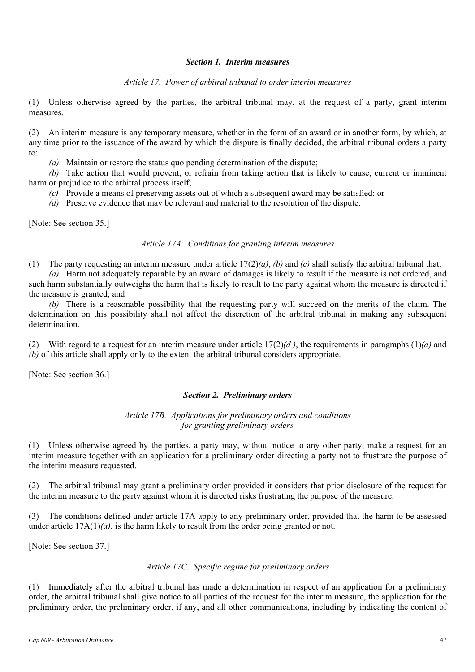### *Section 1. Interim measures*

### *Article 17. Power of arbitral tribunal to order interim measures*

(1) Unless otherwise agreed by the parties, the arbitral tribunal may, at the request of a party, grant interim measures.

(2) An interim measure is any temporary measure, whether in the form of an award or in another form, by which, at any time prior to the issuance of the award by which the dispute is finally decided, the arbitral tribunal orders a party to:

*(a)* Maintain or restore the status quo pending determination of the dispute;

*(b)* Take action that would prevent, or refrain from taking action that is likely to cause, current or imminent harm or prejudice to the arbitral process itself;

*(c)* Provide a means of preserving assets out of which a subsequent award may be satisfied; or

*(d)* Preserve evidence that may be relevant and material to the resolution of the dispute.

[Note: See section 35.]

### *Article 17A. Conditions for granting interim measures*

(1) The party requesting an interim measure under article  $17(2)(a)$ , *(b)* and *(c)* shall satisfy the arbitral tribunal that:

*(a)* Harm not adequately reparable by an award of damages is likely to result if the measure is not ordered, and such harm substantially outweighs the harm that is likely to result to the party against whom the measure is directed if the measure is granted; and

*(b)* There is a reasonable possibility that the requesting party will succeed on the merits of the claim. The determination on this possibility shall not affect the discretion of the arbitral tribunal in making any subsequent determination.

(2) With regard to a request for an interim measure under article 17(2)*(d )*, the requirements in paragraphs (1)*(a)* and *(b)* of this article shall apply only to the extent the arbitral tribunal considers appropriate.

[Note: See section 36.]

# *Section 2. Preliminary orders*

### *Article 17B. Applications for preliminary orders and conditions for granting preliminary orders*

(1) Unless otherwise agreed by the parties, a party may, without notice to any other party, make a request for an interim measure together with an application for a preliminary order directing a party not to frustrate the purpose of the interim measure requested.

(2) The arbitral tribunal may grant a preliminary order provided it considers that prior disclosure of the request for the interim measure to the party against whom it is directed risks frustrating the purpose of the measure.

(3) The conditions defined under article 17A apply to any preliminary order, provided that the harm to be assessed under article  $17A(1)(a)$ , is the harm likely to result from the order being granted or not.

[Note: See section 37.]

# *Article 17C. Specific regime for preliminary orders*

(1) Immediately after the arbitral tribunal has made a determination in respect of an application for a preliminary order, the arbitral tribunal shall give notice to all parties of the request for the interim measure, the application for the preliminary order, the preliminary order, if any, and all other communications, including by indicating the content of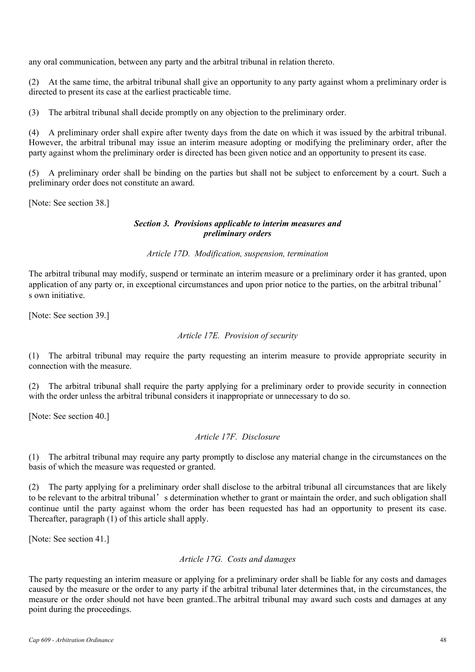any oral communication, between any party and the arbitral tribunal in relation thereto.

(2) At the same time, the arbitral tribunal shall give an opportunity to any party against whom a preliminary order is directed to present its case at the earliest practicable time.

(3) The arbitral tribunal shall decide promptly on any objection to the preliminary order.

(4) A preliminary order shall expire after twenty days from the date on which it was issued by the arbitral tribunal. However, the arbitral tribunal may issue an interim measure adopting or modifying the preliminary order, after the party against whom the preliminary order is directed has been given notice and an opportunity to present its case.

(5) A preliminary order shall be binding on the parties but shall not be subject to enforcement by a court. Such a preliminary order does not constitute an award.

[Note: See section 38.]

#### *Section 3. Provisions applicable to interim measures and preliminary orders*

#### *Article 17D. Modification, suspension, termination*

The arbitral tribunal may modify, suspend or terminate an interim measure or a preliminary order it has granted, upon application of any party or, in exceptional circumstances and upon prior notice to the parties, on the arbitral tribunal' s own initiative.

[Note: See section 39.]

### *Article 17E. Provision of security*

(1) The arbitral tribunal may require the party requesting an interim measure to provide appropriate security in connection with the measure.

(2) The arbitral tribunal shall require the party applying for a preliminary order to provide security in connection with the order unless the arbitral tribunal considers it inappropriate or unnecessary to do so.

[Note: See section 40.]

### *Article 17F. Disclosure*

(1) The arbitral tribunal may require any party promptly to disclose any material change in the circumstances on the basis of which the measure was requested or granted.

(2) The party applying for a preliminary order shall disclose to the arbitral tribunal all circumstances that are likely to be relevant to the arbitral tribunal's determination whether to grant or maintain the order, and such obligation shall continue until the party against whom the order has been requested has had an opportunity to present its case. Thereafter, paragraph (1) of this article shall apply.

[Note: See section 41.]

### *Article 17G. Costs and damages*

The party requesting an interim measure or applying for a preliminary order shall be liable for any costs and damages caused by the measure or the order to any party if the arbitral tribunal later determines that, in the circumstances, the measure or the order should not have been granted..The arbitral tribunal may award such costs and damages at any point during the proceedings.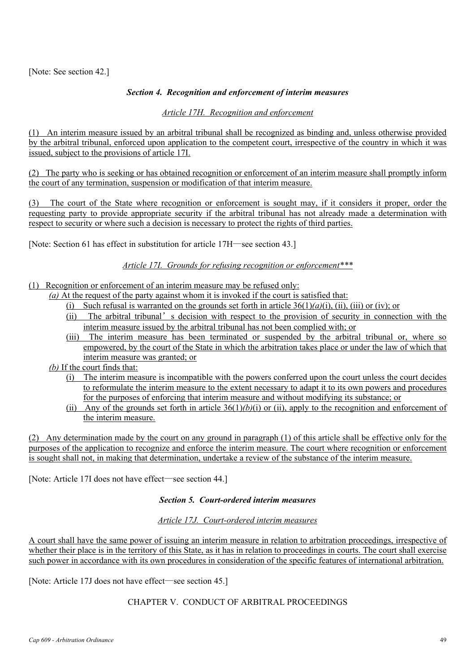[Note: See section 42.]

# *Section 4. Recognition and enforcement of interim measures*

### *Article 17H. Recognition and enforcement*

(1) An interim measure issued by an arbitral tribunal shall be recognized as binding and, unless otherwise provided by the arbitral tribunal, enforced upon application to the competent court, irrespective of the country in which it was issued, subject to the provisions of article 17I.

(2) The party who is seeking or has obtained recognition or enforcement of an interim measure shall promptly inform the court of any termination, suspension or modification of that interim measure.

(3) The court of the State where recognition or enforcement is sought may, if it considers it proper, order the requesting party to provide appropriate security if the arbitral tribunal has not already made a determination with respect to security or where such a decision is necessary to protect the rights of third parties.

[Note: Section 61 has effect in substitution for article 17H—see section 43.]

*Article 17I. Grounds for refusing recognition or enforcement\*\*\**

(1) Recognition or enforcement of an interim measure may be refused only:

- *(a)* At the request of the party against whom it is invoked if the court is satisfied that:
	- (i) Such refusal is warranted on the grounds set forth in article  $36(1)(a)(i)$ , (ii), (iii) or (iv); or
	- (ii) The arbitral tribunal's decision with respect to the provision of security in connection with the interim measure issued by the arbitral tribunal has not been complied with; or
	- (iii) The interim measure has been terminated or suspended by the arbitral tribunal or, where so empowered, by the court of the State in which the arbitration takes place or under the law of which that interim measure was granted; or

*(b)* If the court finds that:

- (i) The interim measure is incompatible with the powers conferred upon the court unless the court decides to reformulate the interim measure to the extent necessary to adapt it to its own powers and procedures for the purposes of enforcing that interim measure and without modifying its substance; or
- (ii) Any of the grounds set forth in article  $36(1/b)(i)$  or (ii), apply to the recognition and enforcement of the interim measure.

(2) Any determination made by the court on any ground in paragraph (1) of this article shall be effective only for the purposes of the application to recognize and enforce the interim measure. The court where recognition or enforcement is sought shall not, in making that determination, undertake a review of the substance of the interim measure.

[Note: Article 17I does not have effect—see section 44.]

*Section 5. Court-ordered interim measures* 

*Article 17J. Court-ordered interim measures*

A court shall have the same power of issuing an interim measure in relation to arbitration proceedings, irrespective of whether their place is in the territory of this State, as it has in relation to proceedings in courts. The court shall exercise such power in accordance with its own procedures in consideration of the specific features of international arbitration.

[Note: Article 17J does not have effect—see section 45.]

CHAPTER V. CONDUCT OF ARBITRAL PROCEEDINGS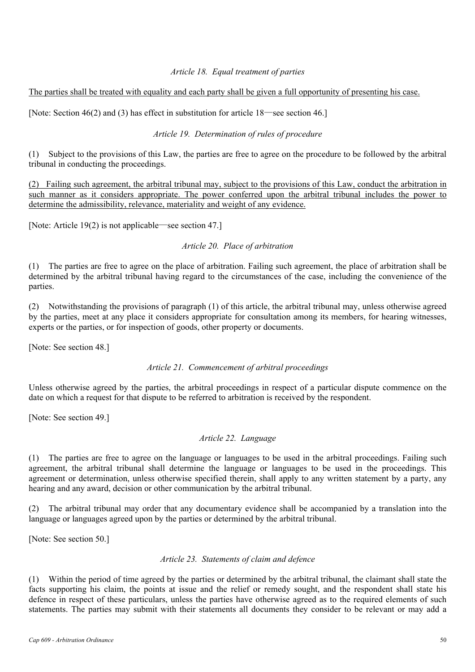### *Article 18. Equal treatment of parties*

The parties shall be treated with equality and each party shall be given a full opportunity of presenting his case.

[Note: Section 46(2) and (3) has effect in substitution for article 18—see section 46.]

### *Article 19. Determination of rules of procedure*

(1) Subject to the provisions of this Law, the parties are free to agree on the procedure to be followed by the arbitral tribunal in conducting the proceedings.

(2) Failing such agreement, the arbitral tribunal may, subject to the provisions of this Law, conduct the arbitration in such manner as it considers appropriate. The power conferred upon the arbitral tribunal includes the power to determine the admissibility, relevance, materiality and weight of any evidence.

[Note: Article 19(2) is not applicable—see section 47.]

### *Article 20. Place of arbitration*

(1) The parties are free to agree on the place of arbitration. Failing such agreement, the place of arbitration shall be determined by the arbitral tribunal having regard to the circumstances of the case, including the convenience of the parties.

(2) Notwithstanding the provisions of paragraph (1) of this article, the arbitral tribunal may, unless otherwise agreed by the parties, meet at any place it considers appropriate for consultation among its members, for hearing witnesses, experts or the parties, or for inspection of goods, other property or documents.

[Note: See section 48.]

### *Article 21. Commencement of arbitral proceedings*

Unless otherwise agreed by the parties, the arbitral proceedings in respect of a particular dispute commence on the date on which a request for that dispute to be referred to arbitration is received by the respondent.

[Note: See section 49.]

# *Article 22. Language*

(1) The parties are free to agree on the language or languages to be used in the arbitral proceedings. Failing such agreement, the arbitral tribunal shall determine the language or languages to be used in the proceedings. This agreement or determination, unless otherwise specified therein, shall apply to any written statement by a party, any hearing and any award, decision or other communication by the arbitral tribunal.

(2) The arbitral tribunal may order that any documentary evidence shall be accompanied by a translation into the language or languages agreed upon by the parties or determined by the arbitral tribunal.

[Note: See section 50.]

### *Article 23. Statements of claim and defence*

(1) Within the period of time agreed by the parties or determined by the arbitral tribunal, the claimant shall state the facts supporting his claim, the points at issue and the relief or remedy sought, and the respondent shall state his defence in respect of these particulars, unless the parties have otherwise agreed as to the required elements of such statements. The parties may submit with their statements all documents they consider to be relevant or may add a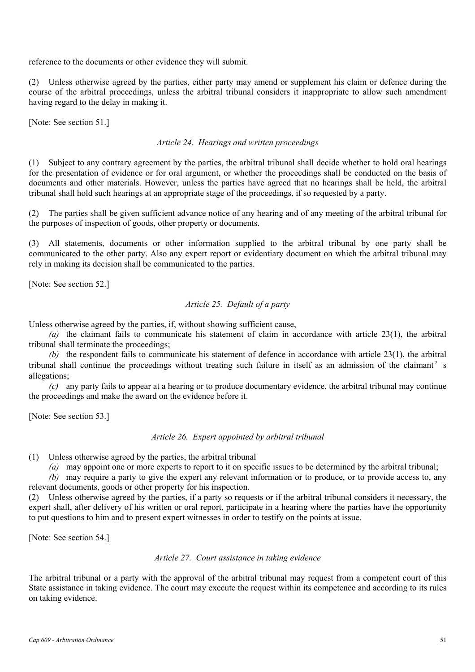reference to the documents or other evidence they will submit.

(2) Unless otherwise agreed by the parties, either party may amend or supplement his claim or defence during the course of the arbitral proceedings, unless the arbitral tribunal considers it inappropriate to allow such amendment having regard to the delay in making it.

[Note: See section 51.]

#### *Article 24. Hearings and written proceedings*

(1) Subject to any contrary agreement by the parties, the arbitral tribunal shall decide whether to hold oral hearings for the presentation of evidence or for oral argument, or whether the proceedings shall be conducted on the basis of documents and other materials. However, unless the parties have agreed that no hearings shall be held, the arbitral tribunal shall hold such hearings at an appropriate stage of the proceedings, if so requested by a party.

(2) The parties shall be given sufficient advance notice of any hearing and of any meeting of the arbitral tribunal for the purposes of inspection of goods, other property or documents.

(3) All statements, documents or other information supplied to the arbitral tribunal by one party shall be communicated to the other party. Also any expert report or evidentiary document on which the arbitral tribunal may rely in making its decision shall be communicated to the parties.

[Note: See section 52.]

#### *Article 25. Default of a party*

Unless otherwise agreed by the parties, if, without showing sufficient cause,

*(a)* the claimant fails to communicate his statement of claim in accordance with article 23(1), the arbitral tribunal shall terminate the proceedings;

*(b)* the respondent fails to communicate his statement of defence in accordance with article 23(1), the arbitral tribunal shall continue the proceedings without treating such failure in itself as an admission of the claimant's allegations;

*(c)* any party fails to appear at a hearing or to produce documentary evidence, the arbitral tribunal may continue the proceedings and make the award on the evidence before it.

[Note: See section 53.]

### *Article 26. Expert appointed by arbitral tribunal*

(1) Unless otherwise agreed by the parties, the arbitral tribunal

*(a)* may appoint one or more experts to report to it on specific issues to be determined by the arbitral tribunal;

*(b)* may require a party to give the expert any relevant information or to produce, or to provide access to, any relevant documents, goods or other property for his inspection.

(2) Unless otherwise agreed by the parties, if a party so requests or if the arbitral tribunal considers it necessary, the expert shall, after delivery of his written or oral report, participate in a hearing where the parties have the opportunity to put questions to him and to present expert witnesses in order to testify on the points at issue.

[Note: See section 54.]

#### *Article 27. Court assistance in taking evidence*

The arbitral tribunal or a party with the approval of the arbitral tribunal may request from a competent court of this State assistance in taking evidence. The court may execute the request within its competence and according to its rules on taking evidence.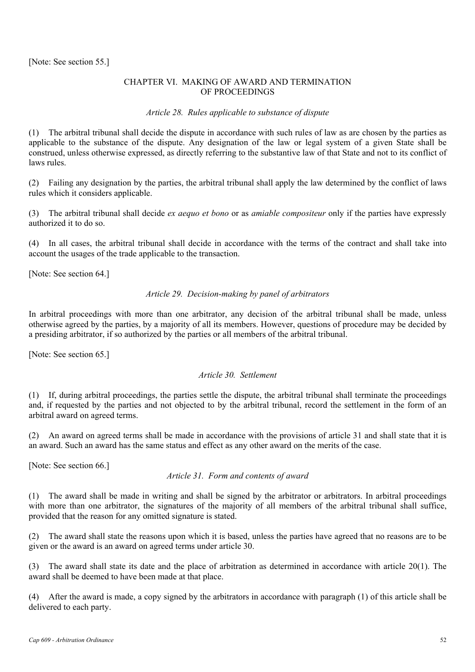### CHAPTER VI. MAKING OF AWARD AND TERMINATION OF PROCEEDINGS

### *Article 28. Rules applicable to substance of dispute*

(1) The arbitral tribunal shall decide the dispute in accordance with such rules of law as are chosen by the parties as applicable to the substance of the dispute. Any designation of the law or legal system of a given State shall be construed, unless otherwise expressed, as directly referring to the substantive law of that State and not to its conflict of laws rules.

(2) Failing any designation by the parties, the arbitral tribunal shall apply the law determined by the conflict of laws rules which it considers applicable.

(3) The arbitral tribunal shall decide *ex aequo et bono* or as *amiable compositeur* only if the parties have expressly authorized it to do so.

(4) In all cases, the arbitral tribunal shall decide in accordance with the terms of the contract and shall take into account the usages of the trade applicable to the transaction.

[Note: See section 64.]

### *Article 29. Decision-making by panel of arbitrators*

In arbitral proceedings with more than one arbitrator, any decision of the arbitral tribunal shall be made, unless otherwise agreed by the parties, by a majority of all its members. However, questions of procedure may be decided by a presiding arbitrator, if so authorized by the parties or all members of the arbitral tribunal.

[Note: See section 65.]

### *Article 30. Settlement*

(1) If, during arbitral proceedings, the parties settle the dispute, the arbitral tribunal shall terminate the proceedings and, if requested by the parties and not objected to by the arbitral tribunal, record the settlement in the form of an arbitral award on agreed terms.

(2) An award on agreed terms shall be made in accordance with the provisions of article 31 and shall state that it is an award. Such an award has the same status and effect as any other award on the merits of the case.

[Note: See section 66.]

### *Article 31. Form and contents of award*

(1) The award shall be made in writing and shall be signed by the arbitrator or arbitrators. In arbitral proceedings with more than one arbitrator, the signatures of the majority of all members of the arbitral tribunal shall suffice, provided that the reason for any omitted signature is stated.

(2) The award shall state the reasons upon which it is based, unless the parties have agreed that no reasons are to be given or the award is an award on agreed terms under article 30.

(3) The award shall state its date and the place of arbitration as determined in accordance with article 20(1). The award shall be deemed to have been made at that place.

(4) After the award is made, a copy signed by the arbitrators in accordance with paragraph (1) of this article shall be delivered to each party.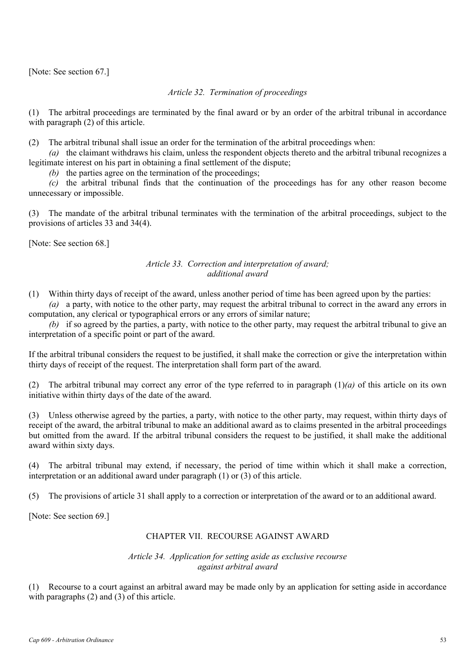[Note: See section 67.]

# *Article 32. Termination of proceedings*

(1) The arbitral proceedings are terminated by the final award or by an order of the arbitral tribunal in accordance with paragraph  $(2)$  of this article.

(2) The arbitral tribunal shall issue an order for the termination of the arbitral proceedings when:

*(a)* the claimant withdraws his claim, unless the respondent objects thereto and the arbitral tribunal recognizes a legitimate interest on his part in obtaining a final settlement of the dispute;

*(b)* the parties agree on the termination of the proceedings;

*(c)* the arbitral tribunal finds that the continuation of the proceedings has for any other reason become unnecessary or impossible.

(3) The mandate of the arbitral tribunal terminates with the termination of the arbitral proceedings, subject to the provisions of articles 33 and 34(4).

[Note: See section 68.]

### *Article 33. Correction and interpretation of award; additional award*

(1) Within thirty days of receipt of the award, unless another period of time has been agreed upon by the parties:

*(a)* a party, with notice to the other party, may request the arbitral tribunal to correct in the award any errors in computation, any clerical or typographical errors or any errors of similar nature;

*(b)* if so agreed by the parties, a party, with notice to the other party, may request the arbitral tribunal to give an interpretation of a specific point or part of the award.

If the arbitral tribunal considers the request to be justified, it shall make the correction or give the interpretation within thirty days of receipt of the request. The interpretation shall form part of the award.

(2) The arbitral tribunal may correct any error of the type referred to in paragraph (1)*(a)* of this article on its own initiative within thirty days of the date of the award.

(3) Unless otherwise agreed by the parties, a party, with notice to the other party, may request, within thirty days of receipt of the award, the arbitral tribunal to make an additional award as to claims presented in the arbitral proceedings but omitted from the award. If the arbitral tribunal considers the request to be justified, it shall make the additional award within sixty days.

(4) The arbitral tribunal may extend, if necessary, the period of time within which it shall make a correction, interpretation or an additional award under paragraph (1) or (3) of this article.

(5) The provisions of article 31 shall apply to a correction or interpretation of the award or to an additional award.

[Note: See section 69.]

# CHAPTER VII. RECOURSE AGAINST AWARD

### *Article 34. Application for setting aside as exclusive recourse against arbitral award*

(1) Recourse to a court against an arbitral award may be made only by an application for setting aside in accordance with paragraphs (2) and (3) of this article.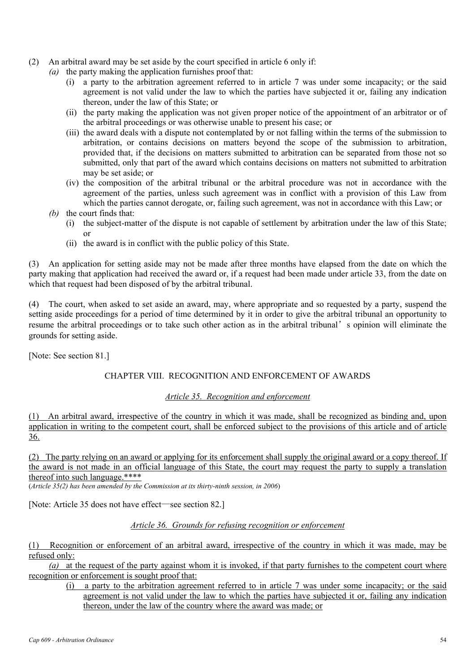- (2) An arbitral award may be set aside by the court specified in article 6 only if:
	- *(a)* the party making the application furnishes proof that:
		- (i) a party to the arbitration agreement referred to in article 7 was under some incapacity; or the said agreement is not valid under the law to which the parties have subjected it or, failing any indication thereon, under the law of this State; or
		- (ii) the party making the application was not given proper notice of the appointment of an arbitrator or of the arbitral proceedings or was otherwise unable to present his case; or
		- (iii) the award deals with a dispute not contemplated by or not falling within the terms of the submission to arbitration, or contains decisions on matters beyond the scope of the submission to arbitration, provided that, if the decisions on matters submitted to arbitration can be separated from those not so submitted, only that part of the award which contains decisions on matters not submitted to arbitration may be set aside; or
		- (iv) the composition of the arbitral tribunal or the arbitral procedure was not in accordance with the agreement of the parties, unless such agreement was in conflict with a provision of this Law from which the parties cannot derogate, or, failing such agreement, was not in accordance with this Law; or
		- *(b)* the court finds that:
			- (i) the subject-matter of the dispute is not capable of settlement by arbitration under the law of this State; or
			- (ii) the award is in conflict with the public policy of this State.

(3) An application for setting aside may not be made after three months have elapsed from the date on which the party making that application had received the award or, if a request had been made under article 33, from the date on which that request had been disposed of by the arbitral tribunal.

(4) The court, when asked to set aside an award, may, where appropriate and so requested by a party, suspend the setting aside proceedings for a period of time determined by it in order to give the arbitral tribunal an opportunity to resume the arbitral proceedings or to take such other action as in the arbitral tribunal's opinion will eliminate the grounds for setting aside.

[Note: See section 81.]

# CHAPTER VIII. RECOGNITION AND ENFORCEMENT OF AWARDS

### *Article 35. Recognition and enforcement*

(1) An arbitral award, irrespective of the country in which it was made, shall be recognized as binding and, upon application in writing to the competent court, shall be enforced subject to the provisions of this article and of article 36.

(2) The party relying on an award or applying for its enforcement shall supply the original award or a copy thereof. If the award is not made in an official language of this State, the court may request the party to supply a translation thereof into such language.\*\*\*\*

(*Article 35(2) has been amended by the Commission at its thirty-ninth session, in 2006*)

[Note: Article 35 does not have effect—see section 82.]

*Article 36. Grounds for refusing recognition or enforcement*

(1) Recognition or enforcement of an arbitral award, irrespective of the country in which it was made, may be refused only:

*(a)* at the request of the party against whom it is invoked, if that party furnishes to the competent court where recognition or enforcement is sought proof that:

(i) a party to the arbitration agreement referred to in article 7 was under some incapacity; or the said agreement is not valid under the law to which the parties have subjected it or, failing any indication thereon, under the law of the country where the award was made; or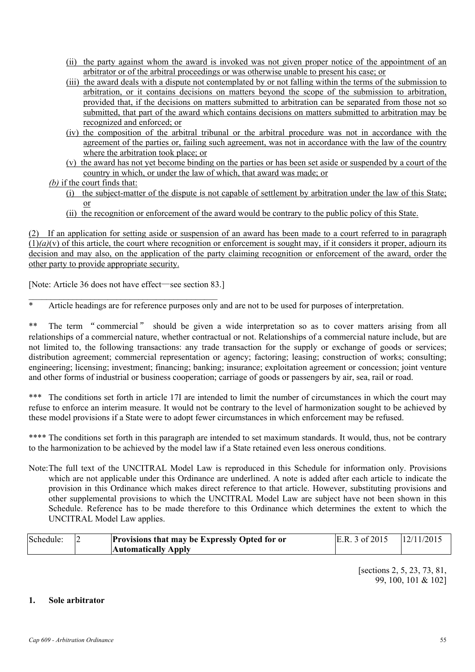- (ii) the party against whom the award is invoked was not given proper notice of the appointment of an arbitrator or of the arbitral proceedings or was otherwise unable to present his case; or
- (iii) the award deals with a dispute not contemplated by or not falling within the terms of the submission to arbitration, or it contains decisions on matters beyond the scope of the submission to arbitration, provided that, if the decisions on matters submitted to arbitration can be separated from those not so submitted, that part of the award which contains decisions on matters submitted to arbitration may be recognized and enforced; or
- (iv) the composition of the arbitral tribunal or the arbitral procedure was not in accordance with the agreement of the parties or, failing such agreement, was not in accordance with the law of the country where the arbitration took place; or
- (v) the award has not yet become binding on the parties or has been set aside or suspended by a court of the country in which, or under the law of which, that award was made; or

*(b)* if the court finds that:

- (i) the subject-matter of the dispute is not capable of settlement by arbitration under the law of this State; or
- (ii) the recognition or enforcement of the award would be contrary to the public policy of this State.

(2) If an application for setting aside or suspension of an award has been made to a court referred to in paragraph  $(1)(a)(v)$  of this article, the court where recognition or enforcement is sought may, if it considers it proper, adjourn its decision and may also, on the application of the party claiming recognition or enforcement of the award, order the other party to provide appropriate security.

[Note: Article 36 does not have effect—see section 83.]

 $\_$ \* Article headings are for reference purposes only and are not to be used for purposes of interpretation.

\*\* The term "commercial" should be given a wide interpretation so as to cover matters arising from all relationships of a commercial nature, whether contractual or not. Relationships of a commercial nature include, but are not limited to, the following transactions: any trade transaction for the supply or exchange of goods or services; distribution agreement; commercial representation or agency; factoring; leasing; construction of works; consulting; engineering; licensing; investment; financing; banking; insurance; exploitation agreement or concession; joint venture and other forms of industrial or business cooperation; carriage of goods or passengers by air, sea, rail or road.

\*\*\* The conditions set forth in article 17I are intended to limit the number of circumstances in which the court may refuse to enforce an interim measure. It would not be contrary to the level of harmonization sought to be achieved by these model provisions if a State were to adopt fewer circumstances in which enforcement may be refused.

\*\*\*\* The conditions set forth in this paragraph are intended to set maximum standards. It would, thus, not be contrary to the harmonization to be achieved by the model law if a State retained even less onerous conditions.

Note: The full text of the UNCITRAL Model Law is reproduced in this Schedule for information only. Provisions which are not applicable under this Ordinance are underlined. A note is added after each article to indicate the provision in this Ordinance which makes direct reference to that article. However, substituting provisions and other supplemental provisions to which the UNCITRAL Model Law are subject have not been shown in this Schedule. Reference has to be made therefore to this Ordinance which determines the extent to which the UNCITRAL Model Law applies.

| Schedule: | <b>Provisions that may be Expressly Opted for or</b> | E.R. 3 of 2015 | 12/11/2015 |
|-----------|------------------------------------------------------|----------------|------------|
|           | <b>Automatically Apply</b>                           |                |            |

[sections 2, 5, 23, 73, 81, 99, 100, 101 & 102]

### **1. Sole arbitrator**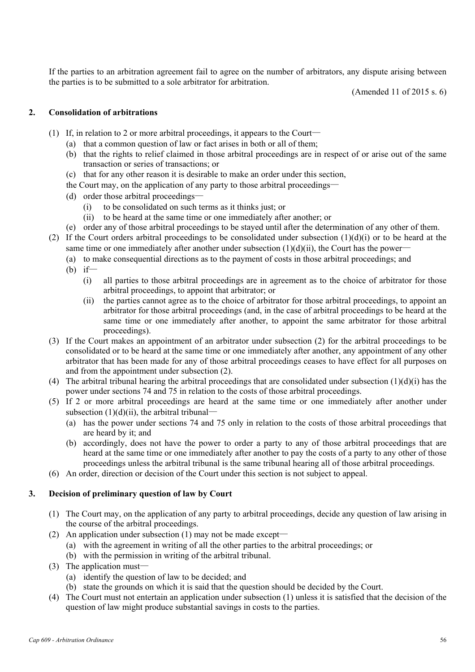If the parties to an arbitration agreement fail to agree on the number of arbitrators, any dispute arising between the parties is to be submitted to a sole arbitrator for arbitration.

(Amended 11 of 2015 s. 6)

### **2. Consolidation of arbitrations**

- (1) If, in relation to 2 or more arbitral proceedings, it appears to the Court—
	- (a) that a common question of law or fact arises in both or all of them;
	- (b) that the rights to relief claimed in those arbitral proceedings are in respect of or arise out of the same transaction or series of transactions; or
	- (c) that for any other reason it is desirable to make an order under this section,
	- the Court may, on the application of any party to those arbitral proceedings—
	- (d) order those arbitral proceedings—
		- (i) to be consolidated on such terms as it thinks just; or
		- (ii) to be heard at the same time or one immediately after another; or
	- (e) order any of those arbitral proceedings to be stayed until after the determination of any other of them.
- (2) If the Court orders arbitral proceedings to be consolidated under subsection  $(1)(d)(i)$  or to be heard at the same time or one immediately after another under subsection  $(1)(d)(ii)$ , the Court has the power—
	- (a) to make consequential directions as to the payment of costs in those arbitral proceedings; and
	- $(h)$  if—
		- (i) all parties to those arbitral proceedings are in agreement as to the choice of arbitrator for those arbitral proceedings, to appoint that arbitrator; or
		- (ii) the parties cannot agree as to the choice of arbitrator for those arbitral proceedings, to appoint an arbitrator for those arbitral proceedings (and, in the case of arbitral proceedings to be heard at the same time or one immediately after another, to appoint the same arbitrator for those arbitral proceedings).
- (3) If the Court makes an appointment of an arbitrator under subsection (2) for the arbitral proceedings to be consolidated or to be heard at the same time or one immediately after another, any appointment of any other arbitrator that has been made for any of those arbitral proceedings ceases to have effect for all purposes on and from the appointment under subsection (2).
- (4) The arbitral tribunal hearing the arbitral proceedings that are consolidated under subsection  $(1)(d)(i)$  has the power under sections 74 and 75 in relation to the costs of those arbitral proceedings.
- (5) If 2 or more arbitral proceedings are heard at the same time or one immediately after another under subsection  $(1)(d)(ii)$ , the arbitral tribunal—
	- (a) has the power under sections 74 and 75 only in relation to the costs of those arbitral proceedings that are heard by it; and
	- (b) accordingly, does not have the power to order a party to any of those arbitral proceedings that are heard at the same time or one immediately after another to pay the costs of a party to any other of those proceedings unless the arbitral tribunal is the same tribunal hearing all of those arbitral proceedings.
- (6) An order, direction or decision of the Court under this section is not subject to appeal.

### **3. Decision of preliminary question of law by Court**

- (1) The Court may, on the application of any party to arbitral proceedings, decide any question of law arising in the course of the arbitral proceedings.
- (2) An application under subsection (1) may not be made except—
	- (a) with the agreement in writing of all the other parties to the arbitral proceedings; or
	- (b) with the permission in writing of the arbitral tribunal.
- (3) The application must—
	- (a) identify the question of law to be decided; and
	- (b) state the grounds on which it is said that the question should be decided by the Court.
- (4) The Court must not entertain an application under subsection (1) unless it is satisfied that the decision of the question of law might produce substantial savings in costs to the parties.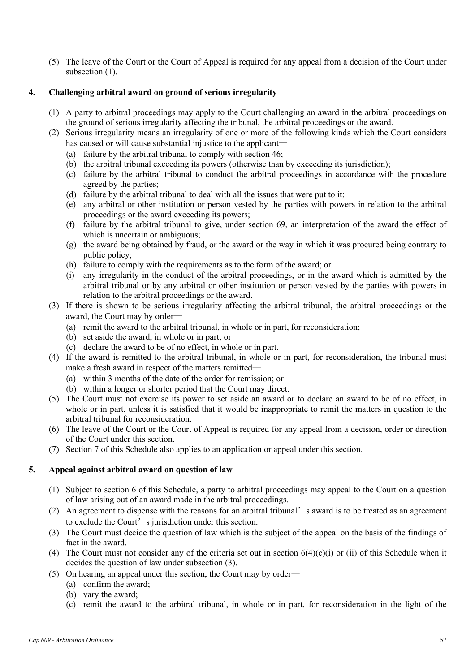(5) The leave of the Court or the Court of Appeal is required for any appeal from a decision of the Court under subsection  $(1)$ .

### **4. Challenging arbitral award on ground of serious irregularity**

- (1) A party to arbitral proceedings may apply to the Court challenging an award in the arbitral proceedings on the ground of serious irregularity affecting the tribunal, the arbitral proceedings or the award.
- (2) Serious irregularity means an irregularity of one or more of the following kinds which the Court considers has caused or will cause substantial injustice to the applicant—
	- (a) failure by the arbitral tribunal to comply with section 46;
	- (b) the arbitral tribunal exceeding its powers (otherwise than by exceeding its jurisdiction);
	- (c) failure by the arbitral tribunal to conduct the arbitral proceedings in accordance with the procedure agreed by the parties;
	- (d) failure by the arbitral tribunal to deal with all the issues that were put to it;
	- (e) any arbitral or other institution or person vested by the parties with powers in relation to the arbitral proceedings or the award exceeding its powers;
	- (f) failure by the arbitral tribunal to give, under section 69, an interpretation of the award the effect of which is uncertain or ambiguous;
	- (g) the award being obtained by fraud, or the award or the way in which it was procured being contrary to public policy;
	- (h) failure to comply with the requirements as to the form of the award; or
	- (i) any irregularity in the conduct of the arbitral proceedings, or in the award which is admitted by the arbitral tribunal or by any arbitral or other institution or person vested by the parties with powers in relation to the arbitral proceedings or the award.
- (3) If there is shown to be serious irregularity affecting the arbitral tribunal, the arbitral proceedings or the award, the Court may by order—
	- (a) remit the award to the arbitral tribunal, in whole or in part, for reconsideration;
	- (b) set aside the award, in whole or in part; or
	- (c) declare the award to be of no effect, in whole or in part.
- (4) If the award is remitted to the arbitral tribunal, in whole or in part, for reconsideration, the tribunal must make a fresh award in respect of the matters remitted—
	- (a) within 3 months of the date of the order for remission; or
	- (b) within a longer or shorter period that the Court may direct.
- (5) The Court must not exercise its power to set aside an award or to declare an award to be of no effect, in whole or in part, unless it is satisfied that it would be inappropriate to remit the matters in question to the arbitral tribunal for reconsideration.
- (6) The leave of the Court or the Court of Appeal is required for any appeal from a decision, order or direction of the Court under this section.
- (7) Section 7 of this Schedule also applies to an application or appeal under this section.

# **5. Appeal against arbitral award on question of law**

- (1) Subject to section 6 of this Schedule, a party to arbitral proceedings may appeal to the Court on a question of law arising out of an award made in the arbitral proceedings.
- (2) An agreement to dispense with the reasons for an arbitral tribunal's award is to be treated as an agreement to exclude the Court's jurisdiction under this section.
- (3) The Court must decide the question of law which is the subject of the appeal on the basis of the findings of fact in the award.
- (4) The Court must not consider any of the criteria set out in section  $6(4)(c)(i)$  or (ii) of this Schedule when it decides the question of law under subsection (3).
- (5) On hearing an appeal under this section, the Court may by order—
	- (a) confirm the award;
	- (b) vary the award;
	- (c) remit the award to the arbitral tribunal, in whole or in part, for reconsideration in the light of the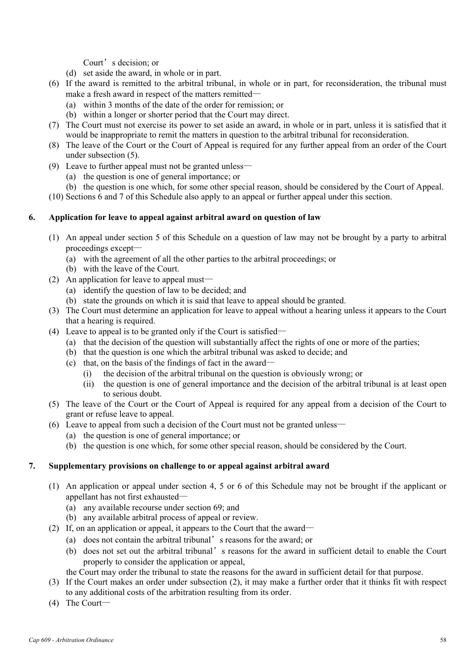Court's decision; or

- (d) set aside the award, in whole or in part.
- (6) If the award is remitted to the arbitral tribunal, in whole or in part, for reconsideration, the tribunal must make a fresh award in respect of the matters remitted—
	- (a) within 3 months of the date of the order for remission; or
	- (b) within a longer or shorter period that the Court may direct.
- (7) The Court must not exercise its power to set aside an award, in whole or in part, unless it is satisfied that it would be inappropriate to remit the matters in question to the arbitral tribunal for reconsideration.
- (8) The leave of the Court or the Court of Appeal is required for any further appeal from an order of the Court under subsection (5).
- (9) Leave to further appeal must not be granted unless—
	- (a) the question is one of general importance; or
	- (b) the question is one which, for some other special reason, should be considered by the Court of Appeal.
- (10) Sections 6 and 7 of this Schedule also apply to an appeal or further appeal under this section.

### **6. Application for leave to appeal against arbitral award on question of law**

- (1) An appeal under section 5 of this Schedule on a question of law may not be brought by a party to arbitral proceedings except—
	- (a) with the agreement of all the other parties to the arbitral proceedings; or
	- (b) with the leave of the Court.
- (2) An application for leave to appeal must—
	- (a) identify the question of law to be decided; and
	- (b) state the grounds on which it is said that leave to appeal should be granted.
- (3) The Court must determine an application for leave to appeal without a hearing unless it appears to the Court that a hearing is required.
- (4) Leave to appeal is to be granted only if the Court is satisfied—
	- (a) that the decision of the question will substantially affect the rights of one or more of the parties;
	- (b) that the question is one which the arbitral tribunal was asked to decide; and
	- (c) that, on the basis of the findings of fact in the award—
		- (i) the decision of the arbitral tribunal on the question is obviously wrong; or
		- (ii) the question is one of general importance and the decision of the arbitral tribunal is at least open to serious doubt.
- (5) The leave of the Court or the Court of Appeal is required for any appeal from a decision of the Court to grant or refuse leave to appeal.
- (6) Leave to appeal from such a decision of the Court must not be granted unless—
	- (a) the question is one of general importance; or
	- (b) the question is one which, for some other special reason, should be considered by the Court.

### **7. Supplementary provisions on challenge to or appeal against arbitral award**

- (1) An application or appeal under section 4, 5 or 6 of this Schedule may not be brought if the applicant or appellant has not first exhausted—
	- (a) any available recourse under section 69; and
	- (b) any available arbitral process of appeal or review.
- (2) If, on an application or appeal, it appears to the Court that the award—
	- (a) does not contain the arbitral tribunal's reasons for the award; or
	- (b) does not set out the arbitral tribunal's reasons for the award in sufficient detail to enable the Court properly to consider the application or appeal,

the Court may order the tribunal to state the reasons for the award in sufficient detail for that purpose.

- (3) If the Court makes an order under subsection (2), it may make a further order that it thinks fit with respect to any additional costs of the arbitration resulting from its order.
- (4) The Court—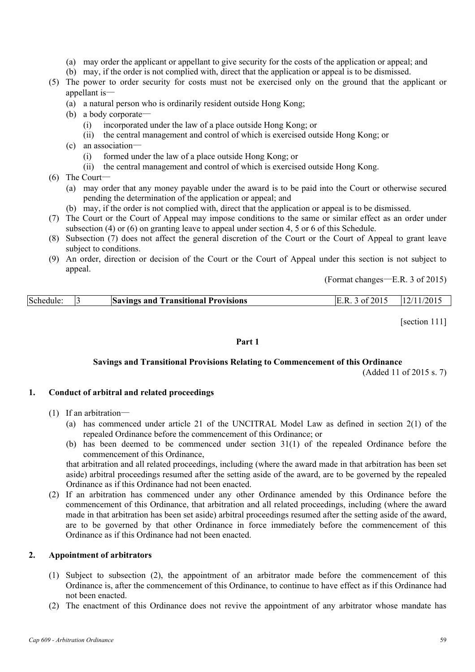- (a) may order the applicant or appellant to give security for the costs of the application or appeal; and
- (b) may, if the order is not complied with, direct that the application or appeal is to be dismissed.

### (5) The power to order security for costs must not be exercised only on the ground that the applicant or appellant is—

- (a) a natural person who is ordinarily resident outside Hong Kong;
- (b) a body corporate—
	- (i) incorporated under the law of a place outside Hong Kong; or
	- (ii) the central management and control of which is exercised outside Hong Kong; or
- (c) an association—
	- (i) formed under the law of a place outside Hong Kong; or
	- (ii) the central management and control of which is exercised outside Hong Kong.
- (6) The Court—
	- (a) may order that any money payable under the award is to be paid into the Court or otherwise secured pending the determination of the application or appeal; and
	- (b) may, if the order is not complied with, direct that the application or appeal is to be dismissed.
- (7) The Court or the Court of Appeal may impose conditions to the same or similar effect as an order under subsection (4) or (6) on granting leave to appeal under section 4, 5 or 6 of this Schedule.
- (8) Subsection (7) does not affect the general discretion of the Court or the Court of Appeal to grant leave subject to conditions.
- (9) An order, direction or decision of the Court or the Court of Appeal under this section is not subject to appeal.

(Format changes—E.R. 3 of 2015)

|  |  | Schedule. |  | <b>Transitional Provisions</b><br><b>Savings and</b> | 201.<br>$\Omega$<br>к |  |
|--|--|-----------|--|------------------------------------------------------|-----------------------|--|
|--|--|-----------|--|------------------------------------------------------|-----------------------|--|

[section 111]

### **Part 1**

# **Savings and Transitional Provisions Relating to Commencement of this Ordinance**

(Added 11 of 2015 s. 7)

# **1. Conduct of arbitral and related proceedings**

- (1) If an arbitration—
	- (a) has commenced under article 21 of the UNCITRAL Model Law as defined in section 2(1) of the repealed Ordinance before the commencement of this Ordinance; or
	- (b) has been deemed to be commenced under section 31(1) of the repealed Ordinance before the commencement of this Ordinance,

that arbitration and all related proceedings, including (where the award made in that arbitration has been set aside) arbitral proceedings resumed after the setting aside of the award, are to be governed by the repealed Ordinance as if this Ordinance had not been enacted.

(2) If an arbitration has commenced under any other Ordinance amended by this Ordinance before the commencement of this Ordinance, that arbitration and all related proceedings, including (where the award made in that arbitration has been set aside) arbitral proceedings resumed after the setting aside of the award, are to be governed by that other Ordinance in force immediately before the commencement of this Ordinance as if this Ordinance had not been enacted.

# **2. Appointment of arbitrators**

- (1) Subject to subsection (2), the appointment of an arbitrator made before the commencement of this Ordinance is, after the commencement of this Ordinance, to continue to have effect as if this Ordinance had not been enacted.
- (2) The enactment of this Ordinance does not revive the appointment of any arbitrator whose mandate has